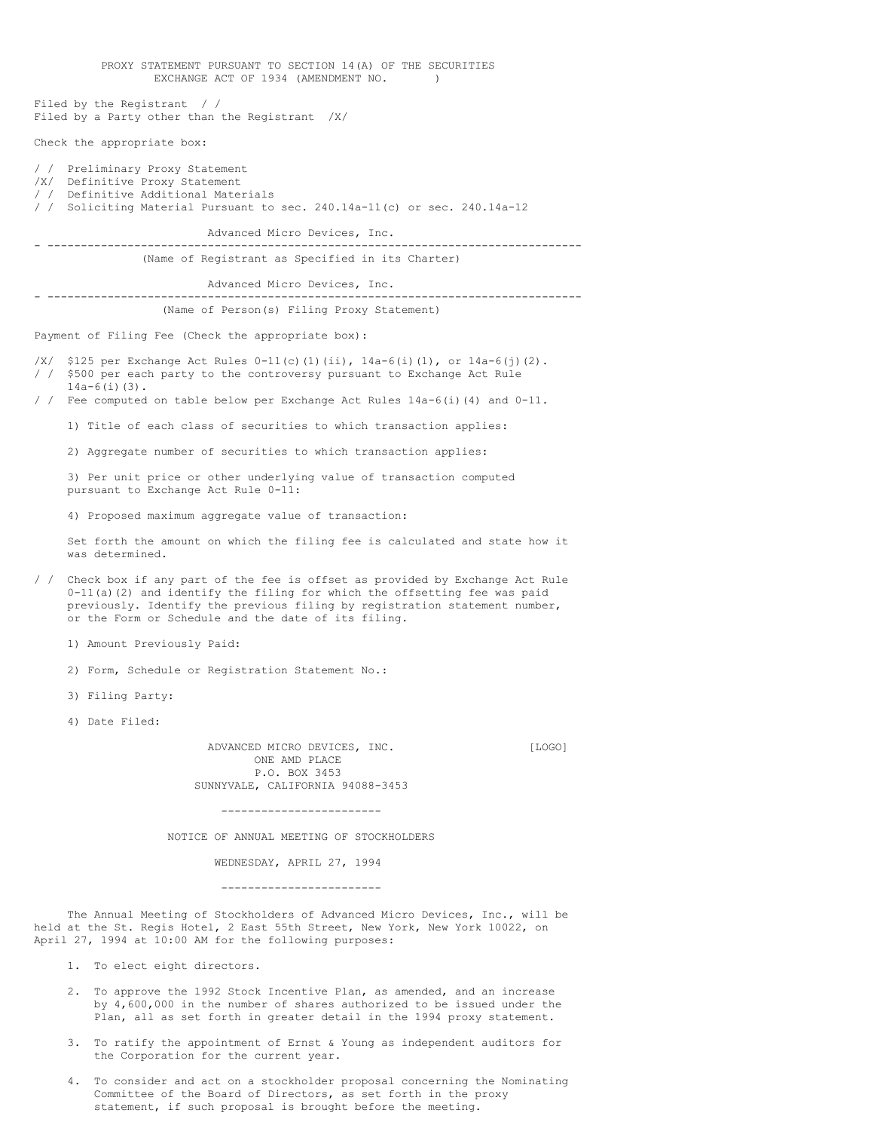| EXCHANGE ACT OF 1934 (AMENDMENT NO.<br>$\lambda$                                                                                                                                                                                                                                                     |
|------------------------------------------------------------------------------------------------------------------------------------------------------------------------------------------------------------------------------------------------------------------------------------------------------|
| Filed by the Registrant / /<br>Filed by a Party other than the Registrant $/X/$                                                                                                                                                                                                                      |
| Check the appropriate box:                                                                                                                                                                                                                                                                           |
| / / Preliminary Proxy Statement<br>/X/ Definitive Proxy Statement<br>/ / Definitive Additional Materials<br>/ / Soliciting Material Pursuant to sec. 240.14a-11(c) or sec. 240.14a-12                                                                                                                |
| Advanced Micro Devices, Inc.                                                                                                                                                                                                                                                                         |
| (Name of Registrant as Specified in its Charter)                                                                                                                                                                                                                                                     |
| Advanced Micro Devices, Inc.                                                                                                                                                                                                                                                                         |
| (Name of Person(s) Filing Proxy Statement)                                                                                                                                                                                                                                                           |
| Payment of Filing Fee (Check the appropriate box):                                                                                                                                                                                                                                                   |
| /X/ \$125 per Exchange Act Rules $0-11$ (c) (1) (ii), $14a-6$ (i) (1), or $14a-6$ (j) (2).<br>/ / \$500 per each party to the controversy pursuant to Exchange Act Rule<br>$14a-6(i)(3)$ .<br>/ / Fee computed on table below per Exchange Act Rules 14a-6(i)(4) and 0-11.                           |
|                                                                                                                                                                                                                                                                                                      |
| 1) Title of each class of securities to which transaction applies:                                                                                                                                                                                                                                   |
| 2) Aggregate number of securities to which transaction applies:                                                                                                                                                                                                                                      |
| 3) Per unit price or other underlying value of transaction computed<br>pursuant to Exchange Act Rule 0-11:                                                                                                                                                                                           |
| 4) Proposed maximum aggregate value of transaction:                                                                                                                                                                                                                                                  |
| Set forth the amount on which the filing fee is calculated and state how it<br>was determined.                                                                                                                                                                                                       |
| / / Check box if any part of the fee is offset as provided by Exchange Act Rule<br>$0-11$ (a) (2) and identify the filing for which the offsetting fee was paid<br>previously. Identify the previous filing by registration statement number,<br>or the Form or Schedule and the date of its filing. |
| 1) Amount Previously Paid:                                                                                                                                                                                                                                                                           |
| 2) Form, Schedule or Registration Statement No.:                                                                                                                                                                                                                                                     |
| 3) Filing Party:                                                                                                                                                                                                                                                                                     |
| 4) Date Filed:                                                                                                                                                                                                                                                                                       |
| ADVANCED MICRO DEVICES, INC.<br>[LOGO]<br>ONE AMD PLACE<br>P.O. BOX 3453<br>SUNNYVALE, CALIFORNIA 94088-3453<br>------------------------                                                                                                                                                             |
| NOTICE OF ANNUAL MEETING OF STOCKHOLDERS                                                                                                                                                                                                                                                             |
| WEDNESDAY, APRIL 27, 1994                                                                                                                                                                                                                                                                            |
| ------------------------                                                                                                                                                                                                                                                                             |
| The Annual Meeting of Stockholders of Advanced Micro Devices, Inc., will be<br>held at the St. Regis Hotel, 2 East 55th Street, New York, New York 10022, on<br>April 27, 1994 at 10:00 AM for the following purposes:                                                                               |

PROXY STATEMENT PURSUANT TO SECTION 14(A) OF THE SECURITIES

- 1. To elect eight directors.
- 2. To approve the 1992 Stock Incentive Plan, as amended, and an increase by 4,600,000 in the number of shares authorized to be issued under the Plan, all as set forth in greater detail in the 1994 proxy statement.
- 3. To ratify the appointment of Ernst & Young as independent auditors for the Corporation for the current year.
- 4. To consider and act on a stockholder proposal concerning the Nominating Committee of the Board of Directors, as set forth in the proxy statement, if such proposal is brought before the meeting.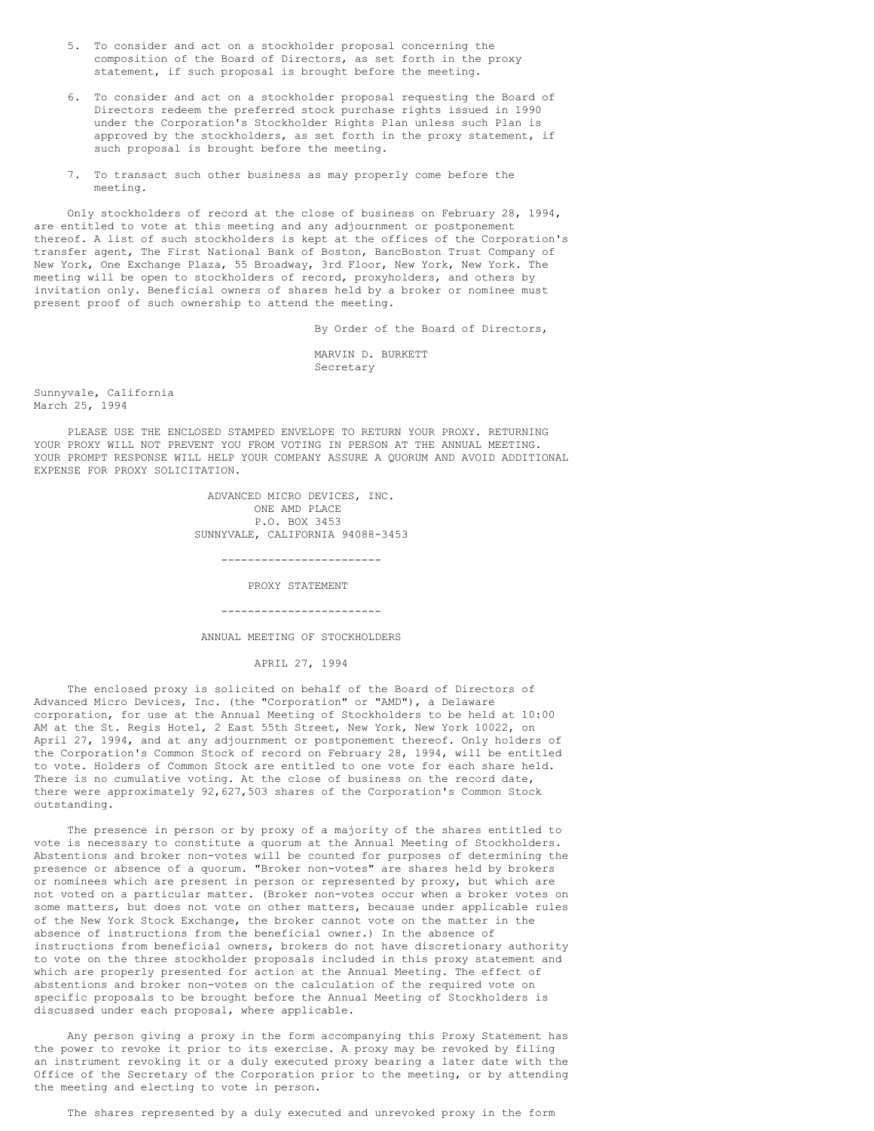- 5. To consider and act on a stockholder proposal concerning the composition of the Board of Directors, as set forth in the proxy statement, if such proposal is brought before the meeting.
- 6. To consider and act on a stockholder proposal requesting the Board of Directors redeem the preferred stock purchase rights issued in 1990 under the Corporation's Stockholder Rights Plan unless such Plan is approved by the stockholders, as set forth in the proxy statement, if such proposal is brought before the meeting.
- 7. To transact such other business as may properly come before the meeting.

 Only stockholders of record at the close of business on February 28, 1994, are entitled to vote at this meeting and any adjournment or postponement thereof. A list of such stockholders is kept at the offices of the Corporation's transfer agent, The First National Bank of Boston, BancBoston Trust Company of New York, One Exchange Plaza, 55 Broadway, 3rd Floor, New York, New York. The meeting will be open to stockholders of record, proxyholders, and others by invitation only. Beneficial owners of shares held by a broker or nominee must present proof of such ownership to attend the meeting.

By Order of the Board of Directors,

 MARVIN D. BURKETT Secretary

Sunnyvale, California March 25, 1994

 PLEASE USE THE ENCLOSED STAMPED ENVELOPE TO RETURN YOUR PROXY. RETURNING YOUR PROXY WILL NOT PREVENT YOU FROM VOTING IN PERSON AT THE ANNUAL MEETING. YOUR PROMPT RESPONSE WILL HELP YOUR COMPANY ASSURE A QUORUM AND AVOID ADDITIONAL EXPENSE FOR PROXY SOLICITATION.

> ADVANCED MICRO DEVICES, INC. ONE AMD PLACE P.O. BOX 3453 SUNNYVALE, CALIFORNIA 94088-3453

> > ------------------------

PROXY STATEMENT

------------------------

ANNUAL MEETING OF STOCKHOLDERS

APRIL 27, 1994

 The enclosed proxy is solicited on behalf of the Board of Directors of Advanced Micro Devices, Inc. (the "Corporation" or "AMD"), a Delaware corporation, for use at the Annual Meeting of Stockholders to be held at 10:00 AM at the St. Regis Hotel, 2 East 55th Street, New York, New York 10022, on April 27, 1994, and at any adjournment or postponement thereof. Only holders of the Corporation's Common Stock of record on February 28, 1994, will be entitled to vote. Holders of Common Stock are entitled to one vote for each share held. There is no cumulative voting. At the close of business on the record date, there were approximately 92,627,503 shares of the Corporation's Common Stock outstanding.

 The presence in person or by proxy of a majority of the shares entitled to vote is necessary to constitute a quorum at the Annual Meeting of Stockholders. Abstentions and broker non-votes will be counted for purposes of determining the presence or absence of a quorum. "Broker non-votes" are shares held by brokers or nominees which are present in person or represented by proxy, but which are not voted on a particular matter. (Broker non-votes occur when a broker votes on some matters, but does not vote on other matters, because under applicable rules of the New York Stock Exchange, the broker cannot vote on the matter in the absence of instructions from the beneficial owner.) In the absence of instructions from beneficial owners, brokers do not have discretionary authority to vote on the three stockholder proposals included in this proxy statement and which are properly presented for action at the Annual Meeting. The effect of abstentions and broker non-votes on the calculation of the required vote on specific proposals to be brought before the Annual Meeting of Stockholders is discussed under each proposal, where applicable.

 Any person giving a proxy in the form accompanying this Proxy Statement has the power to revoke it prior to its exercise. A proxy may be revoked by filing an instrument revoking it or a duly executed proxy bearing a later date with the Office of the Secretary of the Corporation prior to the meeting, or by attending the meeting and electing to vote in person.

The shares represented by a duly executed and unrevoked proxy in the form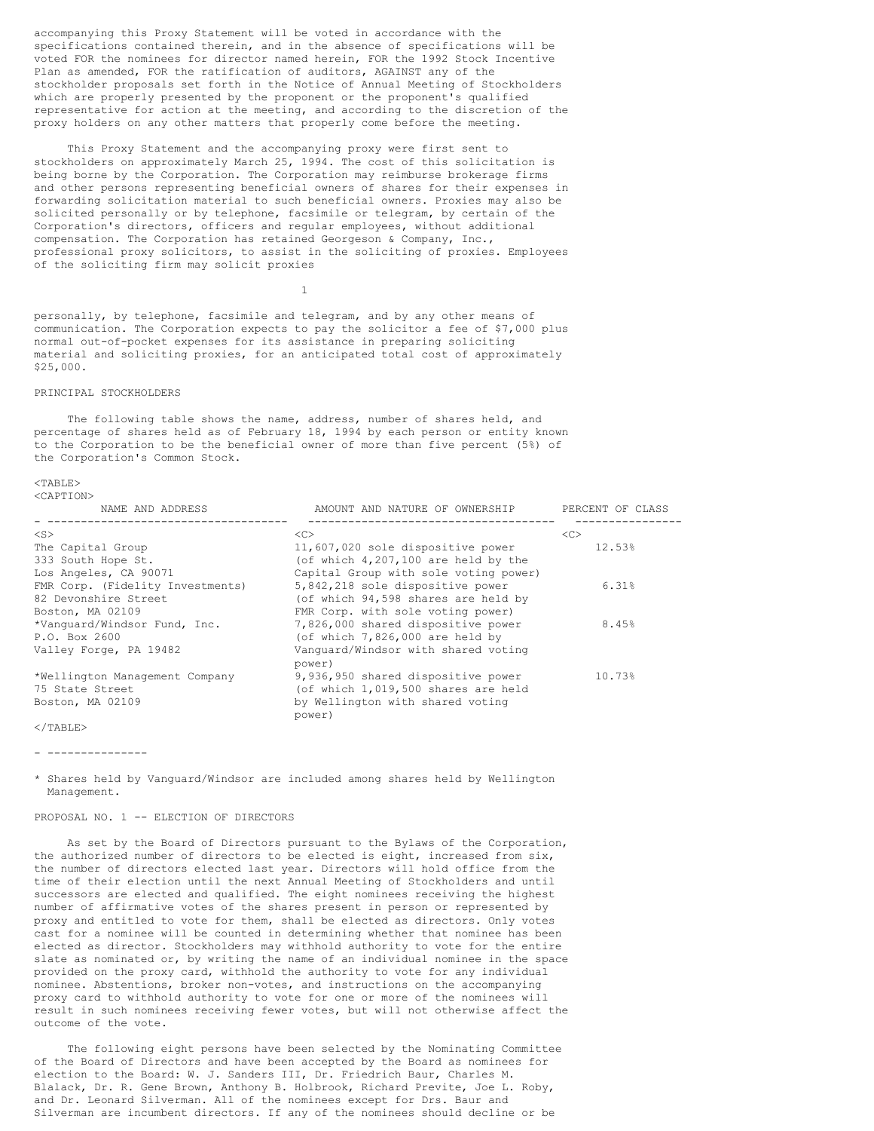accompanying this Proxy Statement will be voted in accordance with the specifications contained therein, and in the absence of specifications will be voted FOR the nominees for director named herein, FOR the 1992 Stock Incentive Plan as amended, FOR the ratification of auditors, AGAINST any of the stockholder proposals set forth in the Notice of Annual Meeting of Stockholders which are properly presented by the proponent or the proponent's qualified representative for action at the meeting, and according to the discretion of the proxy holders on any other matters that properly come before the meeting.

 This Proxy Statement and the accompanying proxy were first sent to stockholders on approximately March 25, 1994. The cost of this solicitation is being borne by the Corporation. The Corporation may reimburse brokerage firms and other persons representing beneficial owners of shares for their expenses in forwarding solicitation material to such beneficial owners. Proxies may also be solicited personally or by telephone, facsimile or telegram, by certain of the Corporation's directors, officers and regular employees, without additional compensation. The Corporation has retained Georgeson & Company, Inc., professional proxy solicitors, to assist in the soliciting of proxies. Employees of the soliciting firm may solicit proxies

personally, by telephone, facsimile and telegram, and by any other means of communication. The Corporation expects to pay the solicitor a fee of \$7,000 plus normal out-of-pocket expenses for its assistance in preparing soliciting material and soliciting proxies, for an anticipated total cost of approximately \$25,000.

## PRINCIPAL STOCKHOLDERS

1

The following table shows the name, address, number of shares held, and percentage of shares held as of February 18, 1994 by each person or entity known to the Corporation to be the beneficial owner of more than five percent (5%) of the Corporation's Common Stock.

#### $<$ TABLE> <CAPTION>

| NAME AND ADDRESS                 | AMOUNT AND NATURE OF OWNERSHIP        | PERCENT OF CLASS |
|----------------------------------|---------------------------------------|------------------|
| $<$ S $>$                        | <<                                    | <<               |
| The Capital Group                | 11,607,020 sole dispositive power     | 12.53%           |
| 333 South Hope St.               | (of which $4,207,100$ are held by the |                  |
| Los Angeles, CA 90071            | Capital Group with sole voting power) |                  |
| FMR Corp. (Fidelity Investments) | 5,842,218 sole dispositive power      | 6.31%            |
| 82 Devonshire Street             | (of which 94,598 shares are held by   |                  |
| Boston, MA 02109                 | FMR Corp. with sole voting power)     |                  |
| *Vanquard/Windsor Fund, Inc.     | 7,826,000 shared dispositive power    | 8.45%            |
| P.O. Box 2600                    | (of which $7,826,000$ are held by     |                  |
| Valley Forge, PA 19482           | Vanquard/Windsor with shared voting   |                  |
|                                  | power)                                |                  |
| *Wellington Management Company   | 9,936,950 shared dispositive power    | 10.73%           |
| 75 State Street                  | (of which 1,019,500 shares are held   |                  |
| Boston, MA 02109                 | by Wellington with shared voting      |                  |
|                                  | power)                                |                  |

 $\langle$ /TABLE>

- ---------------

\* Shares held by Vanguard/Windsor are included among shares held by Wellington Management.

#### PROPOSAL NO. 1 -- ELECTION OF DIRECTORS

 As set by the Board of Directors pursuant to the Bylaws of the Corporation, the authorized number of directors to be elected is eight, increased from six, the number of directors elected last year. Directors will hold office from the time of their election until the next Annual Meeting of Stockholders and until successors are elected and qualified. The eight nominees receiving the highest number of affirmative votes of the shares present in person or represented by proxy and entitled to vote for them, shall be elected as directors. Only votes cast for a nominee will be counted in determining whether that nominee has been elected as director. Stockholders may withhold authority to vote for the entire slate as nominated or, by writing the name of an individual nominee in the space provided on the proxy card, withhold the authority to vote for any individual nominee. Abstentions, broker non-votes, and instructions on the accompanying proxy card to withhold authority to vote for one or more of the nominees will result in such nominees receiving fewer votes, but will not otherwise affect the outcome of the vote.

 The following eight persons have been selected by the Nominating Committee of the Board of Directors and have been accepted by the Board as nominees for election to the Board: W. J. Sanders III, Dr. Friedrich Baur, Charles M. Blalack, Dr. R. Gene Brown, Anthony B. Holbrook, Richard Previte, Joe L. Roby, and Dr. Leonard Silverman. All of the nominees except for Drs. Baur and Silverman are incumbent directors. If any of the nominees should decline or be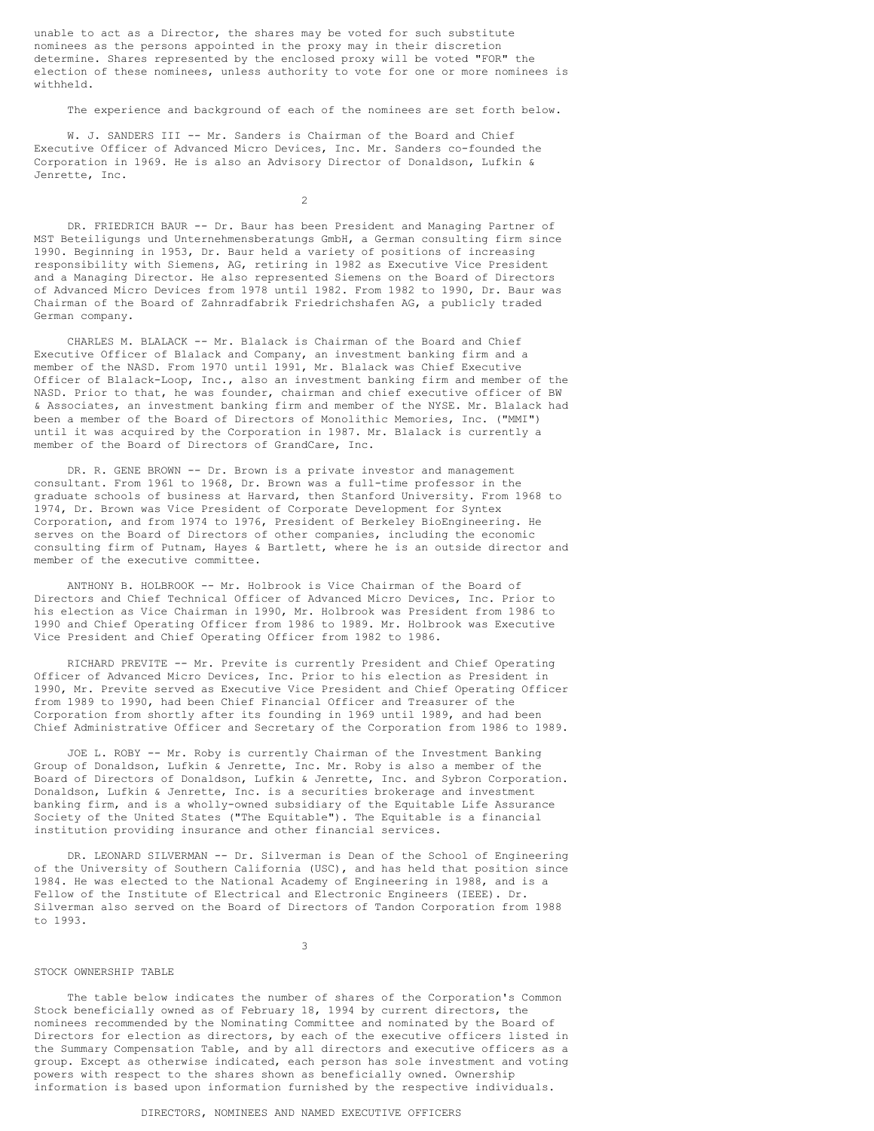unable to act as a Director, the shares may be voted for such substitute nominees as the persons appointed in the proxy may in their discretion determine. Shares represented by the enclosed proxy will be voted "FOR" the election of these nominees, unless authority to vote for one or more nominees is withheld.

The experience and background of each of the nominees are set forth below.

W. J. SANDERS III -- Mr. Sanders is Chairman of the Board and Chief Executive Officer of Advanced Micro Devices, Inc. Mr. Sanders co-founded the Corporation in 1969. He is also an Advisory Director of Donaldson, Lufkin & Jenrette, Inc.

2

 DR. FRIEDRICH BAUR -- Dr. Baur has been President and Managing Partner of MST Beteiligungs und Unternehmensberatungs GmbH, a German consulting firm since 1990. Beginning in 1953, Dr. Baur held a variety of positions of increasing responsibility with Siemens, AG, retiring in 1982 as Executive Vice President and a Managing Director. He also represented Siemens on the Board of Directors of Advanced Micro Devices from 1978 until 1982. From 1982 to 1990, Dr. Baur was Chairman of the Board of Zahnradfabrik Friedrichshafen AG, a publicly traded German company.

 CHARLES M. BLALACK -- Mr. Blalack is Chairman of the Board and Chief Executive Officer of Blalack and Company, an investment banking firm and a member of the NASD. From 1970 until 1991, Mr. Blalack was Chief Executive Officer of Blalack-Loop, Inc., also an investment banking firm and member of the NASD. Prior to that, he was founder, chairman and chief executive officer of BW & Associates, an investment banking firm and member of the NYSE. Mr. Blalack had been a member of the Board of Directors of Monolithic Memories, Inc. ("MMI") until it was acquired by the Corporation in 1987. Mr. Blalack is currently a member of the Board of Directors of GrandCare, Inc.

DR. R. GENE BROWN -- Dr. Brown is a private investor and management consultant. From 1961 to 1968, Dr. Brown was a full-time professor in the graduate schools of business at Harvard, then Stanford University. From 1968 to 1974, Dr. Brown was Vice President of Corporate Development for Syntex Corporation, and from 1974 to 1976, President of Berkeley BioEngineering. He serves on the Board of Directors of other companies, including the economic consulting firm of Putnam, Hayes & Bartlett, where he is an outside director and member of the executive committee.

 ANTHONY B. HOLBROOK -- Mr. Holbrook is Vice Chairman of the Board of Directors and Chief Technical Officer of Advanced Micro Devices, Inc. Prior to his election as Vice Chairman in 1990, Mr. Holbrook was President from 1986 to 1990 and Chief Operating Officer from 1986 to 1989. Mr. Holbrook was Executive Vice President and Chief Operating Officer from 1982 to 1986.

 RICHARD PREVITE -- Mr. Previte is currently President and Chief Operating Officer of Advanced Micro Devices, Inc. Prior to his election as President in 1990, Mr. Previte served as Executive Vice President and Chief Operating Officer from 1989 to 1990, had been Chief Financial Officer and Treasurer of the Corporation from shortly after its founding in 1969 until 1989, and had been Chief Administrative Officer and Secretary of the Corporation from 1986 to 1989.

 JOE L. ROBY -- Mr. Roby is currently Chairman of the Investment Banking Group of Donaldson, Lufkin & Jenrette, Inc. Mr. Roby is also a member of the Board of Directors of Donaldson, Lufkin & Jenrette, Inc. and Sybron Corporation. Donaldson, Lufkin & Jenrette, Inc. is a securities brokerage and investment banking firm, and is a wholly-owned subsidiary of the Equitable Life Assurance Society of the United States ("The Equitable"). The Equitable is a financial institution providing insurance and other financial services.

 DR. LEONARD SILVERMAN -- Dr. Silverman is Dean of the School of Engineering of the University of Southern California (USC), and has held that position since 1984. He was elected to the National Academy of Engineering in 1988, and is a Fellow of the Institute of Electrical and Electronic Engineers (IEEE). Dr. Silverman also served on the Board of Directors of Tandon Corporation from 1988 to 1993.

STOCK OWNERSHIP TABLE

3

 The table below indicates the number of shares of the Corporation's Common Stock beneficially owned as of February 18, 1994 by current directors, the nominees recommended by the Nominating Committee and nominated by the Board of Directors for election as directors, by each of the executive officers listed in the Summary Compensation Table, and by all directors and executive officers as a group. Except as otherwise indicated, each person has sole investment and voting powers with respect to the shares shown as beneficially owned. Ownership information is based upon information furnished by the respective individuals.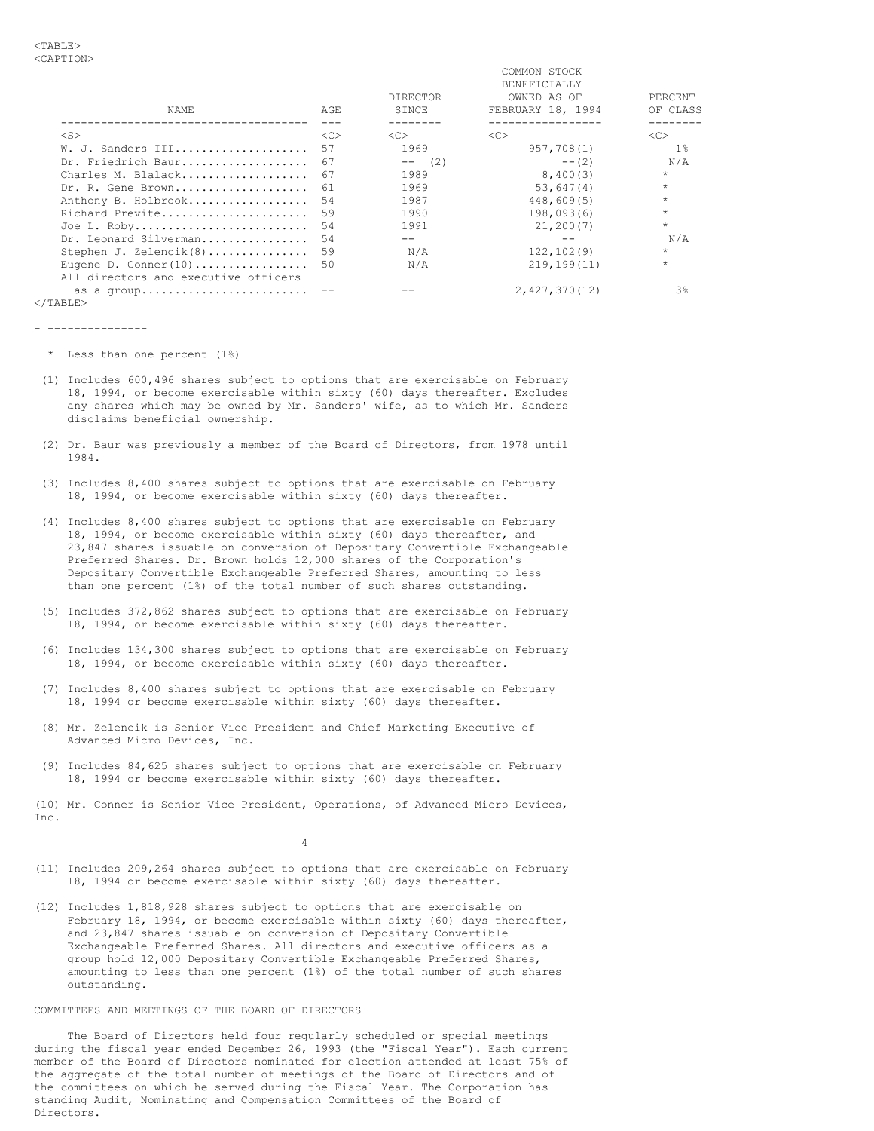|                                                                 |     | <b>DIRECTOR</b> | COMMON STOCK<br><b>BENEFICIALLY</b><br>OWNED AS OF | PERCENT  |
|-----------------------------------------------------------------|-----|-----------------|----------------------------------------------------|----------|
| NAME                                                            | AGE | SINCE           | FEBRUARY 18, 1994                                  | OF CLASS |
| $<$ S $>$                                                       | <<  | <<              | <<                                                 | <<       |
| W. J. Sanders III                                               | 57  | 1969            | 957,708(1)                                         | $1\%$    |
| Dr. Friedrich Baur                                              | 67  | $--$<br>(2)     | $--(2)$                                            | N/A      |
| Charles M. Blalack                                              | 67  | 1989            | 8,400(3)                                           | $\star$  |
| Dr. R. Gene Brown                                               | 61  | 1969            | 53,647(4)                                          | $\star$  |
| Anthony B. Holbrook                                             | 54  | 1987            | 448,609(5)                                         | $\star$  |
| Richard Previte                                                 | 59  | 1990            | 198,093(6)                                         | $\star$  |
| Joe L. Roby                                                     | 54  | 1991            | 21,200(7)                                          | $\star$  |
| Dr. Leonard Silverman                                           | 54  |                 |                                                    | N/A      |
| Stephen J. Zelencik(8)                                          | 59  | N/A             | 122, 102(9)                                        | $\star$  |
| Eugene D. Conner $(10)$<br>All directors and executive officers | 50  | N/A             | 219, 199(11)                                       | $\star$  |
| as a group                                                      |     |                 | 2,427,370(12)                                      | 3%       |
| $\langle$ /TABLE>                                               |     |                 |                                                    |          |

- ---------------
- \* Less than one percent (1%)
- (1) Includes 600,496 shares subject to options that are exercisable on February 18, 1994, or become exercisable within sixty (60) days thereafter. Excludes any shares which may be owned by Mr. Sanders' wife, as to which Mr. Sanders disclaims beneficial ownership.
- (2) Dr. Baur was previously a member of the Board of Directors, from 1978 until 1984.
- (3) Includes 8,400 shares subject to options that are exercisable on February 18, 1994, or become exercisable within sixty (60) days thereafter.
- (4) Includes 8,400 shares subject to options that are exercisable on February 18, 1994, or become exercisable within sixty (60) days thereafter, and 23,847 shares issuable on conversion of Depositary Convertible Exchangeable Preferred Shares. Dr. Brown holds 12,000 shares of the Corporation's Depositary Convertible Exchangeable Preferred Shares, amounting to less than one percent (1%) of the total number of such shares outstanding.
- (5) Includes 372,862 shares subject to options that are exercisable on February 18, 1994, or become exercisable within sixty (60) days thereafter.
- (6) Includes 134,300 shares subject to options that are exercisable on February 18, 1994, or become exercisable within sixty (60) days thereafter.
- (7) Includes 8,400 shares subject to options that are exercisable on February 18, 1994 or become exercisable within sixty (60) days thereafter.
- (8) Mr. Zelencik is Senior Vice President and Chief Marketing Executive of Advanced Micro Devices, Inc.
- (9) Includes 84,625 shares subject to options that are exercisable on February 18, 1994 or become exercisable within sixty (60) days thereafter.

(10) Mr. Conner is Senior Vice President, Operations, of Advanced Micro Devices, Inc.

4

- (11) Includes 209,264 shares subject to options that are exercisable on February 18, 1994 or become exercisable within sixty (60) days thereafter.
- (12) Includes 1,818,928 shares subject to options that are exercisable on February 18, 1994, or become exercisable within sixty (60) days thereafter, and 23,847 shares issuable on conversion of Depositary Convertible Exchangeable Preferred Shares. All directors and executive officers as a group hold 12,000 Depositary Convertible Exchangeable Preferred Shares, amounting to less than one percent (1%) of the total number of such shares outstanding.

# COMMITTEES AND MEETINGS OF THE BOARD OF DIRECTORS

 The Board of Directors held four regularly scheduled or special meetings during the fiscal year ended December 26, 1993 (the "Fiscal Year"). Each current member of the Board of Directors nominated for election attended at least 75% of the aggregate of the total number of meetings of the Board of Directors and of the committees on which he served during the Fiscal Year. The Corporation has standing Audit, Nominating and Compensation Committees of the Board of Directors.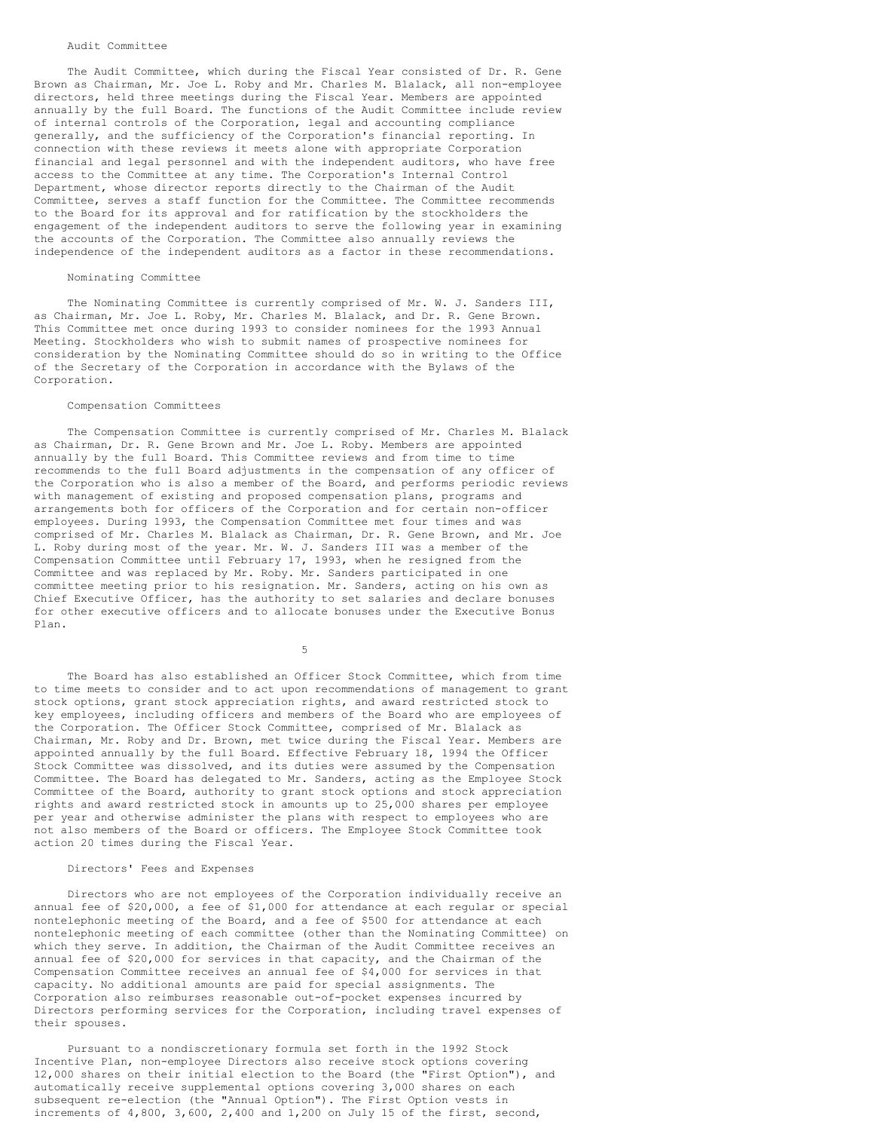# Audit Committee

 The Audit Committee, which during the Fiscal Year consisted of Dr. R. Gene Brown as Chairman, Mr. Joe L. Roby and Mr. Charles M. Blalack, all non-employee directors, held three meetings during the Fiscal Year. Members are appointed annually by the full Board. The functions of the Audit Committee include review of internal controls of the Corporation, legal and accounting compliance generally, and the sufficiency of the Corporation's financial reporting. In connection with these reviews it meets alone with appropriate Corporation financial and legal personnel and with the independent auditors, who have free access to the Committee at any time. The Corporation's Internal Control Department, whose director reports directly to the Chairman of the Audit Committee, serves a staff function for the Committee. The Committee recommends to the Board for its approval and for ratification by the stockholders the engagement of the independent auditors to serve the following year in examining the accounts of the Corporation. The Committee also annually reviews the independence of the independent auditors as a factor in these recommendations.

### Nominating Committee

 The Nominating Committee is currently comprised of Mr. W. J. Sanders III, as Chairman, Mr. Joe L. Roby, Mr. Charles M. Blalack, and Dr. R. Gene Brown. This Committee met once during 1993 to consider nominees for the 1993 Annual Meeting. Stockholders who wish to submit names of prospective nominees for consideration by the Nominating Committee should do so in writing to the Office of the Secretary of the Corporation in accordance with the Bylaws of the Corporation.

#### Compensation Committees

 The Compensation Committee is currently comprised of Mr. Charles M. Blalack as Chairman, Dr. R. Gene Brown and Mr. Joe L. Roby. Members are appointed annually by the full Board. This Committee reviews and from time to time recommends to the full Board adjustments in the compensation of any officer of the Corporation who is also a member of the Board, and performs periodic reviews with management of existing and proposed compensation plans, programs and arrangements both for officers of the Corporation and for certain non-officer employees. During 1993, the Compensation Committee met four times and was comprised of Mr. Charles M. Blalack as Chairman, Dr. R. Gene Brown, and Mr. Joe L. Roby during most of the year. Mr. W. J. Sanders III was a member of the Compensation Committee until February 17, 1993, when he resigned from the Committee and was replaced by Mr. Roby. Mr. Sanders participated in one committee meeting prior to his resignation. Mr. Sanders, acting on his own as Chief Executive Officer, has the authority to set salaries and declare bonuses for other executive officers and to allocate bonuses under the Executive Bonus Plan.

 $5<sub>5</sub>$ 

 The Board has also established an Officer Stock Committee, which from time to time meets to consider and to act upon recommendations of management to grant stock options, grant stock appreciation rights, and award restricted stock to key employees, including officers and members of the Board who are employees of the Corporation. The Officer Stock Committee, comprised of Mr. Blalack as Chairman, Mr. Roby and Dr. Brown, met twice during the Fiscal Year. Members are appointed annually by the full Board. Effective February 18, 1994 the Officer Stock Committee was dissolved, and its duties were assumed by the Compensation Committee. The Board has delegated to Mr. Sanders, acting as the Employee Stock Committee of the Board, authority to grant stock options and stock appreciation rights and award restricted stock in amounts up to 25,000 shares per employee per year and otherwise administer the plans with respect to employees who are not also members of the Board or officers. The Employee Stock Committee took action 20 times during the Fiscal Year.

#### Directors' Fees and Expenses

 Directors who are not employees of the Corporation individually receive an annual fee of \$20,000, a fee of \$1,000 for attendance at each regular or special nontelephonic meeting of the Board, and a fee of \$500 for attendance at each nontelephonic meeting of each committee (other than the Nominating Committee) on which they serve. In addition, the Chairman of the Audit Committee receives an annual fee of \$20,000 for services in that capacity, and the Chairman of the Compensation Committee receives an annual fee of \$4,000 for services in that capacity. No additional amounts are paid for special assignments. The Corporation also reimburses reasonable out-of-pocket expenses incurred by Directors performing services for the Corporation, including travel expenses of their spouses.

 Pursuant to a nondiscretionary formula set forth in the 1992 Stock Incentive Plan, non-employee Directors also receive stock options covering 12,000 shares on their initial election to the Board (the "First Option"), and automatically receive supplemental options covering 3,000 shares on each subsequent re-election (the "Annual Option"). The First Option vests in increments of 4,800, 3,600, 2,400 and 1,200 on July 15 of the first, second,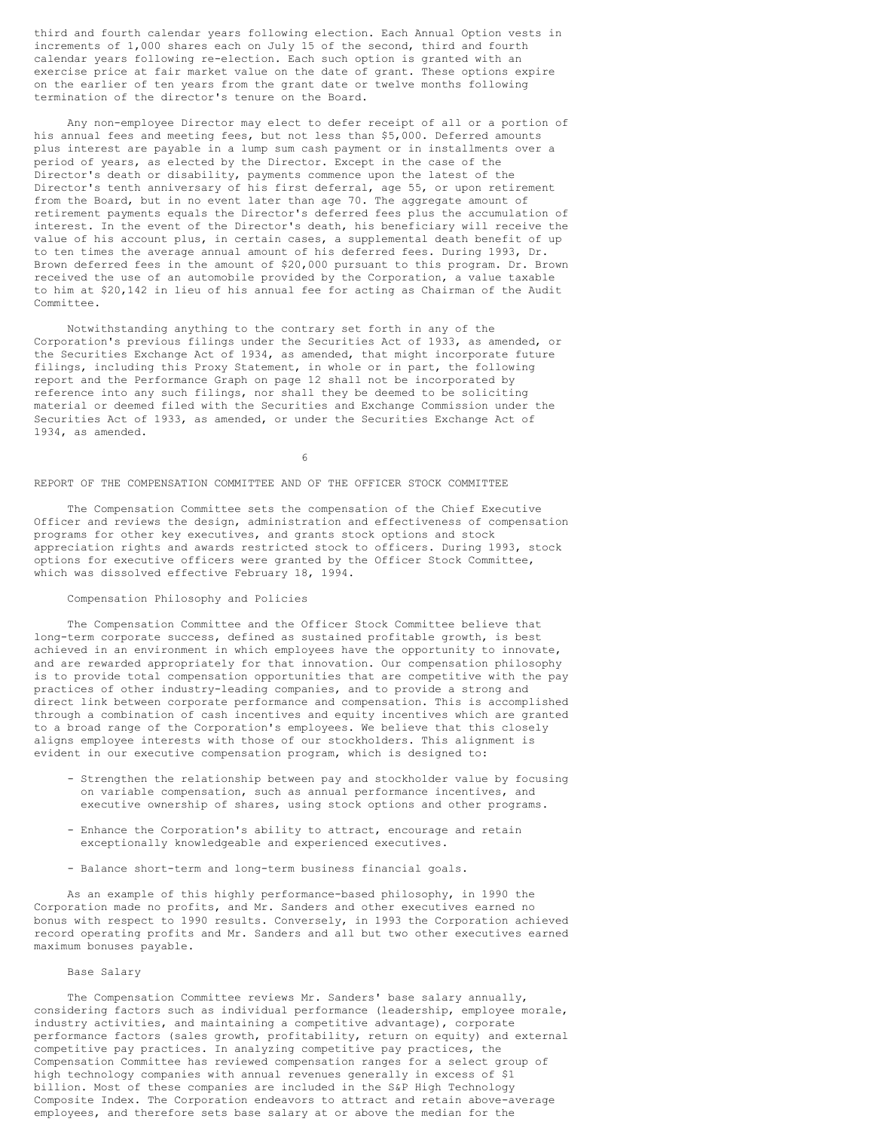third and fourth calendar years following election. Each Annual Option vests in increments of 1,000 shares each on July 15 of the second, third and fourth calendar years following re-election. Each such option is granted with an exercise price at fair market value on the date of grant. These options expire on the earlier of ten years from the grant date or twelve months following termination of the director's tenure on the Board.

 Any non-employee Director may elect to defer receipt of all or a portion of his annual fees and meeting fees, but not less than \$5,000. Deferred amounts plus interest are payable in a lump sum cash payment or in installments over a period of years, as elected by the Director. Except in the case of the Director's death or disability, payments commence upon the latest of the Director's tenth anniversary of his first deferral, age 55, or upon retirement from the Board, but in no event later than age 70. The aggregate amount of retirement payments equals the Director's deferred fees plus the accumulation of interest. In the event of the Director's death, his beneficiary will receive the value of his account plus, in certain cases, a supplemental death benefit of up to ten times the average annual amount of his deferred fees. During 1993, Dr. Brown deferred fees in the amount of \$20,000 pursuant to this program. Dr. Brown received the use of an automobile provided by the Corporation, a value taxable to him at \$20,142 in lieu of his annual fee for acting as Chairman of the Audit Committee.

 Notwithstanding anything to the contrary set forth in any of the Corporation's previous filings under the Securities Act of 1933, as amended, or the Securities Exchange Act of 1934, as amended, that might incorporate future filings, including this Proxy Statement, in whole or in part, the following report and the Performance Graph on page 12 shall not be incorporated by reference into any such filings, nor shall they be deemed to be soliciting material or deemed filed with the Securities and Exchange Commission under the Securities Act of 1933, as amended, or under the Securities Exchange Act of 1934, as amended.

 $\sim$  6

#### REPORT OF THE COMPENSATION COMMITTEE AND OF THE OFFICER STOCK COMMITTEE

 The Compensation Committee sets the compensation of the Chief Executive Officer and reviews the design, administration and effectiveness of compensation programs for other key executives, and grants stock options and stock appreciation rights and awards restricted stock to officers. During 1993, stock options for executive officers were granted by the Officer Stock Committee, which was dissolved effective February 18, 1994.

#### Compensation Philosophy and Policies

 The Compensation Committee and the Officer Stock Committee believe that long-term corporate success, defined as sustained profitable growth, is best achieved in an environment in which employees have the opportunity to innovate, and are rewarded appropriately for that innovation. Our compensation philosophy is to provide total compensation opportunities that are competitive with the pay practices of other industry-leading companies, and to provide a strong and direct link between corporate performance and compensation. This is accomplished through a combination of cash incentives and equity incentives which are granted to a broad range of the Corporation's employees. We believe that this closely aligns employee interests with those of our stockholders. This alignment is evident in our executive compensation program, which is designed to:

- Strengthen the relationship between pay and stockholder value by focusing on variable compensation, such as annual performance incentives, and executive ownership of shares, using stock options and other programs.
- Enhance the Corporation's ability to attract, encourage and retain exceptionally knowledgeable and experienced executives.
- Balance short-term and long-term business financial goals.

 As an example of this highly performance-based philosophy, in 1990 the Corporation made no profits, and Mr. Sanders and other executives earned no bonus with respect to 1990 results. Conversely, in 1993 the Corporation achieved record operating profits and Mr. Sanders and all but two other executives earned maximum bonuses payable.

# Base Salary

The Compensation Committee reviews Mr. Sanders' base salary annually, considering factors such as individual performance (leadership, employee morale, industry activities, and maintaining a competitive advantage), corporate performance factors (sales growth, profitability, return on equity) and external competitive pay practices. In analyzing competitive pay practices, the Compensation Committee has reviewed compensation ranges for a select group of high technology companies with annual revenues generally in excess of \$1 billion. Most of these companies are included in the S&P High Technology Composite Index. The Corporation endeavors to attract and retain above-average employees, and therefore sets base salary at or above the median for the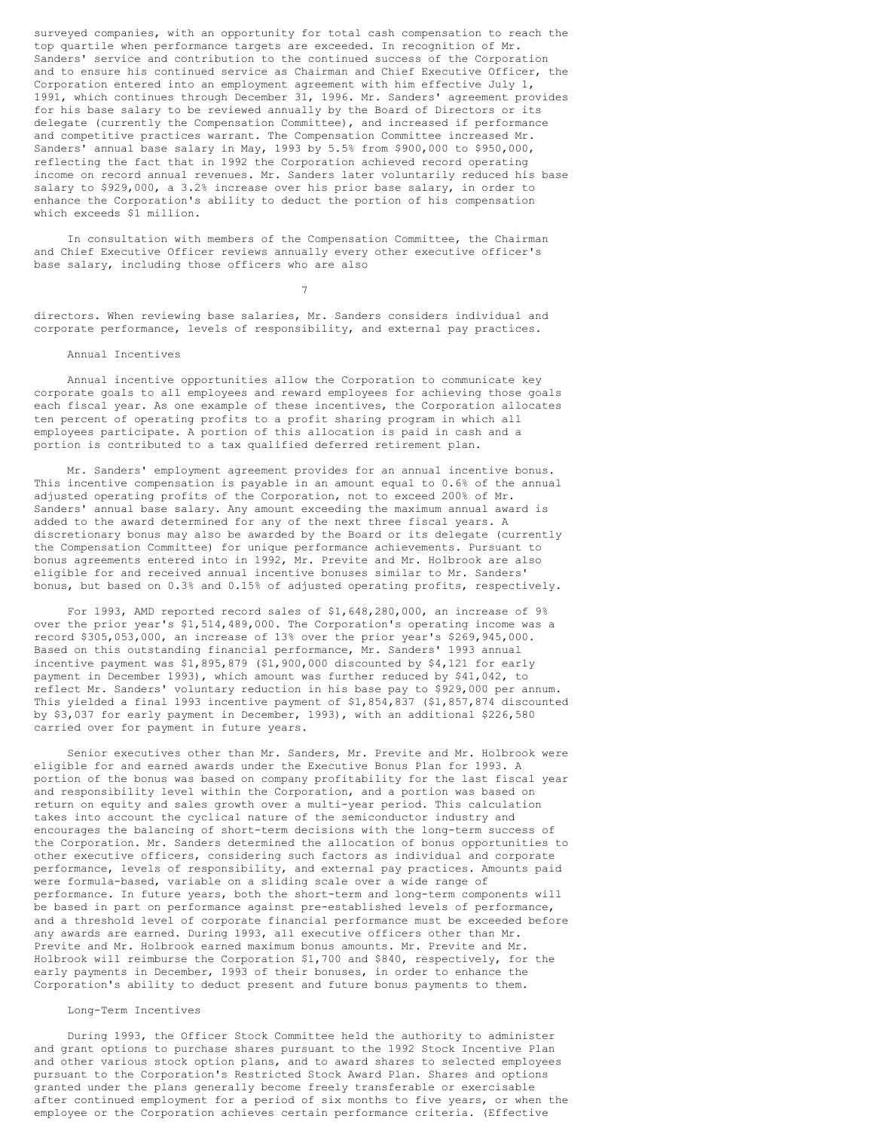surveyed companies, with an opportunity for total cash compensation to reach the top quartile when performance targets are exceeded. In recognition of Mr. Sanders' service and contribution to the continued success of the Corporation and to ensure his continued service as Chairman and Chief Executive Officer, the Corporation entered into an employment agreement with him effective July 1, 1991, which continues through December 31, 1996. Mr. Sanders' agreement provides for his base salary to be reviewed annually by the Board of Directors or its delegate (currently the Compensation Committee), and increased if performance and competitive practices warrant. The Compensation Committee increased Mr. Sanders' annual base salary in May, 1993 by 5.5% from \$900,000 to \$950,000, reflecting the fact that in 1992 the Corporation achieved record operating income on record annual revenues. Mr. Sanders later voluntarily reduced his base salary to \$929,000, a 3.2% increase over his prior base salary, in order to enhance the Corporation's ability to deduct the portion of his compensation which exceeds \$1 million.

 In consultation with members of the Compensation Committee, the Chairman and Chief Executive Officer reviews annually every other executive officer's base salary, including those officers who are also

directors. When reviewing base salaries, Mr. Sanders considers individual and corporate performance, levels of responsibility, and external pay practices.

### Annual Incentives

7

 Annual incentive opportunities allow the Corporation to communicate key corporate goals to all employees and reward employees for achieving those goals each fiscal year. As one example of these incentives, the Corporation allocates ten percent of operating profits to a profit sharing program in which all employees participate. A portion of this allocation is paid in cash and a portion is contributed to a tax qualified deferred retirement plan.

 Mr. Sanders' employment agreement provides for an annual incentive bonus. This incentive compensation is payable in an amount equal to 0.6% of the annual adjusted operating profits of the Corporation, not to exceed 200% of Mr. Sanders' annual base salary. Any amount exceeding the maximum annual award is added to the award determined for any of the next three fiscal years. A discretionary bonus may also be awarded by the Board or its delegate (currently the Compensation Committee) for unique performance achievements. Pursuant to bonus agreements entered into in 1992, Mr. Previte and Mr. Holbrook are also eligible for and received annual incentive bonuses similar to Mr. Sanders' bonus, but based on 0.3% and 0.15% of adjusted operating profits, respectively.

 For 1993, AMD reported record sales of \$1,648,280,000, an increase of 9% over the prior year's \$1,514,489,000. The Corporation's operating income was a record \$305,053,000, an increase of 13% over the prior year's \$269,945,000. Based on this outstanding financial performance, Mr. Sanders' 1993 annual incentive payment was \$1,895,879 (\$1,900,000 discounted by \$4,121 for early payment in December 1993), which amount was further reduced by \$41,042, to reflect Mr. Sanders' voluntary reduction in his base pay to \$929,000 per annum. This yielded a final 1993 incentive payment of \$1,854,837 (\$1,857,874 discounted by \$3,037 for early payment in December, 1993), with an additional \$226,580 carried over for payment in future years.

 Senior executives other than Mr. Sanders, Mr. Previte and Mr. Holbrook were eligible for and earned awards under the Executive Bonus Plan for 1993. A portion of the bonus was based on company profitability for the last fiscal year and responsibility level within the Corporation, and a portion was based on return on equity and sales growth over a multi-year period. This calculation takes into account the cyclical nature of the semiconductor industry and encourages the balancing of short-term decisions with the long-term success of the Corporation. Mr. Sanders determined the allocation of bonus opportunities to other executive officers, considering such factors as individual and corporate performance, levels of responsibility, and external pay practices. Amounts paid were formula-based, variable on a sliding scale over a wide range of performance. In future years, both the short-term and long-term components will be based in part on performance against pre-established levels of performance, and a threshold level of corporate financial performance must be exceeded before any awards are earned. During 1993, all executive officers other than Mr. Previte and Mr. Holbrook earned maximum bonus amounts. Mr. Previte and Mr. Holbrook will reimburse the Corporation \$1,700 and \$840, respectively, for the early payments in December, 1993 of their bonuses, in order to enhance the Corporation's ability to deduct present and future bonus payments to them.

#### Long-Term Incentives

 During 1993, the Officer Stock Committee held the authority to administer and grant options to purchase shares pursuant to the 1992 Stock Incentive Plan and other various stock option plans, and to award shares to selected employees pursuant to the Corporation's Restricted Stock Award Plan. Shares and options granted under the plans generally become freely transferable or exercisable after continued employment for a period of six months to five years, or when the employee or the Corporation achieves certain performance criteria. (Effective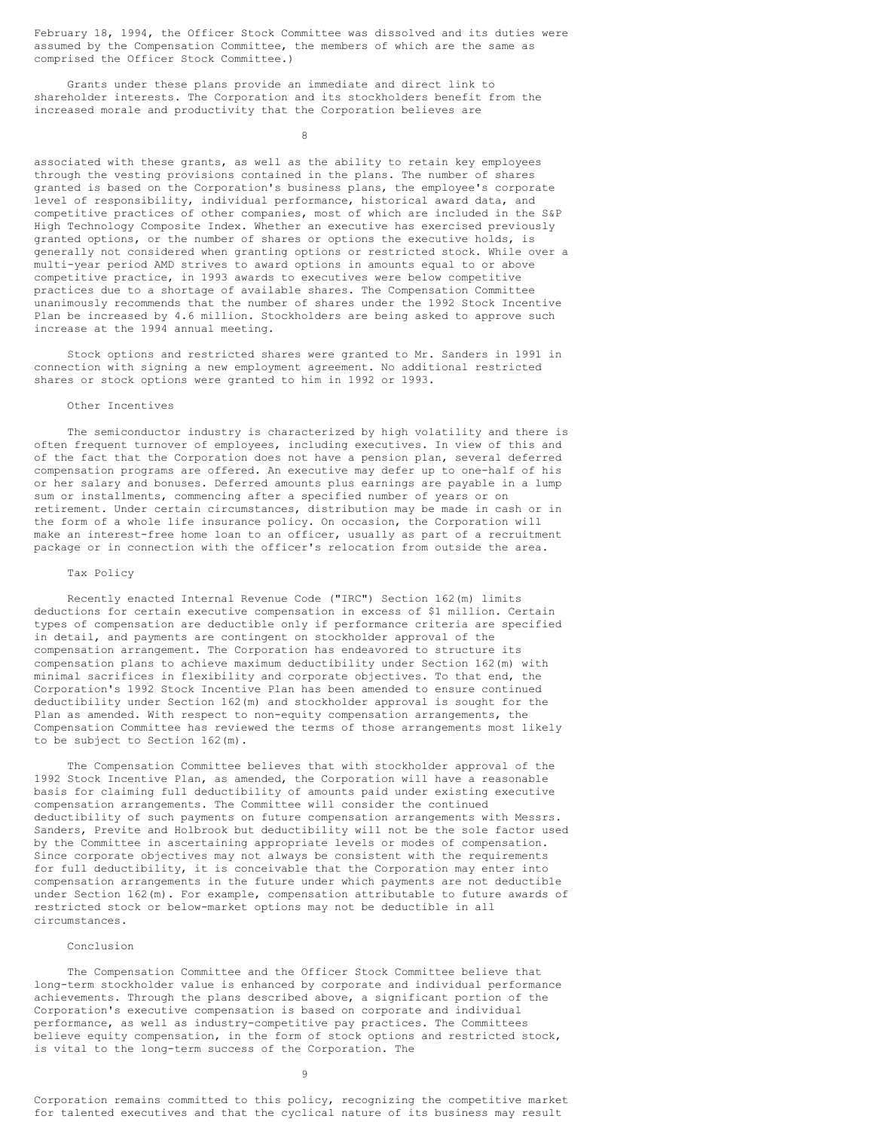February 18, 1994, the Officer Stock Committee was dissolved and its duties were assumed by the Compensation Committee, the members of which are the same as comprised the Officer Stock Committee.)

 Grants under these plans provide an immediate and direct link to shareholder interests. The Corporation and its stockholders benefit from the increased morale and productivity that the Corporation believes are

en andere de la provincia de la provincia de la provincia de la provincia de la provincia de la provincia del<br>En la provincia de la provincia de la provincia de la provincia de la provincia de la provincia de la provinci

associated with these grants, as well as the ability to retain key employees through the vesting provisions contained in the plans. The number of shares granted is based on the Corporation's business plans, the employee's corporate level of responsibility, individual performance, historical award data, and competitive practices of other companies, most of which are included in the S&P High Technology Composite Index. Whether an executive has exercised previously granted options, or the number of shares or options the executive holds, is generally not considered when granting options or restricted stock. While over a multi-year period AMD strives to award options in amounts equal to or above competitive practice, in 1993 awards to executives were below competitive practices due to a shortage of available shares. The Compensation Committee unanimously recommends that the number of shares under the 1992 Stock Incentive Plan be increased by 4.6 million. Stockholders are being asked to approve such increase at the 1994 annual meeting.

 Stock options and restricted shares were granted to Mr. Sanders in 1991 in connection with signing a new employment agreement. No additional restricted shares or stock options were granted to him in 1992 or 1993.

### Other Incentives

 The semiconductor industry is characterized by high volatility and there is often frequent turnover of employees, including executives. In view of this and of the fact that the Corporation does not have a pension plan, several deferred compensation programs are offered. An executive may defer up to one-half of his or her salary and bonuses. Deferred amounts plus earnings are payable in a lump sum or installments, commencing after a specified number of years or on retirement. Under certain circumstances, distribution may be made in cash or in the form of a whole life insurance policy. On occasion, the Corporation will make an interest-free home loan to an officer, usually as part of a recruitment package or in connection with the officer's relocation from outside the area.

# Tax Policy

 Recently enacted Internal Revenue Code ("IRC") Section 162(m) limits deductions for certain executive compensation in excess of \$1 million. Certain types of compensation are deductible only if performance criteria are specified in detail, and payments are contingent on stockholder approval of the compensation arrangement. The Corporation has endeavored to structure its compensation plans to achieve maximum deductibility under Section 162(m) with minimal sacrifices in flexibility and corporate objectives. To that end, the Corporation's 1992 Stock Incentive Plan has been amended to ensure continued deductibility under Section 162(m) and stockholder approval is sought for the Plan as amended. With respect to non-equity compensation arrangements, the Compensation Committee has reviewed the terms of those arrangements most likely to be subject to Section 162(m).

 The Compensation Committee believes that with stockholder approval of the 1992 Stock Incentive Plan, as amended, the Corporation will have a reasonable basis for claiming full deductibility of amounts paid under existing executive compensation arrangements. The Committee will consider the continued deductibility of such payments on future compensation arrangements with Messrs. Sanders, Previte and Holbrook but deductibility will not be the sole factor used by the Committee in ascertaining appropriate levels or modes of compensation. Since corporate objectives may not always be consistent with the requirements for full deductibility, it is conceivable that the Corporation may enter into compensation arrangements in the future under which payments are not deductible under Section 162(m). For example, compensation attributable to future awards of restricted stock or below-market options may not be deductible in all circumstances.

# Conclusion

 The Compensation Committee and the Officer Stock Committee believe that long-term stockholder value is enhanced by corporate and individual performance achievements. Through the plans described above, a significant portion of the Corporation's executive compensation is based on corporate and individual performance, as well as industry-competitive pay practices. The Committees believe equity compensation, in the form of stock options and restricted stock, is vital to the long-term success of the Corporation. The

Corporation remains committed to this policy, recognizing the competitive market for talented executives and that the cyclical nature of its business may result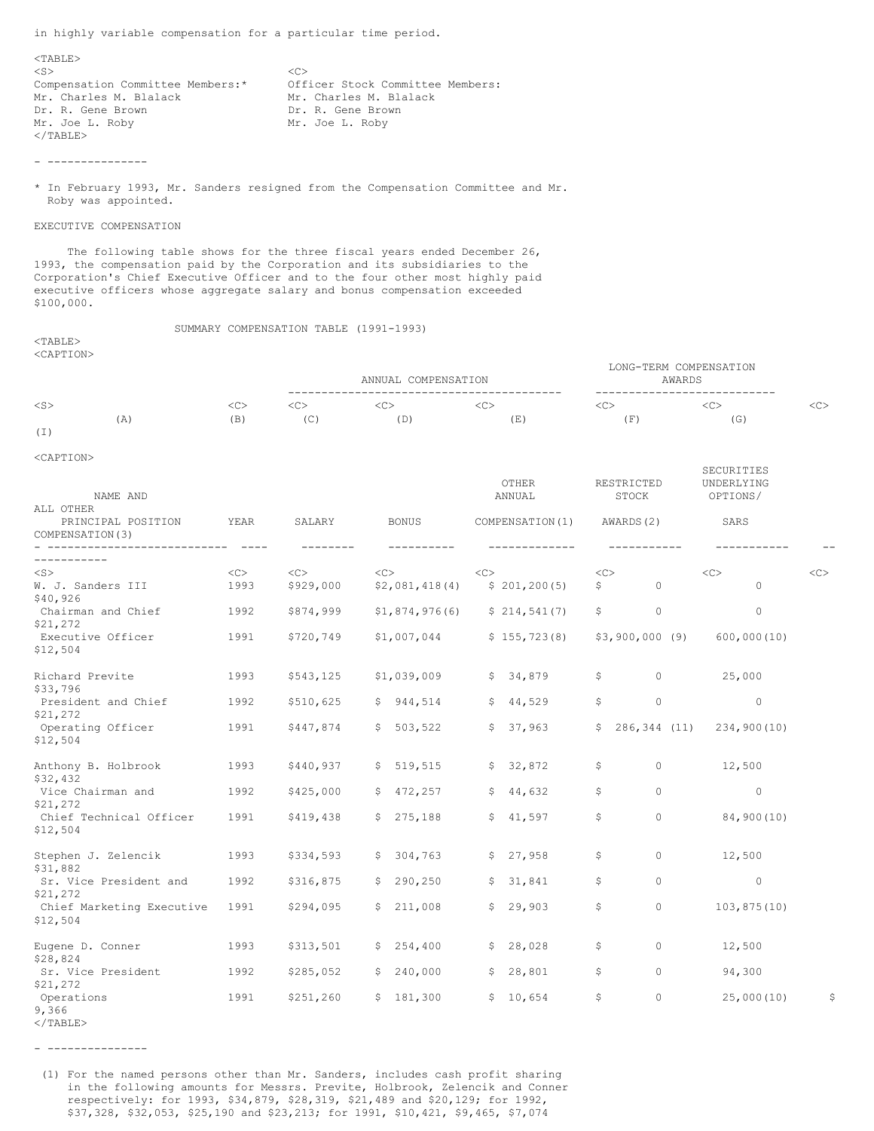in highly variable compensation for a particular time period.

 $<$ TABLE $>$  $<$ S $>$  $\langle$ S>  $\langle$ C> Compensation Committee Members:\* Officer Stock Committee Members: om, Charles M. Blalack Mr. Charles M. Blalack<br>
Mr. Charles M. Blalack Mr. Charles M. Blalack<br>
Dr. R. Gene Brown Dr. R. Gene Brown Mr. Joe L. Roby Mr. Joe L. Roby  $<$ /TABLE>

- ---------------

\* In February 1993, Mr. Sanders resigned from the Compensation Committee and Mr. Roby was appointed.

## EXECUTIVE COMPENSATION

 The following table shows for the three fiscal years ended December 26, 1993, the compensation paid by the Corporation and its subsidiaries to the Corporation's Chief Executive Officer and to the four other most highly paid executive officers whose aggregate salary and bonus compensation exceeded \$100,000.

SUMMARY COMPENSATION TABLE (1991-1993)

#### $<$ TABLE> <CAPTION>

|           |     |         |         | ANNUAL COMPENSATION |     |                | LONG-TERM COMPENSATION<br>AWARDS |     |
|-----------|-----|---------|---------|---------------------|-----|----------------|----------------------------------|-----|
| $<$ S $>$ |     | <c></c> | <c></c> |                     | くじつ |                |                                  | くじつ |
| $(\bot)$  | (A) | (B)     | (C      | D)                  | (E) | Έ.<br><b>I</b> | (G)                              |     |

# <CAPTION>

| NAME AND<br>ALL OTHER                      |                      |                        |                                | <b>OTHER</b><br>ANNUAL          | RESTRICTED<br>STOCK       | SECURITIES<br>UNDERLYING<br>OPTIONS/ |    |
|--------------------------------------------|----------------------|------------------------|--------------------------------|---------------------------------|---------------------------|--------------------------------------|----|
| PRINCIPAL POSITION<br>COMPENSATION (3)     | YEAR<br>$- - - - -$  | SALARY<br>--------     | <b>BONUS</b><br>----------     | COMPENSATION(1)                 | AWARDS (2)<br>----------- | SARS                                 |    |
|                                            |                      |                        |                                |                                 |                           |                                      |    |
| $<$ S $>$<br>W. J. Sanders III<br>\$40,926 | $\langle$ C><br>1993 | $<<$ $>>$<br>\$929,000 | $\langle$ C><br>\$2,081,418(4) | < <sub><br/>\$201, 200(5)</sub> | <<<br>\$<br>$\Omega$      | <<<br>$\Omega$                       | << |
| Chairman and Chief<br>\$21,272             | 1992                 | \$874,999              | \$1,874,976(6)                 | \$214,541(7)                    | \$<br>0                   | $\circ$                              |    |
| Executive Officer<br>\$12,504              | 1991                 | \$720,749              | \$1,007,044                    | \$155, 723(8)                   | $$3,900,000$ (9)          | 600,000(10)                          |    |
| Richard Previte<br>\$33,796                | 1993                 | \$543,125              | \$1,039,009                    | \$34,879                        | \$<br>$\Omega$            | 25,000                               |    |
| President and Chief<br>\$21,272            | 1992                 | \$510,625              | \$944,514                      | \$44,529                        | \$<br>$\circ$             | $\circ$                              |    |
| Operating Officer<br>\$12,504              | 1991                 | \$447,874              | \$503,522                      | \$37,963                        | \$286,344(11)             | 234,900(10)                          |    |
| Anthony B. Holbrook<br>\$32,432            | 1993                 | \$440,937              | \$519,515                      | \$32,872                        | \$<br>$\Omega$            | 12,500                               |    |
| Vice Chairman and<br>\$21,272              | 1992                 | \$425,000              | \$472, 257                     | \$44,632                        | \$<br>0                   | $\circ$                              |    |
| Chief Technical Officer<br>\$12,504        | 1991                 | \$419,438              | \$275,188                      | \$41,597                        | \$<br>0                   | 84,900(10)                           |    |
| Stephen J. Zelencik<br>\$31,882            | 1993                 | \$334,593              | \$304,763                      | \$27,958                        | \$<br>$\circ$             | 12,500                               |    |
| Sr. Vice President and<br>\$21,272         | 1992                 | \$316,875              | \$290, 250                     | \$31,841                        | \$<br>$\Omega$            | $\circ$                              |    |
| Chief Marketing Executive<br>\$12,504      | 1991                 | \$294,095              | \$211,008                      | \$29,903                        | \$<br>$\circ$             | 103, 875(10)                         |    |
| Eugene D. Conner<br>\$28,824               | 1993                 | \$313,501              | \$254,400                      | \$28,028                        | \$<br>$\Omega$            | 12,500                               |    |
| Sr. Vice President<br>\$21,272             | 1992                 | \$285,052              | \$240,000                      | 28,801<br>\$                    | \$<br>$\Omega$            | 94,300                               |    |
| Operations<br>9,366                        | 1991                 | \$251, 260             | \$181,300                      | \$10,654                        | \$<br>0                   | 25,000(10)                           | \$ |

</TABLE>

- ---------------

 (1) For the named persons other than Mr. Sanders, includes cash profit sharing in the following amounts for Messrs. Previte, Holbrook, Zelencik and Conner respectively: for 1993, \$34,879, \$28,319, \$21,489 and \$20,129; for 1992, \$37,328, \$32,053, \$25,190 and \$23,213; for 1991, \$10,421, \$9,465, \$7,074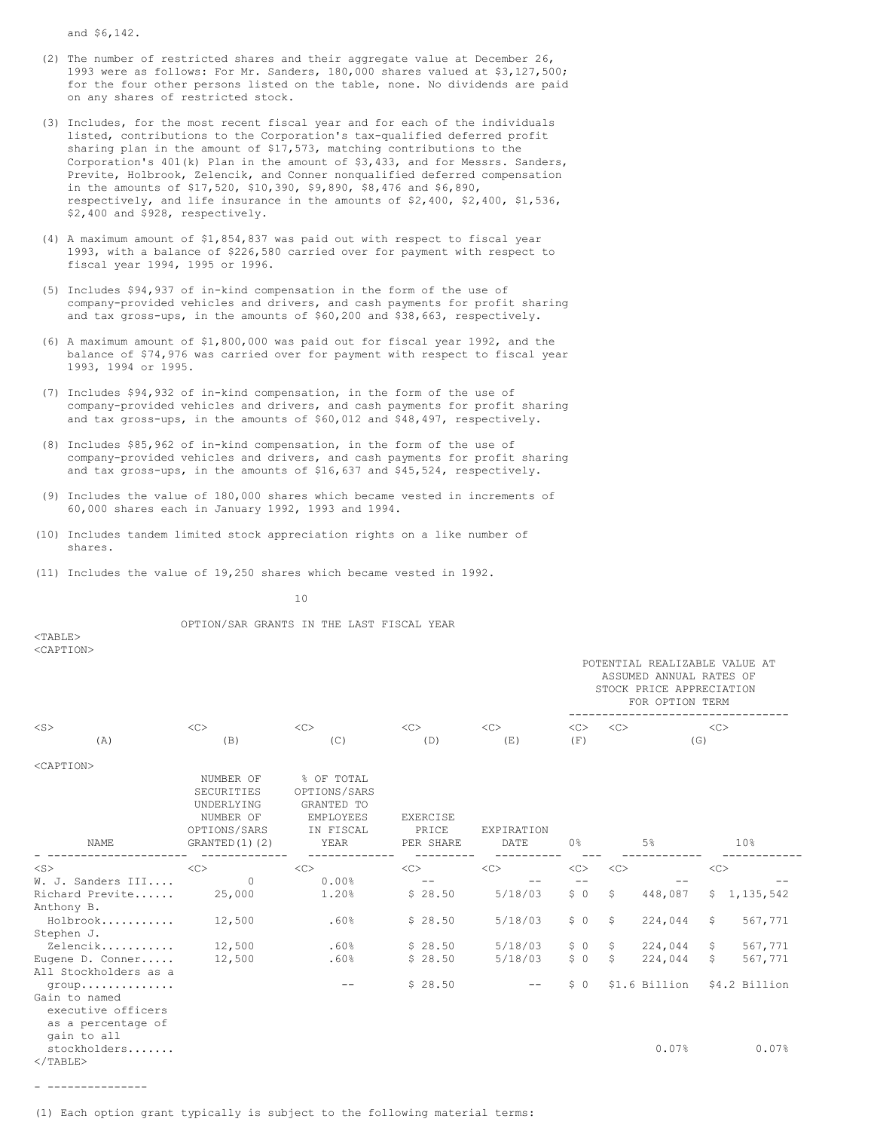and \$6,142.

- (2) The number of restricted shares and their aggregate value at December 26, 1993 were as follows: For Mr. Sanders, 180,000 shares valued at \$3,127,500; for the four other persons listed on the table, none. No dividends are paid on any shares of restricted stock.
- (3) Includes, for the most recent fiscal year and for each of the individuals listed, contributions to the Corporation's tax-qualified deferred profit sharing plan in the amount of \$17,573, matching contributions to the Corporation's 401(k) Plan in the amount of \$3,433, and for Messrs. Sanders, Previte, Holbrook, Zelencik, and Conner nonqualified deferred compensation in the amounts of \$17,520, \$10,390, \$9,890, \$8,476 and \$6,890, respectively, and life insurance in the amounts of \$2,400, \$2,400, \$1,536, \$2,400 and \$928, respectively.
- (4) A maximum amount of \$1,854,837 was paid out with respect to fiscal year 1993, with a balance of \$226,580 carried over for payment with respect to fiscal year 1994, 1995 or 1996.
- (5) Includes \$94,937 of in-kind compensation in the form of the use of company-provided vehicles and drivers, and cash payments for profit sharing and tax gross-ups, in the amounts of \$60,200 and \$38,663, respectively.
- (6) A maximum amount of \$1,800,000 was paid out for fiscal year 1992, and the balance of \$74,976 was carried over for payment with respect to fiscal year 1993, 1994 or 1995.
- (7) Includes \$94,932 of in-kind compensation, in the form of the use of company-provided vehicles and drivers, and cash payments for profit sharing and tax gross-ups, in the amounts of \$60,012 and \$48,497, respectively.
- (8) Includes \$85,962 of in-kind compensation, in the form of the use of company-provided vehicles and drivers, and cash payments for profit sharing and tax gross-ups, in the amounts of \$16,637 and \$45,524, respectively.
- (9) Includes the value of 180,000 shares which became vested in increments of 60,000 shares each in January 1992, 1993 and 1994.
- (10) Includes tandem limited stock appreciation rights on a like number of shares.
- (11) Includes the value of 19,250 shares which became vested in 1992.

10

OPTION/SAR GRANTS IN THE LAST FISCAL YEAR

<TABLE>  $\sim$ CAPTONS

| --------- |     |         |         |    | POTENTIAL REALIZABLE VALUE AT<br>ASSUMED ANNUAL RATES OF<br>STOCK PRICE APPRECIATION<br>FOR OPTION TERM |               |  |  |
|-----------|-----|---------|---------|----|---------------------------------------------------------------------------------------------------------|---------------|--|--|
| $<$ S>    |     | <c></c> | <c></c> |    |                                                                                                         | < <sub></sub> |  |  |
| Ά         | (B, | (C)     | D.      | E) |                                                                                                         | (G)           |  |  |

 $\angle$ CAPTONS

| <b>NAME</b>                                                              | NUMBER OF<br>SECURITIES<br>UNDERLYING<br>NUMBER OF<br>OPTIONS/SARS<br>GRANTED(1)(2) | % OF TOTAL<br>OPTIONS/SARS<br>GRANTED TO<br>EMPLOYEES<br>IN FISCAL<br>YEAR | <b>EXERCISE</b><br>PRICE<br>PER SHARE | EXPIRATION<br>DATE | 0 <sup>°</sup> |              | 5%            |    | 10%           |  |
|--------------------------------------------------------------------------|-------------------------------------------------------------------------------------|----------------------------------------------------------------------------|---------------------------------------|--------------------|----------------|--------------|---------------|----|---------------|--|
| $<$ S $>$                                                                | <<                                                                                  | <<                                                                         | <<                                    | <<                 | <<             | <<           |               | << |               |  |
| W. J. Sanders III                                                        | $\Omega$                                                                            | 0.00%                                                                      | $ -$                                  |                    |                |              |               |    |               |  |
| Richard Previte                                                          | 25,000                                                                              | 1.20%                                                                      | \$28.50                               | 5/18/03            | \$0            | \$           | 448,087       |    | \$1,135,542   |  |
| Anthony B.                                                               |                                                                                     |                                                                            |                                       |                    |                |              |               |    |               |  |
| Holbrook                                                                 | 12,500                                                                              | .60%                                                                       | \$28.50                               | 5/18/03            | \$0            | \$           | 224,044       | S. | 567,771       |  |
| Stephen J.                                                               |                                                                                     |                                                                            |                                       |                    |                |              |               |    |               |  |
| Zelencik                                                                 | 12,500                                                                              | .60%                                                                       | \$28.50                               | 5/18/03            | \$0            | $\mathsf{S}$ | 224,044       | \$ | 567,771       |  |
| Eugene D. Conner                                                         | 12,500                                                                              | .60%                                                                       | \$28.50                               | 5/18/03            | \$0            | Ŝ.           | 224,044       | S. | 567,771       |  |
| All Stockholders as a                                                    |                                                                                     |                                                                            |                                       |                    |                |              |               |    |               |  |
| $q$ roup                                                                 |                                                                                     |                                                                            | \$28.50                               | --                 | \$0            |              | \$1.6 Billion |    | \$4.2 Billion |  |
| Gain to named<br>executive officers<br>as a percentage of<br>gain to all |                                                                                     |                                                                            |                                       |                    |                |              |               |    |               |  |
| stockholders<br>$\langle$ /TABLE>                                        |                                                                                     |                                                                            |                                       |                    |                |              | 0.07%         |    | 0.07%         |  |

- ---------------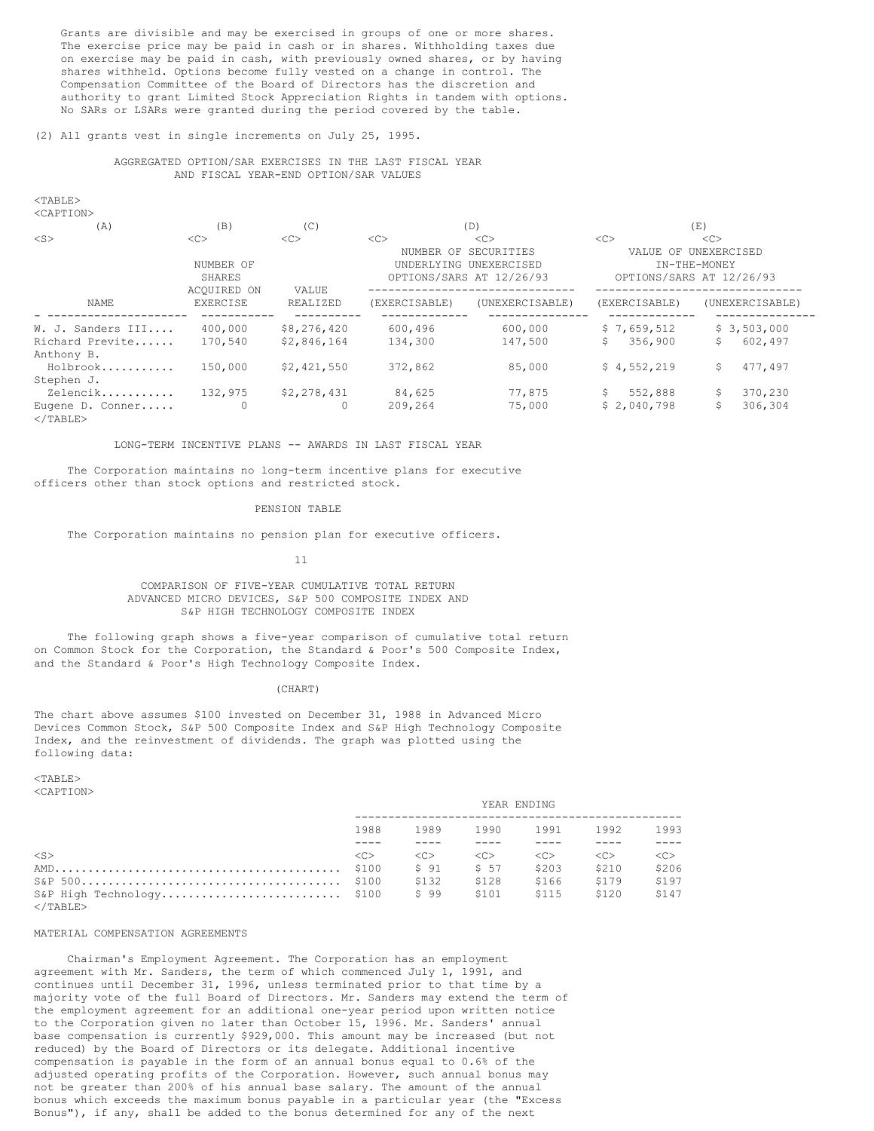Grants are divisible and may be exercised in groups of one or more shares. The exercise price may be paid in cash or in shares. Withholding taxes due on exercise may be paid in cash, with previously owned shares, or by having shares withheld. Options become fully vested on a change in control. The Compensation Committee of the Board of Directors has the discretion and authority to grant Limited Stock Appreciation Rights in tandem with options. No SARs or LSARs were granted during the period covered by the table.

#### (2) All grants vest in single increments on July 25, 1995.

### AGGREGATED OPTION/SAR EXERCISES IN THE LAST FISCAL YEAR AND FISCAL YEAR-END OPTION/SAR VALUES

| ۰.<br>× |  |
|---------|--|
|         |  |

| <caption></caption>                   |                                           |             |               |                                                                            |               |                                                         |
|---------------------------------------|-------------------------------------------|-------------|---------------|----------------------------------------------------------------------------|---------------|---------------------------------------------------------|
| (A)                                   | (B)                                       | (C)         |               | (D)                                                                        |               | (E)                                                     |
| $<$ S $>$                             | <<                                        | <<          | <<            | <<                                                                         | <<            | <<                                                      |
|                                       | NUMBER OF<br><b>SHARES</b><br>ACOUIRED ON | VALUE       |               | NUMBER OF SECURITIES<br>UNDERLYING UNEXERCISED<br>OPTIONS/SARS AT 12/26/93 | VALUE OF      | UNEXERCISED<br>IN-THE-MONEY<br>OPTIONS/SARS AT 12/26/93 |
| NAME                                  | <b>EXERCISE</b>                           | REALIZED    | (EXERCISABLE) | (UNEXERCISABLE)                                                            | (EXERCISABLE) | (UNEXERCISABLE)                                         |
| W. J. Sanders III                     | 400,000                                   | \$8,276,420 | 600,496       | 600,000                                                                    | \$7,659,512   | \$3,503,000                                             |
| Richard Previte                       | 170,540                                   | \$2,846,164 | 134,300       | 147,500                                                                    | 356,900<br>S. | Ŝ.<br>602,497                                           |
| Anthony B.                            |                                           |             |               |                                                                            |               |                                                         |
| Holbrook                              | 150,000                                   | \$2,421,550 | 372,862       | 85,000                                                                     | \$4,552,219   | 477,497<br>Ŝ.                                           |
| Stephen J.                            |                                           |             |               |                                                                            |               |                                                         |
| Zelencik                              | 132,975                                   | \$2,278,431 | 84,625        | 77,875                                                                     | 552,888<br>S. | 370,230                                                 |
| Eugene D. Conner<br>$\langle$ /TABLE> |                                           |             | 209,264       | 75,000                                                                     | \$2,040,798   | Ŝ<br>306,304                                            |

LONG-TERM INCENTIVE PLANS -- AWARDS IN LAST FISCAL YEAR

 The Corporation maintains no long-term incentive plans for executive officers other than stock options and restricted stock.

#### PENSION TABLE

The Corporation maintains no pension plan for executive officers.

 $11$ 

# COMPARISON OF FIVE-YEAR CUMULATIVE TOTAL RETURN ADVANCED MICRO DEVICES, S&P 500 COMPOSITE INDEX AND S&P HIGH TECHNOLOGY COMPOSITE INDEX

 The following graph shows a five-year comparison of cumulative total return on Common Stock for the Corporation, the Standard & Poor's 500 Composite Index, and the Standard & Poor's High Technology Composite Index.

#### (CHART)

The chart above assumes \$100 invested on December 31, 1988 in Advanced Micro Devices Common Stock, S&P 500 Composite Index and S&P High Technology Composite Index, and the reinvestment of dividends. The graph was plotted using the following data:

 $<$ TABLE> <CAPTION>

|                           | YEAR ENDING         |               |               |               |                     |       |
|---------------------------|---------------------|---------------|---------------|---------------|---------------------|-------|
|                           | 1988                | 1989          |               | 1990 1991     | 1992                | 1993  |
|                           |                     |               |               |               |                     |       |
| $<$ S>                    | $\langle C \rangle$ | < <sub></sub> | < <sub></sub> | < <sub></sub> | $\langle C \rangle$ | <<    |
|                           |                     | \$91          | \$ 57         | \$203         | \$210               | \$206 |
|                           |                     | \$132         | \$128         | \$166         | \$179               | \$197 |
| S&P High Technology \$100 |                     | \$99          | \$101         | \$115         | \$120               | \$147 |
| $\langle$ /TABLE>         |                     |               |               |               |                     |       |

#### MATERIAL COMPENSATION AGREEMENTS

 Chairman's Employment Agreement. The Corporation has an employment agreement with Mr. Sanders, the term of which commenced July 1, 1991, and continues until December 31, 1996, unless terminated prior to that time by a majority vote of the full Board of Directors. Mr. Sanders may extend the term of the employment agreement for an additional one-year period upon written notice to the Corporation given no later than October 15, 1996. Mr. Sanders' annual base compensation is currently \$929,000. This amount may be increased (but not reduced) by the Board of Directors or its delegate. Additional incentive compensation is payable in the form of an annual bonus equal to 0.6% of the adjusted operating profits of the Corporation. However, such annual bonus may not be greater than 200% of his annual base salary. The amount of the annual bonus which exceeds the maximum bonus payable in a particular year (the "Excess Bonus"), if any, shall be added to the bonus determined for any of the next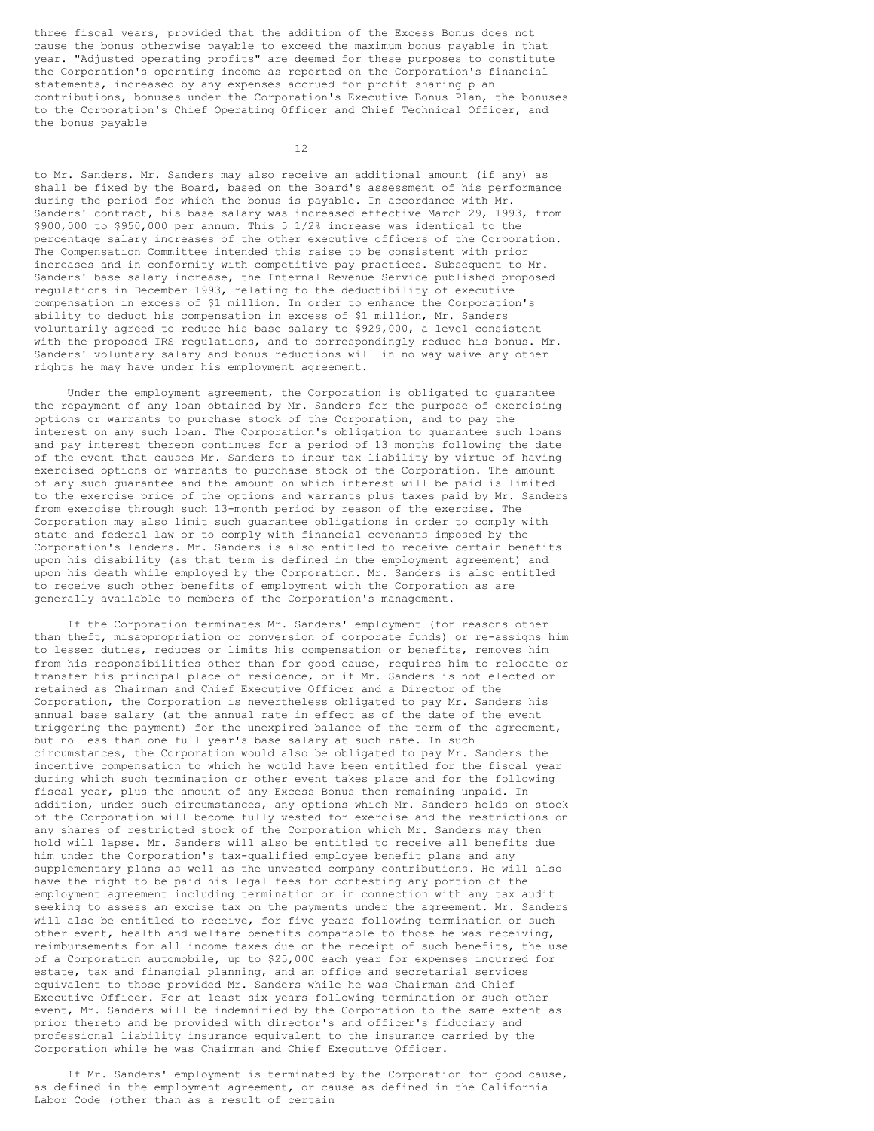three fiscal years, provided that the addition of the Excess Bonus does not cause the bonus otherwise payable to exceed the maximum bonus payable in that year. "Adjusted operating profits" are deemed for these purposes to constitute the Corporation's operating income as reported on the Corporation's financial statements, increased by any expenses accrued for profit sharing plan contributions, bonuses under the Corporation's Executive Bonus Plan, the bonuses to the Corporation's Chief Operating Officer and Chief Technical Officer, and the bonus payable

12

to Mr. Sanders. Mr. Sanders may also receive an additional amount (if any) as shall be fixed by the Board, based on the Board's assessment of his performance during the period for which the bonus is payable. In accordance with Mr. Sanders' contract, his base salary was increased effective March 29, 1993, from \$900,000 to \$950,000 per annum. This 5 1/2% increase was identical to the percentage salary increases of the other executive officers of the Corporation. The Compensation Committee intended this raise to be consistent with prior increases and in conformity with competitive pay practices. Subsequent to Mr. Sanders' base salary increase, the Internal Revenue Service published proposed regulations in December 1993, relating to the deductibility of executive compensation in excess of \$1 million. In order to enhance the Corporation's ability to deduct his compensation in excess of \$1 million, Mr. Sanders voluntarily agreed to reduce his base salary to \$929,000, a level consistent with the proposed IRS regulations, and to correspondingly reduce his bonus. Mr. Sanders' voluntary salary and bonus reductions will in no way waive any other rights he may have under his employment agreement.

 Under the employment agreement, the Corporation is obligated to guarantee the repayment of any loan obtained by Mr. Sanders for the purpose of exercising options or warrants to purchase stock of the Corporation, and to pay the interest on any such loan. The Corporation's obligation to guarantee such loans and pay interest thereon continues for a period of 13 months following the date of the event that causes Mr. Sanders to incur tax liability by virtue of having exercised options or warrants to purchase stock of the Corporation. The amount of any such guarantee and the amount on which interest will be paid is limited to the exercise price of the options and warrants plus taxes paid by Mr. Sanders from exercise through such 13-month period by reason of the exercise. The Corporation may also limit such guarantee obligations in order to comply with state and federal law or to comply with financial covenants imposed by the Corporation's lenders. Mr. Sanders is also entitled to receive certain benefits upon his disability (as that term is defined in the employment agreement) and upon his death while employed by the Corporation. Mr. Sanders is also entitled to receive such other benefits of employment with the Corporation as are generally available to members of the Corporation's management.

 If the Corporation terminates Mr. Sanders' employment (for reasons other than theft, misappropriation or conversion of corporate funds) or re-assigns him to lesser duties, reduces or limits his compensation or benefits, removes him from his responsibilities other than for good cause, requires him to relocate or transfer his principal place of residence, or if Mr. Sanders is not elected or retained as Chairman and Chief Executive Officer and a Director of the Corporation, the Corporation is nevertheless obligated to pay Mr. Sanders his annual base salary (at the annual rate in effect as of the date of the event triggering the payment) for the unexpired balance of the term of the agreement, but no less than one full year's base salary at such rate. In such circumstances, the Corporation would also be obligated to pay Mr. Sanders the incentive compensation to which he would have been entitled for the fiscal year during which such termination or other event takes place and for the following fiscal year, plus the amount of any Excess Bonus then remaining unpaid. In addition, under such circumstances, any options which Mr. Sanders holds on stock of the Corporation will become fully vested for exercise and the restrictions on any shares of restricted stock of the Corporation which Mr. Sanders may then hold will lapse. Mr. Sanders will also be entitled to receive all benefits due him under the Corporation's tax-qualified employee benefit plans and any supplementary plans as well as the unvested company contributions. He will also have the right to be paid his legal fees for contesting any portion of the employment agreement including termination or in connection with any tax audit seeking to assess an excise tax on the payments under the agreement. Mr. Sanders will also be entitled to receive, for five years following termination or such other event, health and welfare benefits comparable to those he was receiving, reimbursements for all income taxes due on the receipt of such benefits, the use of a Corporation automobile, up to \$25,000 each year for expenses incurred for estate, tax and financial planning, and an office and secretarial services equivalent to those provided Mr. Sanders while he was Chairman and Chief Executive Officer. For at least six years following termination or such other event, Mr. Sanders will be indemnified by the Corporation to the same extent as prior thereto and be provided with director's and officer's fiduciary and professional liability insurance equivalent to the insurance carried by the Corporation while he was Chairman and Chief Executive Officer.

 If Mr. Sanders' employment is terminated by the Corporation for good cause, as defined in the employment agreement, or cause as defined in the California Labor Code (other than as a result of certain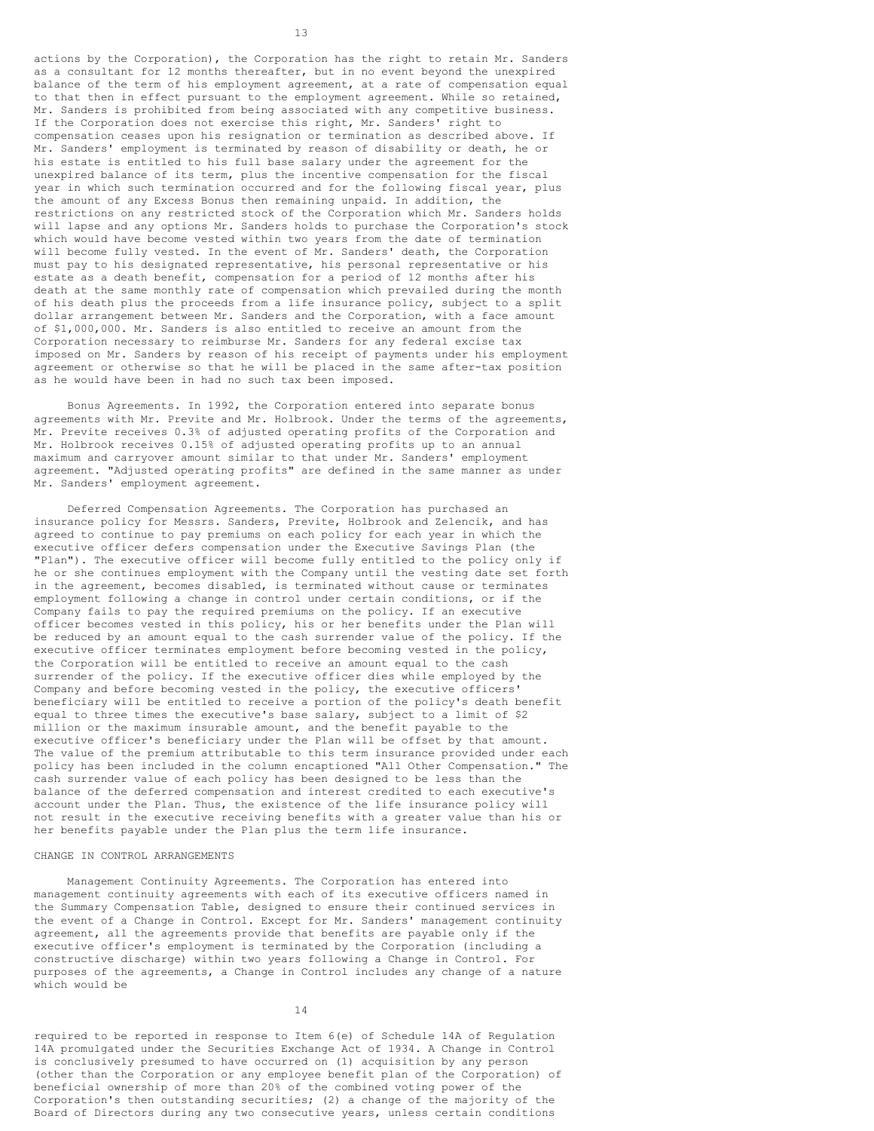actions by the Corporation), the Corporation has the right to retain Mr. Sanders as a consultant for 12 months thereafter, but in no event beyond the unexpired balance of the term of his employment agreement, at a rate of compensation equal to that then in effect pursuant to the employment agreement. While so retained, Mr. Sanders is prohibited from being associated with any competitive business. If the Corporation does not exercise this right, Mr. Sanders' right to compensation ceases upon his resignation or termination as described above. If Mr. Sanders' employment is terminated by reason of disability or death, he or his estate is entitled to his full base salary under the agreement for the unexpired balance of its term, plus the incentive compensation for the fiscal year in which such termination occurred and for the following fiscal year, plus the amount of any Excess Bonus then remaining unpaid. In addition, the restrictions on any restricted stock of the Corporation which Mr. Sanders holds will lapse and any options Mr. Sanders holds to purchase the Corporation's stock which would have become vested within two years from the date of termination will become fully vested. In the event of Mr. Sanders' death, the Corporation must pay to his designated representative, his personal representative or his estate as a death benefit, compensation for a period of 12 months after his death at the same monthly rate of compensation which prevailed during the month of his death plus the proceeds from a life insurance policy, subject to a split dollar arrangement between Mr. Sanders and the Corporation, with a face amount of \$1,000,000. Mr. Sanders is also entitled to receive an amount from the Corporation necessary to reimburse Mr. Sanders for any federal excise tax imposed on Mr. Sanders by reason of his receipt of payments under his employment agreement or otherwise so that he will be placed in the same after-tax position as he would have been in had no such tax been imposed.

 Bonus Agreements. In 1992, the Corporation entered into separate bonus agreements with Mr. Previte and Mr. Holbrook. Under the terms of the agreements, Mr. Previte receives 0.3% of adjusted operating profits of the Corporation and Mr. Holbrook receives 0.15% of adjusted operating profits up to an annual maximum and carryover amount similar to that under Mr. Sanders' employment agreement. "Adjusted operating profits" are defined in the same manner as under Mr. Sanders' employment agreement.

 Deferred Compensation Agreements. The Corporation has purchased an insurance policy for Messrs. Sanders, Previte, Holbrook and Zelencik, and has agreed to continue to pay premiums on each policy for each year in which the executive officer defers compensation under the Executive Savings Plan (the "Plan"). The executive officer will become fully entitled to the policy only if he or she continues employment with the Company until the vesting date set forth in the agreement, becomes disabled, is terminated without cause or terminates employment following a change in control under certain conditions, or if the Company fails to pay the required premiums on the policy. If an executive officer becomes vested in this policy, his or her benefits under the Plan will be reduced by an amount equal to the cash surrender value of the policy. If the executive officer terminates employment before becoming vested in the policy, the Corporation will be entitled to receive an amount equal to the cash surrender of the policy. If the executive officer dies while employed by the Company and before becoming vested in the policy, the executive officers' beneficiary will be entitled to receive a portion of the policy's death benefit equal to three times the executive's base salary, subject to a limit of \$2 million or the maximum insurable amount, and the benefit payable to the executive officer's beneficiary under the Plan will be offset by that amount. The value of the premium attributable to this term insurance provided under each policy has been included in the column encaptioned "All Other Compensation." The cash surrender value of each policy has been designed to be less than the balance of the deferred compensation and interest credited to each executive's account under the Plan. Thus, the existence of the life insurance policy will not result in the executive receiving benefits with a greater value than his or her benefits payable under the Plan plus the term life insurance.

# CHANGE IN CONTROL ARRANGEMENTS

 Management Continuity Agreements. The Corporation has entered into management continuity agreements with each of its executive officers named in the Summary Compensation Table, designed to ensure their continued services in the event of a Change in Control. Except for Mr. Sanders' management continuity agreement, all the agreements provide that benefits are payable only if the executive officer's employment is terminated by the Corporation (including a constructive discharge) within two years following a Change in Control. For purposes of the agreements, a Change in Control includes any change of a nature which would be

14

required to be reported in response to Item 6(e) of Schedule 14A of Regulation 14A promulgated under the Securities Exchange Act of 1934. A Change in Control is conclusively presumed to have occurred on (1) acquisition by any person (other than the Corporation or any employee benefit plan of the Corporation) of beneficial ownership of more than 20% of the combined voting power of the Corporation's then outstanding securities; (2) a change of the majority of the Board of Directors during any two consecutive years, unless certain conditions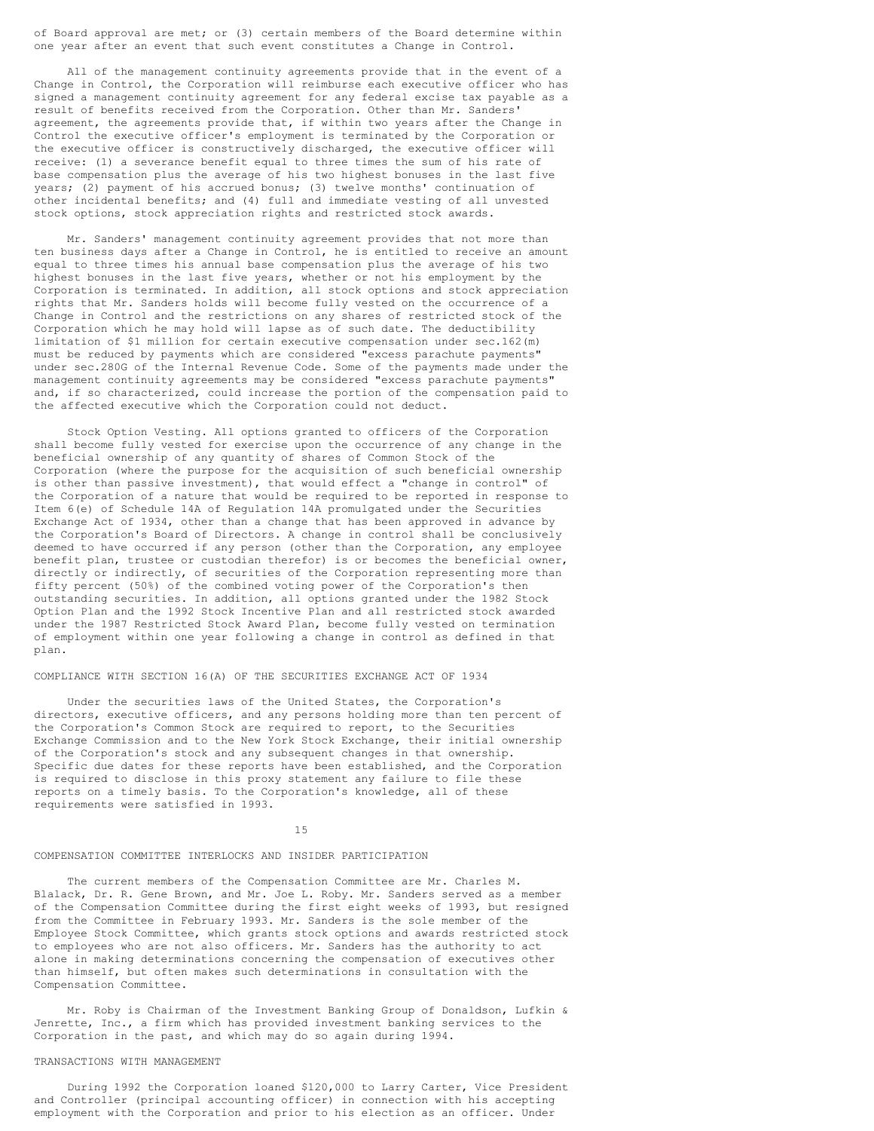of Board approval are met; or (3) certain members of the Board determine within one year after an event that such event constitutes a Change in Control.

 All of the management continuity agreements provide that in the event of a Change in Control, the Corporation will reimburse each executive officer who has signed a management continuity agreement for any federal excise tax payable as a result of benefits received from the Corporation. Other than Mr. Sanders' agreement, the agreements provide that, if within two years after the Change in Control the executive officer's employment is terminated by the Corporation or the executive officer is constructively discharged, the executive officer will receive: (1) a severance benefit equal to three times the sum of his rate of base compensation plus the average of his two highest bonuses in the last five years; (2) payment of his accrued bonus; (3) twelve months' continuation of other incidental benefits; and (4) full and immediate vesting of all unvested stock options, stock appreciation rights and restricted stock awards.

 Mr. Sanders' management continuity agreement provides that not more than ten business days after a Change in Control, he is entitled to receive an amount equal to three times his annual base compensation plus the average of his two highest bonuses in the last five years, whether or not his employment by the Corporation is terminated. In addition, all stock options and stock appreciation rights that Mr. Sanders holds will become fully vested on the occurrence of a Change in Control and the restrictions on any shares of restricted stock of the Corporation which he may hold will lapse as of such date. The deductibility limitation of \$1 million for certain executive compensation under sec.162(m) must be reduced by payments which are considered "excess parachute payments" under sec.280G of the Internal Revenue Code. Some of the payments made under the management continuity agreements may be considered "excess parachute payments" and, if so characterized, could increase the portion of the compensation paid to the affected executive which the Corporation could not deduct.

 Stock Option Vesting. All options granted to officers of the Corporation shall become fully vested for exercise upon the occurrence of any change in the beneficial ownership of any quantity of shares of Common Stock of the Corporation (where the purpose for the acquisition of such beneficial ownership is other than passive investment), that would effect a "change in control" of the Corporation of a nature that would be required to be reported in response to Item 6(e) of Schedule 14A of Regulation 14A promulgated under the Securities Exchange Act of 1934, other than a change that has been approved in advance by the Corporation's Board of Directors. A change in control shall be conclusively deemed to have occurred if any person (other than the Corporation, any employee benefit plan, trustee or custodian therefor) is or becomes the beneficial owner, directly or indirectly, of securities of the Corporation representing more than fifty percent (50%) of the combined voting power of the Corporation's then outstanding securities. In addition, all options granted under the 1982 Stock Option Plan and the 1992 Stock Incentive Plan and all restricted stock awarded under the 1987 Restricted Stock Award Plan, become fully vested on termination of employment within one year following a change in control as defined in that plan.

# COMPLIANCE WITH SECTION 16(A) OF THE SECURITIES EXCHANGE ACT OF 1934

 Under the securities laws of the United States, the Corporation's directors, executive officers, and any persons holding more than ten percent of the Corporation's Common Stock are required to report, to the Securities Exchange Commission and to the New York Stock Exchange, their initial ownership of the Corporation's stock and any subsequent changes in that ownership. Specific due dates for these reports have been established, and the Corporation is required to disclose in this proxy statement any failure to file these reports on a timely basis. To the Corporation's knowledge, all of these requirements were satisfied in 1993.

15

# COMPENSATION COMMITTEE INTERLOCKS AND INSIDER PARTICIPATION

 The current members of the Compensation Committee are Mr. Charles M. Blalack, Dr. R. Gene Brown, and Mr. Joe L. Roby. Mr. Sanders served as a member of the Compensation Committee during the first eight weeks of 1993, but resigned from the Committee in February 1993. Mr. Sanders is the sole member of the Employee Stock Committee, which grants stock options and awards restricted stock to employees who are not also officers. Mr. Sanders has the authority to act alone in making determinations concerning the compensation of executives other than himself, but often makes such determinations in consultation with the Compensation Committee.

 Mr. Roby is Chairman of the Investment Banking Group of Donaldson, Lufkin & Jenrette, Inc., a firm which has provided investment banking services to the Corporation in the past, and which may do so again during 1994.

# TRANSACTIONS WITH MANAGEMENT

 During 1992 the Corporation loaned \$120,000 to Larry Carter, Vice President and Controller (principal accounting officer) in connection with his accepting employment with the Corporation and prior to his election as an officer. Under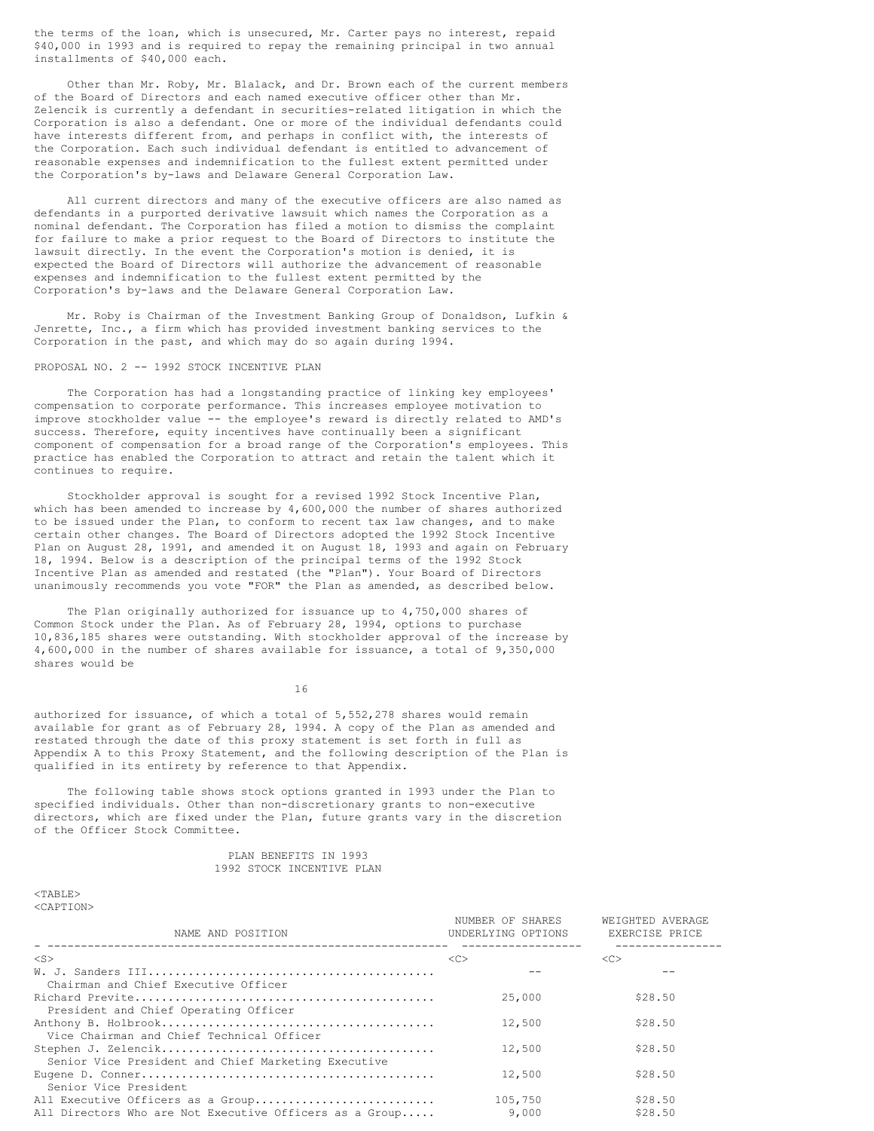the terms of the loan, which is unsecured, Mr. Carter pays no interest, repaid \$40,000 in 1993 and is required to repay the remaining principal in two annual installments of \$40,000 each.

 Other than Mr. Roby, Mr. Blalack, and Dr. Brown each of the current members of the Board of Directors and each named executive officer other than Mr. Zelencik is currently a defendant in securities-related litigation in which the Corporation is also a defendant. One or more of the individual defendants could have interests different from, and perhaps in conflict with, the interests of the Corporation. Each such individual defendant is entitled to advancement of reasonable expenses and indemnification to the fullest extent permitted under the Corporation's by-laws and Delaware General Corporation Law.

 All current directors and many of the executive officers are also named as defendants in a purported derivative lawsuit which names the Corporation as a nominal defendant. The Corporation has filed a motion to dismiss the complaint for failure to make a prior request to the Board of Directors to institute the lawsuit directly. In the event the Corporation's motion is denied, it is expected the Board of Directors will authorize the advancement of reasonable expenses and indemnification to the fullest extent permitted by the Corporation's by-laws and the Delaware General Corporation Law.

 Mr. Roby is Chairman of the Investment Banking Group of Donaldson, Lufkin & Jenrette, Inc., a firm which has provided investment banking services to the Corporation in the past, and which may do so again during 1994.

# PROPOSAL NO. 2 -- 1992 STOCK INCENTIVE PLAN

 The Corporation has had a longstanding practice of linking key employees' compensation to corporate performance. This increases employee motivation to improve stockholder value -- the employee's reward is directly related to AMD's success. Therefore, equity incentives have continually been a significant component of compensation for a broad range of the Corporation's employees. This practice has enabled the Corporation to attract and retain the talent which it continues to require.

 Stockholder approval is sought for a revised 1992 Stock Incentive Plan, which has been amended to increase by 4,600,000 the number of shares authorized to be issued under the Plan, to conform to recent tax law changes, and to make certain other changes. The Board of Directors adopted the 1992 Stock Incentive Plan on August 28, 1991, and amended it on August 18, 1993 and again on February 18, 1994. Below is a description of the principal terms of the 1992 Stock Incentive Plan as amended and restated (the "Plan"). Your Board of Directors unanimously recommends you vote "FOR" the Plan as amended, as described below.

 The Plan originally authorized for issuance up to 4,750,000 shares of Common Stock under the Plan. As of February 28, 1994, options to purchase 10,836,185 shares were outstanding. With stockholder approval of the increase by 4,600,000 in the number of shares available for issuance, a total of 9,350,000 shares would be

16

authorized for issuance, of which a total of 5,552,278 shares would remain available for grant as of February 28, 1994. A copy of the Plan as amended and restated through the date of this proxy statement is set forth in full as Appendix A to this Proxy Statement, and the following description of the Plan is qualified in its entirety by reference to that Appendix.

 The following table shows stock options granted in 1993 under the Plan to specified individuals. Other than non-discretionary grants to non-executive directors, which are fixed under the Plan, future grants vary in the discretion of the Officer Stock Committee.

### PLAN BENEFITS IN 1993 1992 STOCK INCENTIVE PLAN

 $<sub>TART.F.</sub>$ </sub> <CAPTION>

| NAME AND POSITION                                       | NUMBER OF SHARES<br>UNDERLYING OPTIONS | WEIGHTED AVERAGE<br>EXERCISE PRICE |
|---------------------------------------------------------|----------------------------------------|------------------------------------|
| $<$ S $>$                                               | <<                                     | <<                                 |
|                                                         |                                        |                                    |
| Chairman and Chief Executive Officer                    |                                        |                                    |
|                                                         | 25,000                                 | \$28.50                            |
| President and Chief Operating Officer                   |                                        |                                    |
|                                                         | 12,500                                 | \$28.50                            |
| Vice Chairman and Chief Technical Officer               |                                        |                                    |
|                                                         | 12,500                                 | \$28.50                            |
| Senior Vice President and Chief Marketing Executive     |                                        |                                    |
|                                                         | 12,500                                 | \$28.50                            |
| Senior Vice President                                   |                                        |                                    |
| All Executive Officers as a Group                       | 105,750                                | \$28.50                            |
| All Directors Who are Not Executive Officers as a Group | 9,000                                  | \$28.50                            |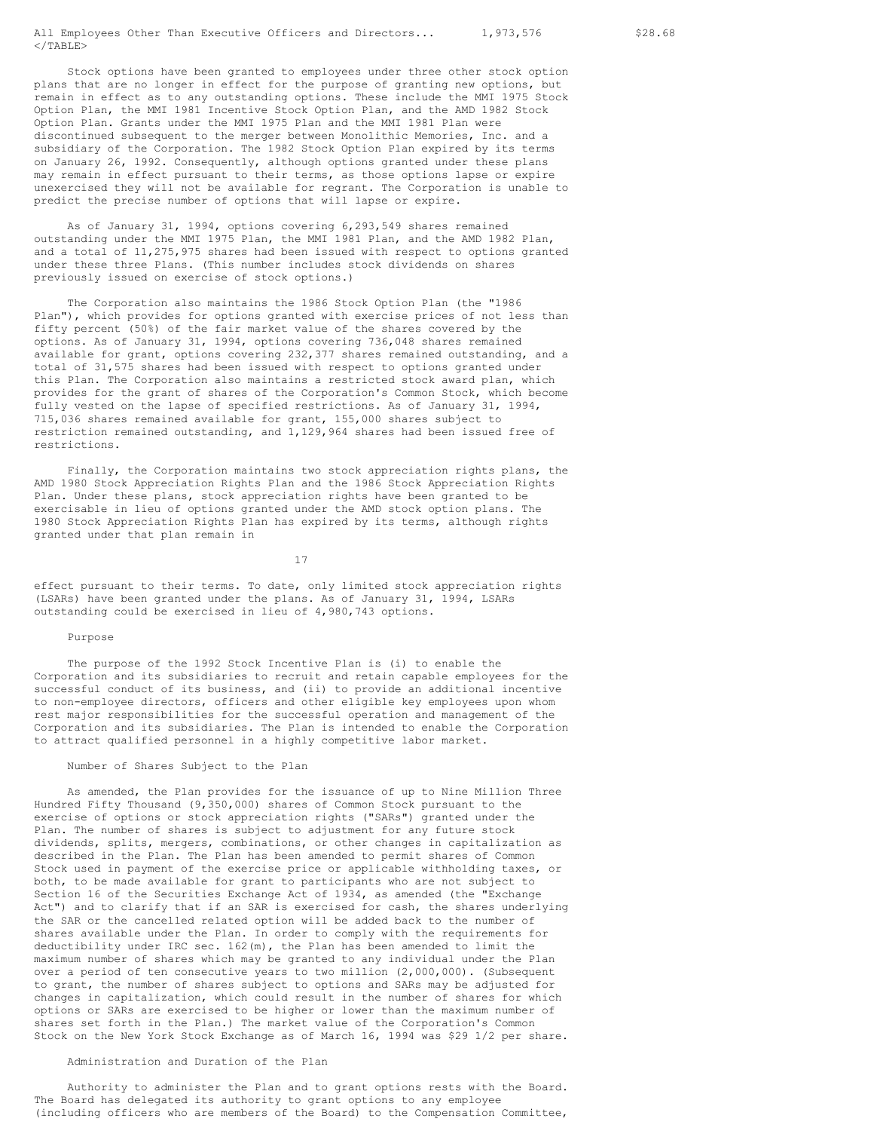All Employees Other Than Executive Officers and Directors... 1,973,576 \$28.68  $\langle$ /TABLE>

 Stock options have been granted to employees under three other stock option plans that are no longer in effect for the purpose of granting new options, but remain in effect as to any outstanding options. These include the MMI 1975 Stock Option Plan, the MMI 1981 Incentive Stock Option Plan, and the AMD 1982 Stock Option Plan. Grants under the MMI 1975 Plan and the MMI 1981 Plan were discontinued subsequent to the merger between Monolithic Memories, Inc. and a subsidiary of the Corporation. The 1982 Stock Option Plan expired by its terms on January 26, 1992. Consequently, although options granted under these plans may remain in effect pursuant to their terms, as those options lapse or expire unexercised they will not be available for regrant. The Corporation is unable to predict the precise number of options that will lapse or expire.

 As of January 31, 1994, options covering 6,293,549 shares remained outstanding under the MMI 1975 Plan, the MMI 1981 Plan, and the AMD 1982 Plan, and a total of 11,275,975 shares had been issued with respect to options granted under these three Plans. (This number includes stock dividends on shares previously issued on exercise of stock options.)

 The Corporation also maintains the 1986 Stock Option Plan (the "1986 Plan"), which provides for options granted with exercise prices of not less than fifty percent (50%) of the fair market value of the shares covered by the options. As of January 31, 1994, options covering 736,048 shares remained available for grant, options covering 232,377 shares remained outstanding, and a total of 31,575 shares had been issued with respect to options granted under this Plan. The Corporation also maintains a restricted stock award plan, which provides for the grant of shares of the Corporation's Common Stock, which become fully vested on the lapse of specified restrictions. As of January 31, 1994, 715,036 shares remained available for grant, 155,000 shares subject to restriction remained outstanding, and 1,129,964 shares had been issued free of restrictions.

 Finally, the Corporation maintains two stock appreciation rights plans, the AMD 1980 Stock Appreciation Rights Plan and the 1986 Stock Appreciation Rights Plan. Under these plans, stock appreciation rights have been granted to be exercisable in lieu of options granted under the AMD stock option plans. The 1980 Stock Appreciation Rights Plan has expired by its terms, although rights granted under that plan remain in

17

effect pursuant to their terms. To date, only limited stock appreciation rights (LSARs) have been granted under the plans. As of January 31, 1994, LSARs outstanding could be exercised in lieu of 4,980,743 options.

## Purpose

 The purpose of the 1992 Stock Incentive Plan is (i) to enable the Corporation and its subsidiaries to recruit and retain capable employees for the successful conduct of its business, and (ii) to provide an additional incentive to non-employee directors, officers and other eligible key employees upon whom rest major responsibilities for the successful operation and management of the Corporation and its subsidiaries. The Plan is intended to enable the Corporation to attract qualified personnel in a highly competitive labor market.

# Number of Shares Subject to the Plan

 As amended, the Plan provides for the issuance of up to Nine Million Three Hundred Fifty Thousand (9,350,000) shares of Common Stock pursuant to the exercise of options or stock appreciation rights ("SARs") granted under the Plan. The number of shares is subject to adjustment for any future stock dividends, splits, mergers, combinations, or other changes in capitalization as described in the Plan. The Plan has been amended to permit shares of Common Stock used in payment of the exercise price or applicable withholding taxes, or both, to be made available for grant to participants who are not subject to Section 16 of the Securities Exchange Act of 1934, as amended (the "Exchange Act") and to clarify that if an SAR is exercised for cash, the shares underlying the SAR or the cancelled related option will be added back to the number of shares available under the Plan. In order to comply with the requirements for deductibility under IRC sec.  $162(m)$ , the Plan has been amended to limit the maximum number of shares which may be granted to any individual under the Plan over a period of ten consecutive years to two million (2,000,000). (Subsequent to grant, the number of shares subject to options and SARs may be adjusted for changes in capitalization, which could result in the number of shares for which options or SARs are exercised to be higher or lower than the maximum number of shares set forth in the Plan.) The market value of the Corporation's Common Stock on the New York Stock Exchange as of March 16, 1994 was \$29 1/2 per share.

## Administration and Duration of the Plan

 Authority to administer the Plan and to grant options rests with the Board. The Board has delegated its authority to grant options to any employee (including officers who are members of the Board) to the Compensation Committee,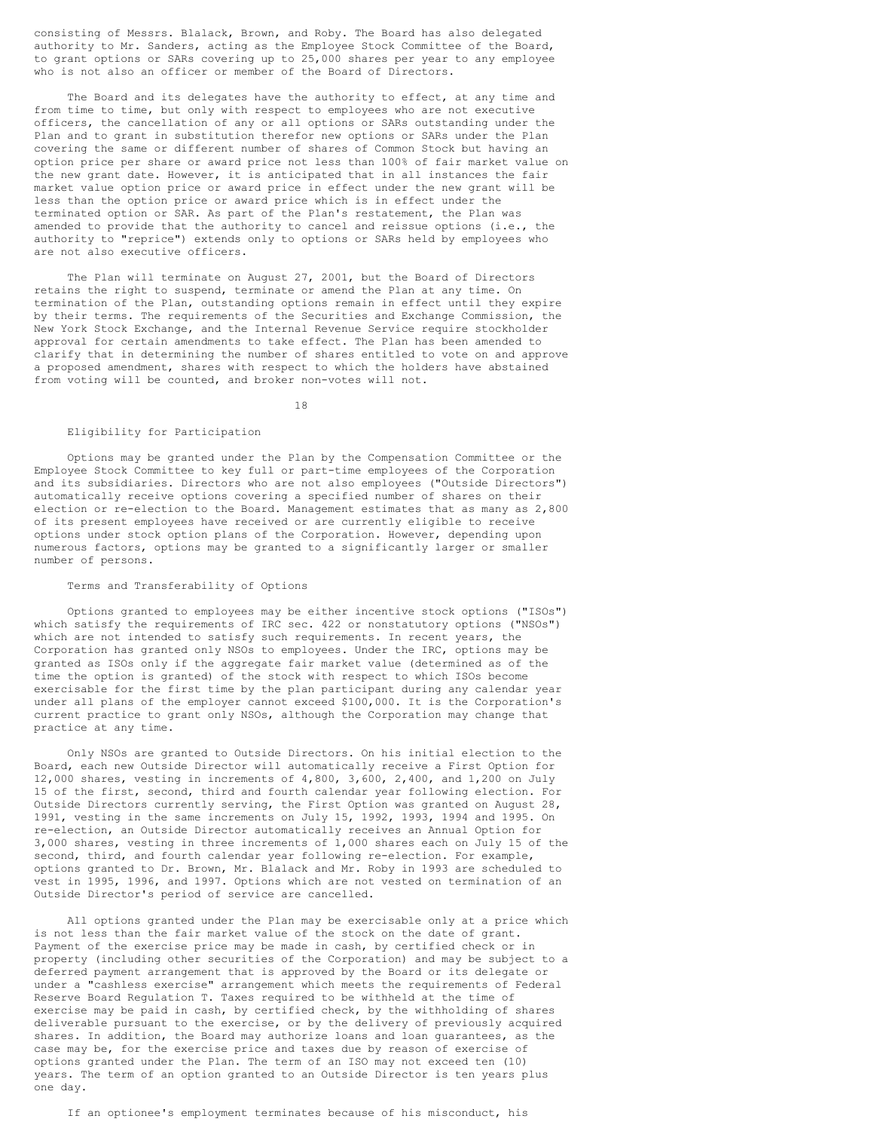consisting of Messrs. Blalack, Brown, and Roby. The Board has also delegated authority to Mr. Sanders, acting as the Employee Stock Committee of the Board, to grant options or SARs covering up to 25,000 shares per year to any employee who is not also an officer or member of the Board of Directors.

 The Board and its delegates have the authority to effect, at any time and from time to time, but only with respect to employees who are not executive officers, the cancellation of any or all options or SARs outstanding under the Plan and to grant in substitution therefor new options or SARs under the Plan covering the same or different number of shares of Common Stock but having an option price per share or award price not less than 100% of fair market value on the new grant date. However, it is anticipated that in all instances the fair market value option price or award price in effect under the new grant will be less than the option price or award price which is in effect under the terminated option or SAR. As part of the Plan's restatement, the Plan was amended to provide that the authority to cancel and reissue options (i.e., the authority to "reprice") extends only to options or SARs held by employees who are not also executive officers.

 The Plan will terminate on August 27, 2001, but the Board of Directors retains the right to suspend, terminate or amend the Plan at any time. On termination of the Plan, outstanding options remain in effect until they expire by their terms. The requirements of the Securities and Exchange Commission, the New York Stock Exchange, and the Internal Revenue Service require stockholder approval for certain amendments to take effect. The Plan has been amended to clarify that in determining the number of shares entitled to vote on and approve a proposed amendment, shares with respect to which the holders have abstained from voting will be counted, and broker non-votes will not.

18

# Eligibility for Participation

 Options may be granted under the Plan by the Compensation Committee or the Employee Stock Committee to key full or part-time employees of the Corporation and its subsidiaries. Directors who are not also employees ("Outside Directors") automatically receive options covering a specified number of shares on their election or re-election to the Board. Management estimates that as many as 2,800 of its present employees have received or are currently eligible to receive options under stock option plans of the Corporation. However, depending upon numerous factors, options may be granted to a significantly larger or smaller number of persons.

## Terms and Transferability of Options

 Options granted to employees may be either incentive stock options ("ISOs") which satisfy the requirements of IRC sec. 422 or nonstatutory options ("NSOs") which are not intended to satisfy such requirements. In recent years, the Corporation has granted only NSOs to employees. Under the IRC, options may be granted as ISOs only if the aggregate fair market value (determined as of the time the option is granted) of the stock with respect to which ISOs become exercisable for the first time by the plan participant during any calendar year under all plans of the employer cannot exceed \$100,000. It is the Corporation's current practice to grant only NSOs, although the Corporation may change that practice at any time.

 Only NSOs are granted to Outside Directors. On his initial election to the Board, each new Outside Director will automatically receive a First Option for 12,000 shares, vesting in increments of 4,800, 3,600, 2,400, and 1,200 on July 15 of the first, second, third and fourth calendar year following election. For Outside Directors currently serving, the First Option was granted on August 28, 1991, vesting in the same increments on July 15, 1992, 1993, 1994 and 1995. On re-election, an Outside Director automatically receives an Annual Option for 3,000 shares, vesting in three increments of 1,000 shares each on July 15 of the second, third, and fourth calendar year following re-election. For example, options granted to Dr. Brown, Mr. Blalack and Mr. Roby in 1993 are scheduled to vest in 1995, 1996, and 1997. Options which are not vested on termination of an Outside Director's period of service are cancelled.

 All options granted under the Plan may be exercisable only at a price which is not less than the fair market value of the stock on the date of grant. Payment of the exercise price may be made in cash, by certified check or in property (including other securities of the Corporation) and may be subject to a deferred payment arrangement that is approved by the Board or its delegate or under a "cashless exercise" arrangement which meets the requirements of Federal Reserve Board Regulation T. Taxes required to be withheld at the time of exercise may be paid in cash, by certified check, by the withholding of shares deliverable pursuant to the exercise, or by the delivery of previously acquired shares. In addition, the Board may authorize loans and loan guarantees, as the case may be, for the exercise price and taxes due by reason of exercise of options granted under the Plan. The term of an ISO may not exceed ten (10) years. The term of an option granted to an Outside Director is ten years plus one day.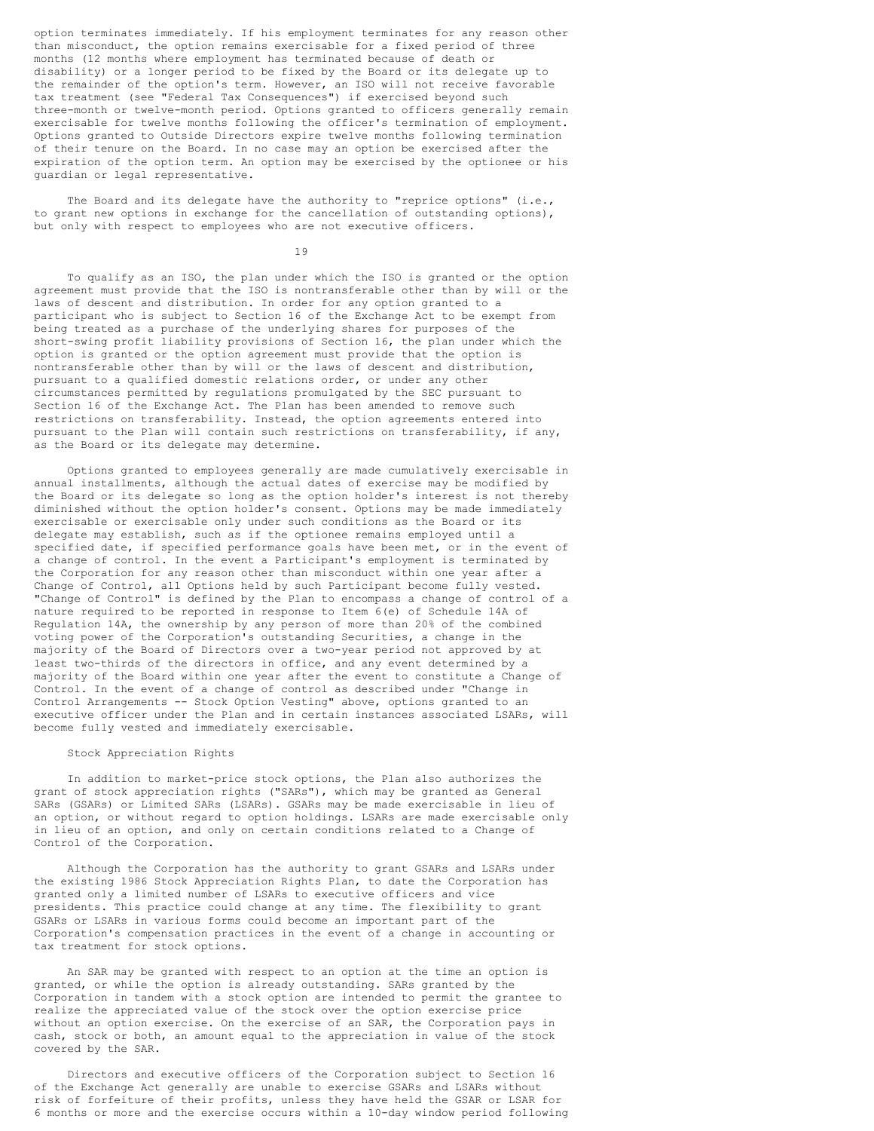option terminates immediately. If his employment terminates for any reason other than misconduct, the option remains exercisable for a fixed period of three months (12 months where employment has terminated because of death or disability) or a longer period to be fixed by the Board or its delegate up to the remainder of the option's term. However, an ISO will not receive favorable tax treatment (see "Federal Tax Consequences") if exercised beyond such three-month or twelve-month period. Options granted to officers generally remain exercisable for twelve months following the officer's termination of employment. Options granted to Outside Directors expire twelve months following termination of their tenure on the Board. In no case may an option be exercised after the expiration of the option term. An option may be exercised by the optionee or his guardian or legal representative.

 The Board and its delegate have the authority to "reprice options" (i.e., to grant new options in exchange for the cancellation of outstanding options), but only with respect to employees who are not executive officers.

19

 To qualify as an ISO, the plan under which the ISO is granted or the option agreement must provide that the ISO is nontransferable other than by will or the laws of descent and distribution. In order for any option granted to a participant who is subject to Section 16 of the Exchange Act to be exempt from being treated as a purchase of the underlying shares for purposes of the short-swing profit liability provisions of Section 16, the plan under which the option is granted or the option agreement must provide that the option is nontransferable other than by will or the laws of descent and distribution, pursuant to a qualified domestic relations order, or under any other circumstances permitted by regulations promulgated by the SEC pursuant to Section 16 of the Exchange Act. The Plan has been amended to remove such restrictions on transferability. Instead, the option agreements entered into pursuant to the Plan will contain such restrictions on transferability, if any, as the Board or its delegate may determine.

 Options granted to employees generally are made cumulatively exercisable in annual installments, although the actual dates of exercise may be modified by the Board or its delegate so long as the option holder's interest is not thereby diminished without the option holder's consent. Options may be made immediately exercisable or exercisable only under such conditions as the Board or its delegate may establish, such as if the optionee remains employed until a specified date, if specified performance goals have been met, or in the event of a change of control. In the event a Participant's employment is terminated by the Corporation for any reason other than misconduct within one year after a Change of Control, all Options held by such Participant become fully vested. "Change of Control" is defined by the Plan to encompass a change of control of a nature required to be reported in response to Item 6(e) of Schedule 14A of Regulation 14A, the ownership by any person of more than 20% of the combined voting power of the Corporation's outstanding Securities, a change in the majority of the Board of Directors over a two-year period not approved by at least two-thirds of the directors in office, and any event determined by a majority of the Board within one year after the event to constitute a Change of Control. In the event of a change of control as described under "Change in Control Arrangements -- Stock Option Vesting" above, options granted to an executive officer under the Plan and in certain instances associated LSARs, will become fully vested and immediately exercisable.

### Stock Appreciation Rights

 In addition to market-price stock options, the Plan also authorizes the grant of stock appreciation rights ("SARs"), which may be granted as General SARs (GSARs) or Limited SARs (LSARs). GSARs may be made exercisable in lieu of an option, or without regard to option holdings. LSARs are made exercisable only in lieu of an option, and only on certain conditions related to a Change of Control of the Corporation.

 Although the Corporation has the authority to grant GSARs and LSARs under the existing 1986 Stock Appreciation Rights Plan, to date the Corporation has granted only a limited number of LSARs to executive officers and vice presidents. This practice could change at any time. The flexibility to grant GSARs or LSARs in various forms could become an important part of the Corporation's compensation practices in the event of a change in accounting or tax treatment for stock options.

 An SAR may be granted with respect to an option at the time an option is granted, or while the option is already outstanding. SARs granted by the Corporation in tandem with a stock option are intended to permit the grantee to realize the appreciated value of the stock over the option exercise price without an option exercise. On the exercise of an SAR, the Corporation pays in cash, stock or both, an amount equal to the appreciation in value of the stock covered by the SAR.

 Directors and executive officers of the Corporation subject to Section 16 of the Exchange Act generally are unable to exercise GSARs and LSARs without risk of forfeiture of their profits, unless they have held the GSAR or LSAR for 6 months or more and the exercise occurs within a 10-day window period following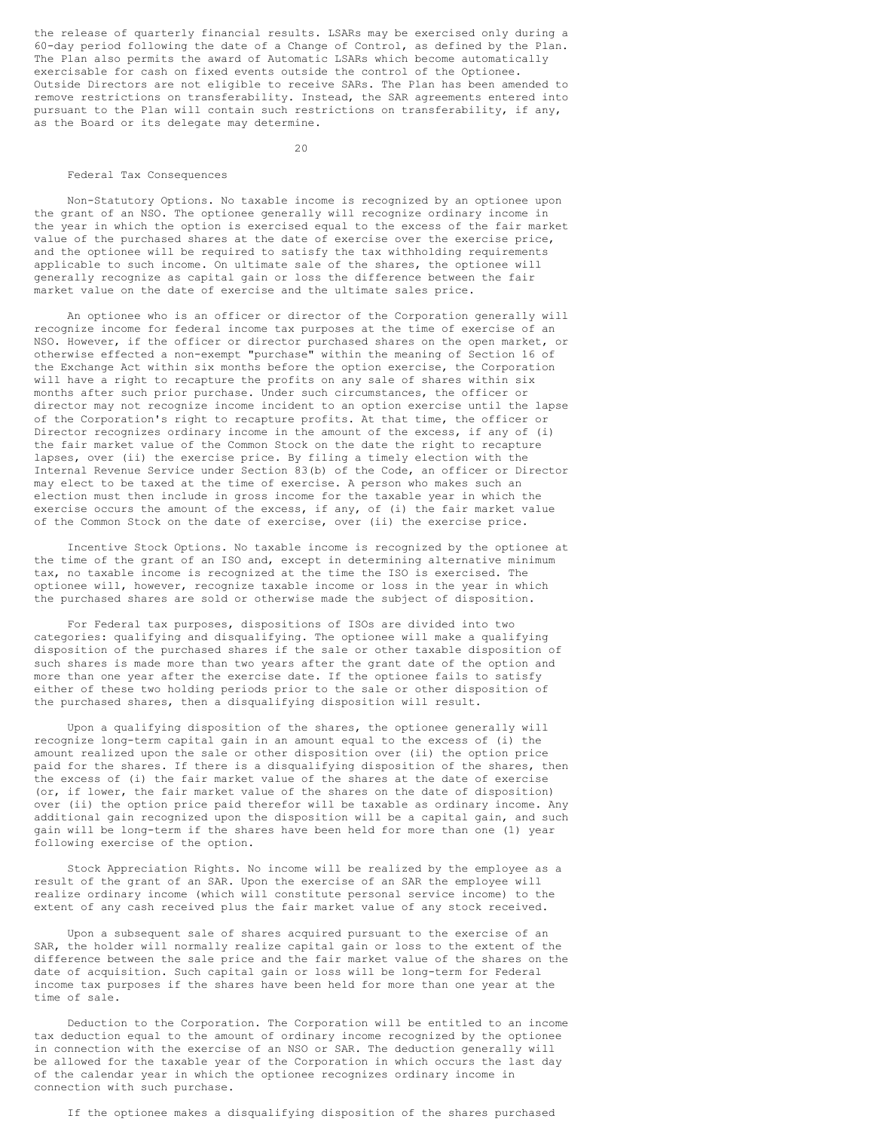the release of quarterly financial results. LSARs may be exercised only during a 60-day period following the date of a Change of Control, as defined by the Plan. The Plan also permits the award of Automatic LSARs which become automatically exercisable for cash on fixed events outside the control of the Optionee. Outside Directors are not eligible to receive SARs. The Plan has been amended to remove restrictions on transferability. Instead, the SAR agreements entered into pursuant to the Plan will contain such restrictions on transferability, if any, as the Board or its delegate may determine.

20

### Federal Tax Consequences

 Non-Statutory Options. No taxable income is recognized by an optionee upon the grant of an NSO. The optionee generally will recognize ordinary income in the year in which the option is exercised equal to the excess of the fair market value of the purchased shares at the date of exercise over the exercise price, and the optionee will be required to satisfy the tax withholding requirements applicable to such income. On ultimate sale of the shares, the optionee will generally recognize as capital gain or loss the difference between the fair market value on the date of exercise and the ultimate sales price.

 An optionee who is an officer or director of the Corporation generally will recognize income for federal income tax purposes at the time of exercise of an NSO. However, if the officer or director purchased shares on the open market, or otherwise effected a non-exempt "purchase" within the meaning of Section 16 of the Exchange Act within six months before the option exercise, the Corporation will have a right to recapture the profits on any sale of shares within six months after such prior purchase. Under such circumstances, the officer or director may not recognize income incident to an option exercise until the lapse of the Corporation's right to recapture profits. At that time, the officer or Director recognizes ordinary income in the amount of the excess, if any of (i) the fair market value of the Common Stock on the date the right to recapture lapses, over (ii) the exercise price. By filing a timely election with the Internal Revenue Service under Section 83(b) of the Code, an officer or Director may elect to be taxed at the time of exercise. A person who makes such an election must then include in gross income for the taxable year in which the exercise occurs the amount of the excess, if any, of (i) the fair market value of the Common Stock on the date of exercise, over (ii) the exercise price.

 Incentive Stock Options. No taxable income is recognized by the optionee at the time of the grant of an ISO and, except in determining alternative minimum tax, no taxable income is recognized at the time the ISO is exercised. The optionee will, however, recognize taxable income or loss in the year in which the purchased shares are sold or otherwise made the subject of disposition.

 For Federal tax purposes, dispositions of ISOs are divided into two categories: qualifying and disqualifying. The optionee will make a qualifying disposition of the purchased shares if the sale or other taxable disposition of such shares is made more than two years after the grant date of the option and more than one year after the exercise date. If the optionee fails to satisfy either of these two holding periods prior to the sale or other disposition of the purchased shares, then a disqualifying disposition will result.

 Upon a qualifying disposition of the shares, the optionee generally will recognize long-term capital gain in an amount equal to the excess of (i) the amount realized upon the sale or other disposition over (ii) the option price paid for the shares. If there is a disqualifying disposition of the shares, then the excess of (i) the fair market value of the shares at the date of exercise (or, if lower, the fair market value of the shares on the date of disposition) over (ii) the option price paid therefor will be taxable as ordinary income. Any additional gain recognized upon the disposition will be a capital gain, and such gain will be long-term if the shares have been held for more than one (1) year following exercise of the option.

 Stock Appreciation Rights. No income will be realized by the employee as a result of the grant of an SAR. Upon the exercise of an SAR the employee will realize ordinary income (which will constitute personal service income) to the extent of any cash received plus the fair market value of any stock received.

 Upon a subsequent sale of shares acquired pursuant to the exercise of an SAR, the holder will normally realize capital gain or loss to the extent of the difference between the sale price and the fair market value of the shares on the date of acquisition. Such capital gain or loss will be long-term for Federal income tax purposes if the shares have been held for more than one year at the time of sale.

 Deduction to the Corporation. The Corporation will be entitled to an income tax deduction equal to the amount of ordinary income recognized by the optionee in connection with the exercise of an NSO or SAR. The deduction generally will be allowed for the taxable year of the Corporation in which occurs the last day of the calendar year in which the optionee recognizes ordinary income in connection with such purchase.

If the optionee makes a disqualifying disposition of the shares purchased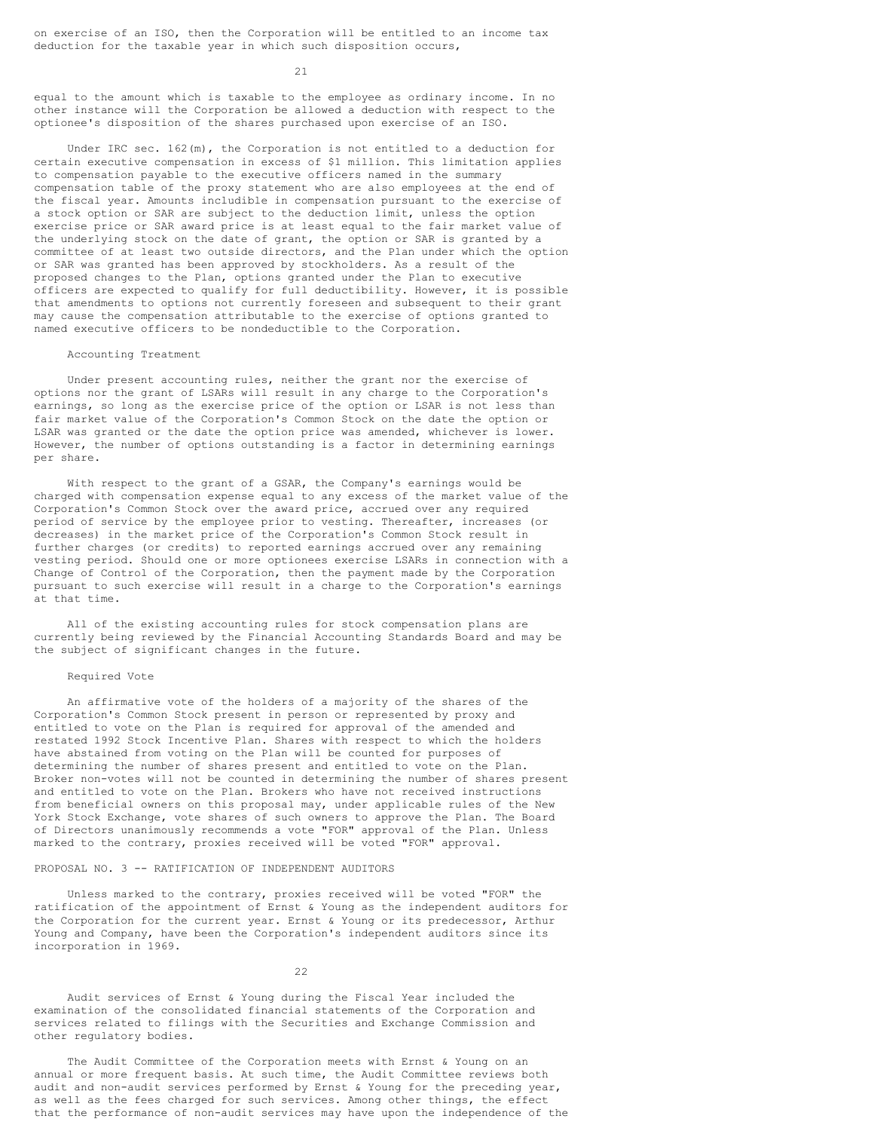on exercise of an ISO, then the Corporation will be entitled to an income tax deduction for the taxable year in which such disposition occurs,

21

equal to the amount which is taxable to the employee as ordinary income. In no other instance will the Corporation be allowed a deduction with respect to the optionee's disposition of the shares purchased upon exercise of an ISO.

 Under IRC sec. 162(m), the Corporation is not entitled to a deduction for certain executive compensation in excess of \$1 million. This limitation applies to compensation payable to the executive officers named in the summary compensation table of the proxy statement who are also employees at the end of the fiscal year. Amounts includible in compensation pursuant to the exercise of a stock option or SAR are subject to the deduction limit, unless the option exercise price or SAR award price is at least equal to the fair market value of the underlying stock on the date of grant, the option or SAR is granted by a committee of at least two outside directors, and the Plan under which the option or SAR was granted has been approved by stockholders. As a result of the proposed changes to the Plan, options granted under the Plan to executive officers are expected to qualify for full deductibility. However, it is possible that amendments to options not currently foreseen and subsequent to their grant may cause the compensation attributable to the exercise of options granted to named executive officers to be nondeductible to the Corporation.

# Accounting Treatment

 Under present accounting rules, neither the grant nor the exercise of options nor the grant of LSARs will result in any charge to the Corporation's earnings, so long as the exercise price of the option or LSAR is not less than fair market value of the Corporation's Common Stock on the date the option or LSAR was granted or the date the option price was amended, whichever is lower. However, the number of options outstanding is a factor in determining earnings per share.

 With respect to the grant of a GSAR, the Company's earnings would be charged with compensation expense equal to any excess of the market value of the Corporation's Common Stock over the award price, accrued over any required period of service by the employee prior to vesting. Thereafter, increases (or decreases) in the market price of the Corporation's Common Stock result in further charges (or credits) to reported earnings accrued over any remaining vesting period. Should one or more optionees exercise LSARs in connection with a Change of Control of the Corporation, then the payment made by the Corporation pursuant to such exercise will result in a charge to the Corporation's earnings at that time.

 All of the existing accounting rules for stock compensation plans are currently being reviewed by the Financial Accounting Standards Board and may be the subject of significant changes in the future.

## Required Vote

 An affirmative vote of the holders of a majority of the shares of the Corporation's Common Stock present in person or represented by proxy and entitled to vote on the Plan is required for approval of the amended and restated 1992 Stock Incentive Plan. Shares with respect to which the holders have abstained from voting on the Plan will be counted for purposes of determining the number of shares present and entitled to vote on the Plan. Broker non-votes will not be counted in determining the number of shares present and entitled to vote on the Plan. Brokers who have not received instructions from beneficial owners on this proposal may, under applicable rules of the New York Stock Exchange, vote shares of such owners to approve the Plan. The Board of Directors unanimously recommends a vote "FOR" approval of the Plan. Unless marked to the contrary, proxies received will be voted "FOR" approval.

#### PROPOSAL NO. 3 -- RATIFICATION OF INDEPENDENT AUDITORS

 Unless marked to the contrary, proxies received will be voted "FOR" the ratification of the appointment of Ernst & Young as the independent auditors for the Corporation for the current year. Ernst & Young or its predecessor, Arthur Young and Company, have been the Corporation's independent auditors since its incorporation in 1969.

22 and 22

 Audit services of Ernst & Young during the Fiscal Year included the examination of the consolidated financial statements of the Corporation and services related to filings with the Securities and Exchange Commission and other regulatory bodies.

The Audit Committee of the Corporation meets with Ernst & Young on an annual or more frequent basis. At such time, the Audit Committee reviews both audit and non-audit services performed by Ernst & Young for the preceding year, as well as the fees charged for such services. Among other things, the effect that the performance of non-audit services may have upon the independence of the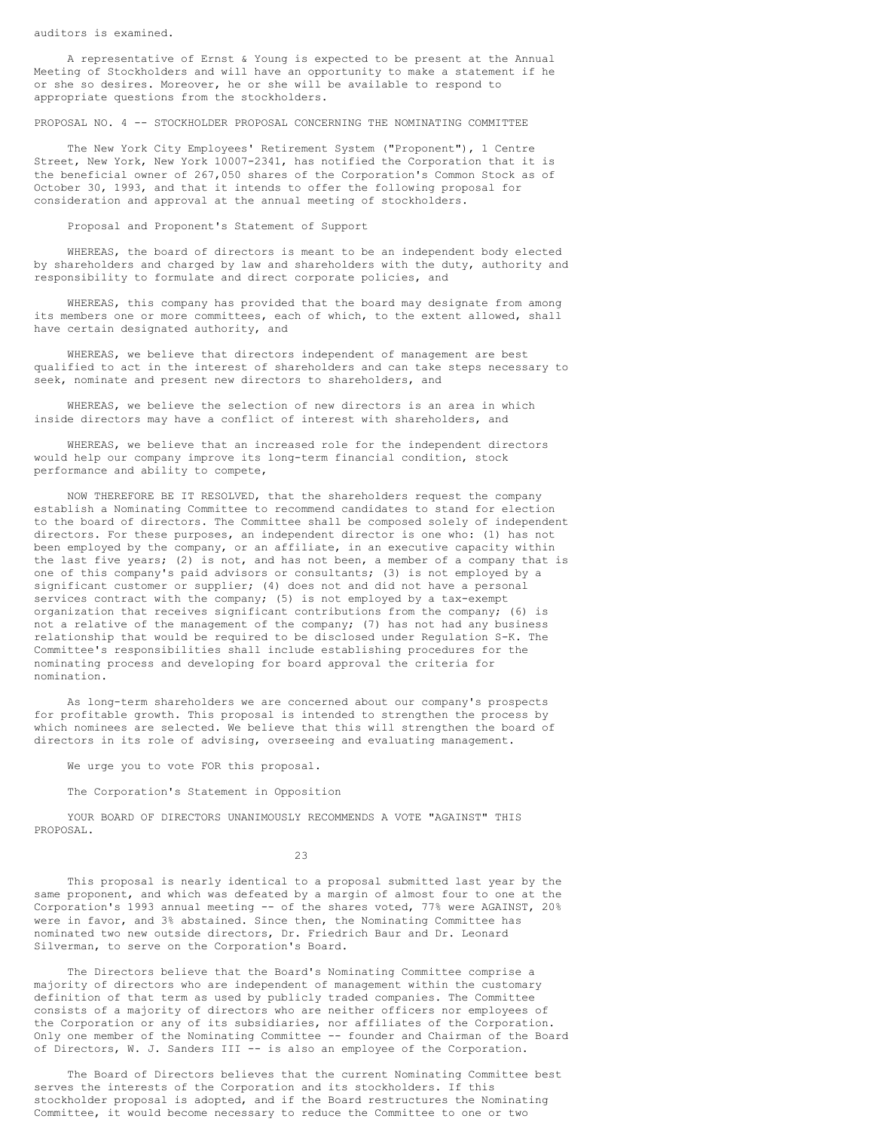auditors is examined.

 A representative of Ernst & Young is expected to be present at the Annual Meeting of Stockholders and will have an opportunity to make a statement if he or she so desires. Moreover, he or she will be available to respond to appropriate questions from the stockholders.

PROPOSAL NO. 4 -- STOCKHOLDER PROPOSAL CONCERNING THE NOMINATING COMMITTEE

 The New York City Employees' Retirement System ("Proponent"), 1 Centre Street, New York, New York 10007-2341, has notified the Corporation that it is the beneficial owner of 267,050 shares of the Corporation's Common Stock as of October 30, 1993, and that it intends to offer the following proposal for consideration and approval at the annual meeting of stockholders.

Proposal and Proponent's Statement of Support

 WHEREAS, the board of directors is meant to be an independent body elected by shareholders and charged by law and shareholders with the duty, authority and responsibility to formulate and direct corporate policies, and

WHEREAS, this company has provided that the board may designate from among its members one or more committees, each of which, to the extent allowed, shall have certain designated authority, and

 WHEREAS, we believe that directors independent of management are best qualified to act in the interest of shareholders and can take steps necessary to seek, nominate and present new directors to shareholders, and

 WHEREAS, we believe the selection of new directors is an area in which inside directors may have a conflict of interest with shareholders, and

 WHEREAS, we believe that an increased role for the independent directors would help our company improve its long-term financial condition, stock performance and ability to compete,

 NOW THEREFORE BE IT RESOLVED, that the shareholders request the company establish a Nominating Committee to recommend candidates to stand for election to the board of directors. The Committee shall be composed solely of independent directors. For these purposes, an independent director is one who: (1) has not been employed by the company, or an affiliate, in an executive capacity within the last five years; (2) is not, and has not been, a member of a company that is one of this company's paid advisors or consultants; (3) is not employed by a significant customer or supplier; (4) does not and did not have a personal services contract with the company; (5) is not employed by a tax-exempt organization that receives significant contributions from the company; (6) is not a relative of the management of the company; (7) has not had any business relationship that would be required to be disclosed under Regulation S-K. The Committee's responsibilities shall include establishing procedures for the nominating process and developing for board approval the criteria for nomination.

 As long-term shareholders we are concerned about our company's prospects for profitable growth. This proposal is intended to strengthen the process by which nominees are selected. We believe that this will strengthen the board of directors in its role of advising, overseeing and evaluating management.

We urge you to vote FOR this proposal.

The Corporation's Statement in Opposition

 YOUR BOARD OF DIRECTORS UNANIMOUSLY RECOMMENDS A VOTE "AGAINST" THIS PROPOSAL.

23

 This proposal is nearly identical to a proposal submitted last year by the same proponent, and which was defeated by a margin of almost four to one at the Corporation's 1993 annual meeting -- of the shares voted, 77% were AGAINST, 20% were in favor, and 3% abstained. Since then, the Nominating Committee has nominated two new outside directors, Dr. Friedrich Baur and Dr. Leonard Silverman, to serve on the Corporation's Board.

 The Directors believe that the Board's Nominating Committee comprise a majority of directors who are independent of management within the customary definition of that term as used by publicly traded companies. The Committee consists of a majority of directors who are neither officers nor employees of the Corporation or any of its subsidiaries, nor affiliates of the Corporation. Only one member of the Nominating Committee -- founder and Chairman of the Board of Directors, W. J. Sanders III -- is also an employee of the Corporation.

 The Board of Directors believes that the current Nominating Committee best serves the interests of the Corporation and its stockholders. If this stockholder proposal is adopted, and if the Board restructures the Nominating Committee, it would become necessary to reduce the Committee to one or two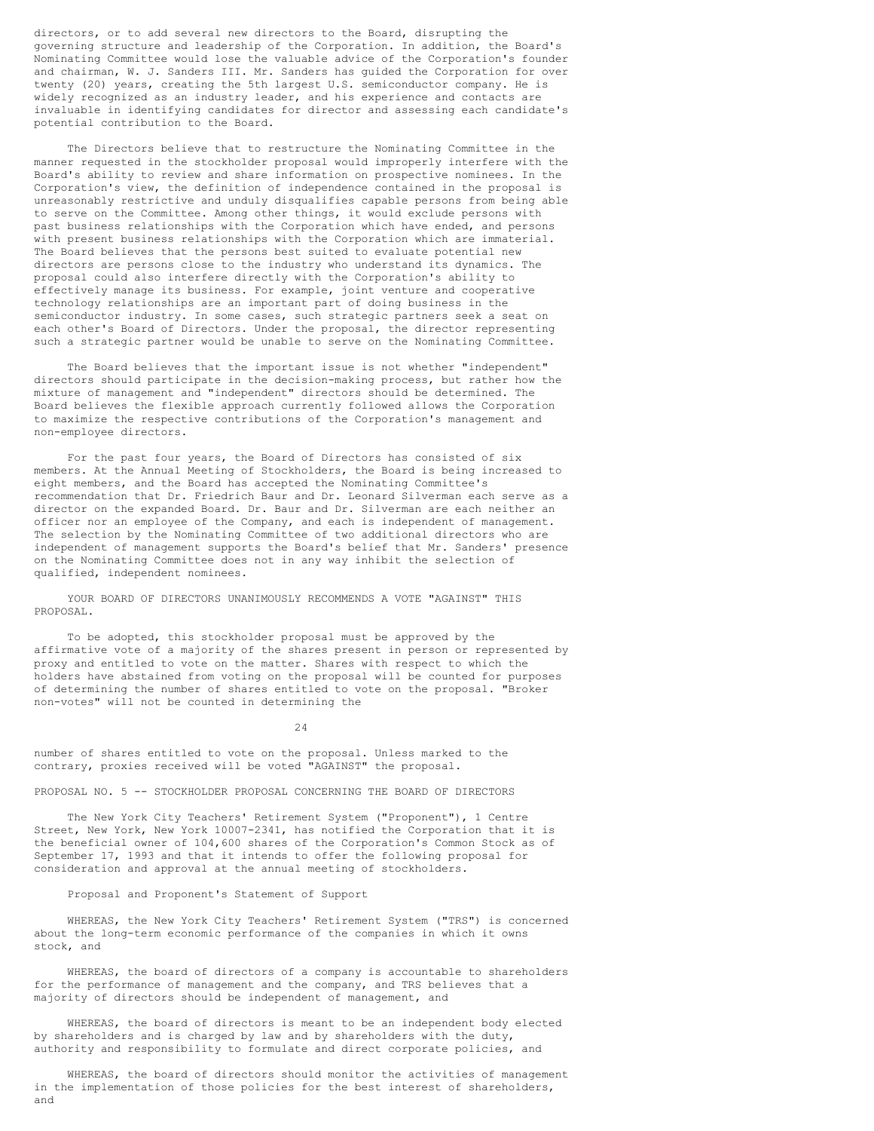directors, or to add several new directors to the Board, disrupting the governing structure and leadership of the Corporation. In addition, the Board's Nominating Committee would lose the valuable advice of the Corporation's founder and chairman, W. J. Sanders III. Mr. Sanders has guided the Corporation for over twenty (20) years, creating the 5th largest U.S. semiconductor company. He is widely recognized as an industry leader, and his experience and contacts are invaluable in identifying candidates for director and assessing each candidate's potential contribution to the Board.

 The Directors believe that to restructure the Nominating Committee in the manner requested in the stockholder proposal would improperly interfere with the Board's ability to review and share information on prospective nominees. In the Corporation's view, the definition of independence contained in the proposal is unreasonably restrictive and unduly disqualifies capable persons from being able to serve on the Committee. Among other things, it would exclude persons with past business relationships with the Corporation which have ended, and persons with present business relationships with the Corporation which are immaterial. The Board believes that the persons best suited to evaluate potential new directors are persons close to the industry who understand its dynamics. The proposal could also interfere directly with the Corporation's ability to effectively manage its business. For example, joint venture and cooperative technology relationships are an important part of doing business in the semiconductor industry. In some cases, such strategic partners seek a seat on each other's Board of Directors. Under the proposal, the director representing such a strategic partner would be unable to serve on the Nominating Committee.

 The Board believes that the important issue is not whether "independent" directors should participate in the decision-making process, but rather how the mixture of management and "independent" directors should be determined. The Board believes the flexible approach currently followed allows the Corporation to maximize the respective contributions of the Corporation's management and non-employee directors.

 For the past four years, the Board of Directors has consisted of six members. At the Annual Meeting of Stockholders, the Board is being increased to eight members, and the Board has accepted the Nominating Committee's recommendation that Dr. Friedrich Baur and Dr. Leonard Silverman each serve as a director on the expanded Board. Dr. Baur and Dr. Silverman are each neither an officer nor an employee of the Company, and each is independent of management. The selection by the Nominating Committee of two additional directors who are independent of management supports the Board's belief that Mr. Sanders' presence on the Nominating Committee does not in any way inhibit the selection of qualified, independent nominees.

 YOUR BOARD OF DIRECTORS UNANIMOUSLY RECOMMENDS A VOTE "AGAINST" THIS PROPOSAL.

 To be adopted, this stockholder proposal must be approved by the affirmative vote of a majority of the shares present in person or represented by proxy and entitled to vote on the matter. Shares with respect to which the holders have abstained from voting on the proposal will be counted for purposes of determining the number of shares entitled to vote on the proposal. "Broker non-votes" will not be counted in determining the

24

number of shares entitled to vote on the proposal. Unless marked to the contrary, proxies received will be voted "AGAINST" the proposal.

PROPOSAL NO. 5 -- STOCKHOLDER PROPOSAL CONCERNING THE BOARD OF DIRECTORS

 The New York City Teachers' Retirement System ("Proponent"), 1 Centre Street, New York, New York 10007-2341, has notified the Corporation that it is the beneficial owner of 104,600 shares of the Corporation's Common Stock as of September 17, 1993 and that it intends to offer the following proposal for consideration and approval at the annual meeting of stockholders.

Proposal and Proponent's Statement of Support

 WHEREAS, the New York City Teachers' Retirement System ("TRS") is concerned about the long-term economic performance of the companies in which it owns stock, and

 WHEREAS, the board of directors of a company is accountable to shareholders for the performance of management and the company, and TRS believes that a majority of directors should be independent of management, and

 WHEREAS, the board of directors is meant to be an independent body elected by shareholders and is charged by law and by shareholders with the duty, authority and responsibility to formulate and direct corporate policies, and

 WHEREAS, the board of directors should monitor the activities of management in the implementation of those policies for the best interest of shareholders, and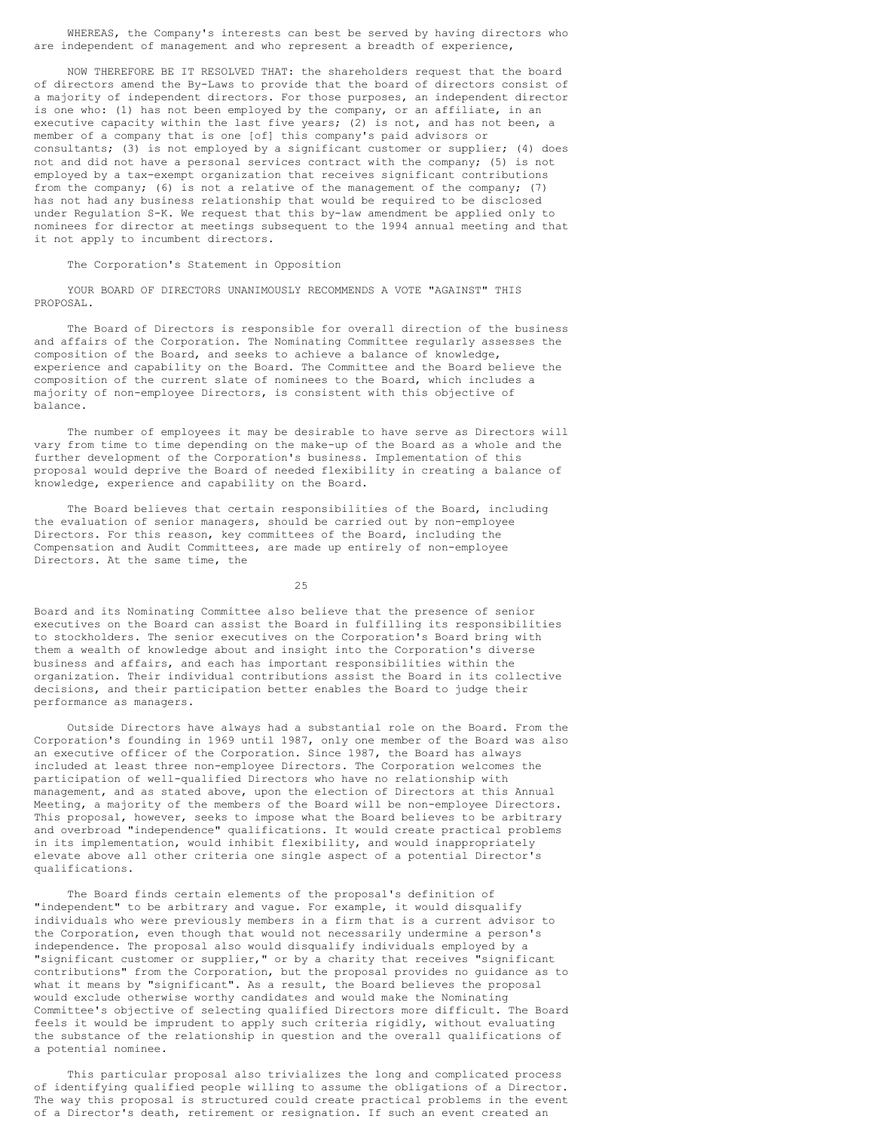WHEREAS, the Company's interests can best be served by having directors who are independent of management and who represent a breadth of experience,

 NOW THEREFORE BE IT RESOLVED THAT: the shareholders request that the board of directors amend the By-Laws to provide that the board of directors consist of a majority of independent directors. For those purposes, an independent director is one who: (1) has not been employed by the company, or an affiliate, in an executive capacity within the last five years; (2) is not, and has not been, a member of a company that is one [of] this company's paid advisors or consultants; (3) is not employed by a significant customer or supplier; (4) does not and did not have a personal services contract with the company; (5) is not employed by a tax-exempt organization that receives significant contributions from the company; (6) is not a relative of the management of the company; (7) has not had any business relationship that would be required to be disclosed under Regulation S-K. We request that this by-law amendment be applied only to nominees for director at meetings subsequent to the 1994 annual meeting and that it not apply to incumbent directors.

#### The Corporation's Statement in Opposition

 YOUR BOARD OF DIRECTORS UNANIMOUSLY RECOMMENDS A VOTE "AGAINST" THIS PROPOSAL.

 The Board of Directors is responsible for overall direction of the business and affairs of the Corporation. The Nominating Committee regularly assesses the composition of the Board, and seeks to achieve a balance of knowledge, experience and capability on the Board. The Committee and the Board believe the composition of the current slate of nominees to the Board, which includes a majority of non-employee Directors, is consistent with this objective of balance.

 The number of employees it may be desirable to have serve as Directors will vary from time to time depending on the make-up of the Board as a whole and the further development of the Corporation's business. Implementation of this proposal would deprive the Board of needed flexibility in creating a balance of knowledge, experience and capability on the Board.

 The Board believes that certain responsibilities of the Board, including the evaluation of senior managers, should be carried out by non-employee Directors. For this reason, key committees of the Board, including the Compensation and Audit Committees, are made up entirely of non-employee Directors. At the same time, the

25 and 25

Board and its Nominating Committee also believe that the presence of senior executives on the Board can assist the Board in fulfilling its responsibilities to stockholders. The senior executives on the Corporation's Board bring with them a wealth of knowledge about and insight into the Corporation's diverse business and affairs, and each has important responsibilities within the organization. Their individual contributions assist the Board in its collective decisions, and their participation better enables the Board to judge their performance as managers.

 Outside Directors have always had a substantial role on the Board. From the Corporation's founding in 1969 until 1987, only one member of the Board was also an executive officer of the Corporation. Since 1987, the Board has always included at least three non-employee Directors. The Corporation welcomes the participation of well-qualified Directors who have no relationship with management, and as stated above, upon the election of Directors at this Annual Meeting, a majority of the members of the Board will be non-employee Directors. This proposal, however, seeks to impose what the Board believes to be arbitrary and overbroad "independence" qualifications. It would create practical problems in its implementation, would inhibit flexibility, and would inappropriately elevate above all other criteria one single aspect of a potential Director's qualifications.

 The Board finds certain elements of the proposal's definition of "independent" to be arbitrary and vague. For example, it would disqualify individuals who were previously members in a firm that is a current advisor to the Corporation, even though that would not necessarily undermine a person's independence. The proposal also would disqualify individuals employed by a "significant customer or supplier," or by a charity that receives "significant contributions" from the Corporation, but the proposal provides no guidance as to what it means by "significant". As a result, the Board believes the proposal would exclude otherwise worthy candidates and would make the Nominating Committee's objective of selecting qualified Directors more difficult. The Board feels it would be imprudent to apply such criteria rigidly, without evaluating the substance of the relationship in question and the overall qualifications of a potential nominee.

 This particular proposal also trivializes the long and complicated process of identifying qualified people willing to assume the obligations of a Director. The way this proposal is structured could create practical problems in the event of a Director's death, retirement or resignation. If such an event created an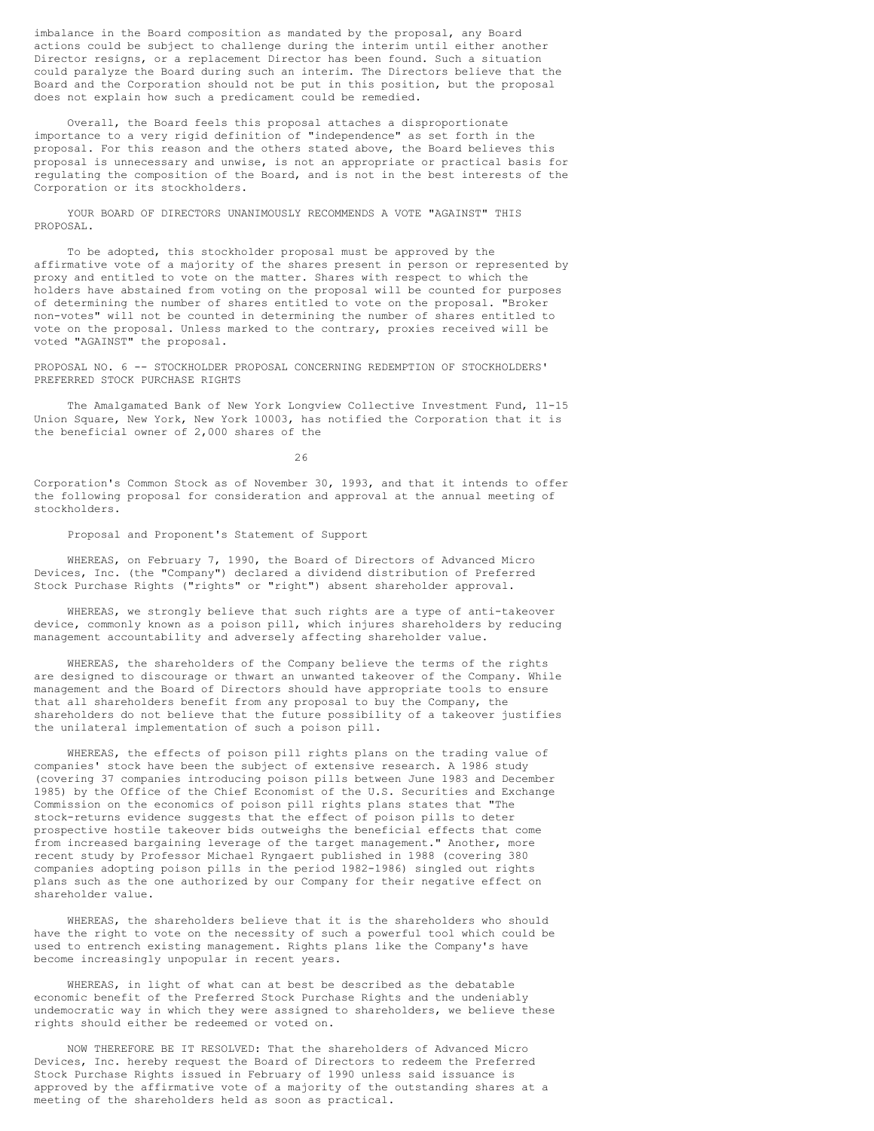imbalance in the Board composition as mandated by the proposal, any Board actions could be subject to challenge during the interim until either another Director resigns, or a replacement Director has been found. Such a situation could paralyze the Board during such an interim. The Directors believe that the Board and the Corporation should not be put in this position, but the proposal does not explain how such a predicament could be remedied.

 Overall, the Board feels this proposal attaches a disproportionate importance to a very rigid definition of "independence" as set forth in the proposal. For this reason and the others stated above, the Board believes this proposal is unnecessary and unwise, is not an appropriate or practical basis for regulating the composition of the Board, and is not in the best interests of the Corporation or its stockholders.

YOUR BOARD OF DIRECTORS UNANIMOUSLY RECOMMENDS A VOTE "AGAINST" THIS PROPOSAL.

 To be adopted, this stockholder proposal must be approved by the affirmative vote of a majority of the shares present in person or represented by proxy and entitled to vote on the matter. Shares with respect to which the holders have abstained from voting on the proposal will be counted for purposes of determining the number of shares entitled to vote on the proposal. "Broker non-votes" will not be counted in determining the number of shares entitled to vote on the proposal. Unless marked to the contrary, proxies received will be voted "AGAINST" the proposal.

PROPOSAL NO. 6 -- STOCKHOLDER PROPOSAL CONCERNING REDEMPTION OF STOCKHOLDERS' PREFERRED STOCK PURCHASE RIGHTS

 The Amalgamated Bank of New York Longview Collective Investment Fund, 11-15 Union Square, New York, New York 10003, has notified the Corporation that it is the beneficial owner of 2,000 shares of the

26

Corporation's Common Stock as of November 30, 1993, and that it intends to offer the following proposal for consideration and approval at the annual meeting of stockholders.

Proposal and Proponent's Statement of Support

 WHEREAS, on February 7, 1990, the Board of Directors of Advanced Micro Devices, Inc. (the "Company") declared a dividend distribution of Preferred Stock Purchase Rights ("rights" or "right") absent shareholder approval.

 WHEREAS, we strongly believe that such rights are a type of anti-takeover device, commonly known as a poison pill, which injures shareholders by reducing management accountability and adversely affecting shareholder value.

 WHEREAS, the shareholders of the Company believe the terms of the rights are designed to discourage or thwart an unwanted takeover of the Company. While management and the Board of Directors should have appropriate tools to ensure that all shareholders benefit from any proposal to buy the Company, the shareholders do not believe that the future possibility of a takeover justifies the unilateral implementation of such a poison pill.

 WHEREAS, the effects of poison pill rights plans on the trading value of companies' stock have been the subject of extensive research. A 1986 study (covering 37 companies introducing poison pills between June 1983 and December 1985) by the Office of the Chief Economist of the U.S. Securities and Exchange Commission on the economics of poison pill rights plans states that "The stock-returns evidence suggests that the effect of poison pills to deter prospective hostile takeover bids outweighs the beneficial effects that come from increased bargaining leverage of the target management." Another, more recent study by Professor Michael Ryngaert published in 1988 (covering 380 companies adopting poison pills in the period 1982-1986) singled out rights plans such as the one authorized by our Company for their negative effect on shareholder value.

 WHEREAS, the shareholders believe that it is the shareholders who should have the right to vote on the necessity of such a powerful tool which could be used to entrench existing management. Rights plans like the Company's have become increasingly unpopular in recent years.

 WHEREAS, in light of what can at best be described as the debatable economic benefit of the Preferred Stock Purchase Rights and the undeniably undemocratic way in which they were assigned to shareholders, we believe these rights should either be redeemed or voted on.

 NOW THEREFORE BE IT RESOLVED: That the shareholders of Advanced Micro Devices, Inc. hereby request the Board of Directors to redeem the Preferred Stock Purchase Rights issued in February of 1990 unless said issuance is approved by the affirmative vote of a majority of the outstanding shares at a meeting of the shareholders held as soon as practical.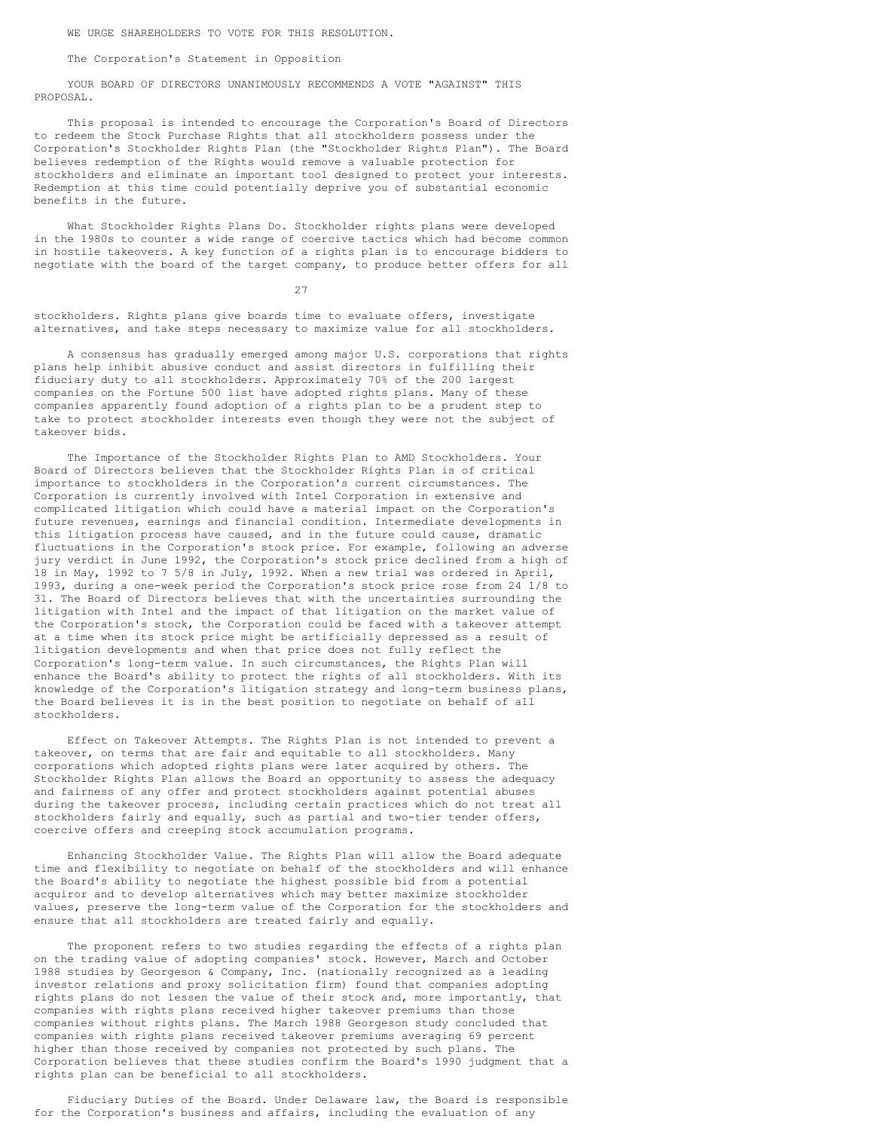WE URGE SHAREHOLDERS TO VOTE FOR THIS RESOLUTION.

The Corporation's Statement in Opposition

 YOUR BOARD OF DIRECTORS UNANIMOUSLY RECOMMENDS A VOTE "AGAINST" THIS PROPOSAL.

 This proposal is intended to encourage the Corporation's Board of Directors to redeem the Stock Purchase Rights that all stockholders possess under the Corporation's Stockholder Rights Plan (the "Stockholder Rights Plan"). The Board believes redemption of the Rights would remove a valuable protection for stockholders and eliminate an important tool designed to protect your interests. Redemption at this time could potentially deprive you of substantial economic benefits in the future.

 What Stockholder Rights Plans Do. Stockholder rights plans were developed in the 1980s to counter a wide range of coercive tactics which had become common in hostile takeovers. A key function of a rights plan is to encourage bidders to negotiate with the board of the target company, to produce better offers for all

27

stockholders. Rights plans give boards time to evaluate offers, investigate alternatives, and take steps necessary to maximize value for all stockholders.

 A consensus has gradually emerged among major U.S. corporations that rights plans help inhibit abusive conduct and assist directors in fulfilling their fiduciary duty to all stockholders. Approximately 70% of the 200 largest companies on the Fortune 500 list have adopted rights plans. Many of these companies apparently found adoption of a rights plan to be a prudent step to take to protect stockholder interests even though they were not the subject of takeover bids.

 The Importance of the Stockholder Rights Plan to AMD Stockholders. Your Board of Directors believes that the Stockholder Rights Plan is of critical importance to stockholders in the Corporation's current circumstances. The Corporation is currently involved with Intel Corporation in extensive and complicated litigation which could have a material impact on the Corporation's future revenues, earnings and financial condition. Intermediate developments in this litigation process have caused, and in the future could cause, dramatic fluctuations in the Corporation's stock price. For example, following an adverse jury verdict in June 1992, the Corporation's stock price declined from a high of 18 in May, 1992 to 7 5/8 in July, 1992. When a new trial was ordered in April, 1993, during a one-week period the Corporation's stock price rose from 24 1/8 to 31. The Board of Directors believes that with the uncertainties surrounding the litigation with Intel and the impact of that litigation on the market value of the Corporation's stock, the Corporation could be faced with a takeover attempt at a time when its stock price might be artificially depressed as a result of litigation developments and when that price does not fully reflect the Corporation's long-term value. In such circumstances, the Rights Plan will enhance the Board's ability to protect the rights of all stockholders. With its knowledge of the Corporation's litigation strategy and long-term business plans, the Board believes it is in the best position to negotiate on behalf of all stockholders.

 Effect on Takeover Attempts. The Rights Plan is not intended to prevent a takeover, on terms that are fair and equitable to all stockholders. Many corporations which adopted rights plans were later acquired by others. The Stockholder Rights Plan allows the Board an opportunity to assess the adequacy and fairness of any offer and protect stockholders against potential abuses during the takeover process, including certain practices which do not treat all stockholders fairly and equally, such as partial and two-tier tender offers, coercive offers and creeping stock accumulation programs.

 Enhancing Stockholder Value. The Rights Plan will allow the Board adequate time and flexibility to negotiate on behalf of the stockholders and will enhance the Board's ability to negotiate the highest possible bid from a potential acquiror and to develop alternatives which may better maximize stockholder values, preserve the long-term value of the Corporation for the stockholders and ensure that all stockholders are treated fairly and equally.

 The proponent refers to two studies regarding the effects of a rights plan on the trading value of adopting companies' stock. However, March and October 1988 studies by Georgeson & Company, Inc. (nationally recognized as a leading investor relations and proxy solicitation firm) found that companies adopting rights plans do not lessen the value of their stock and, more importantly, that companies with rights plans received higher takeover premiums than those companies without rights plans. The March 1988 Georgeson study concluded that companies with rights plans received takeover premiums averaging 69 percent higher than those received by companies not protected by such plans. The Corporation believes that these studies confirm the Board's 1990 judgment that a rights plan can be beneficial to all stockholders.

 Fiduciary Duties of the Board. Under Delaware law, the Board is responsible for the Corporation's business and affairs, including the evaluation of any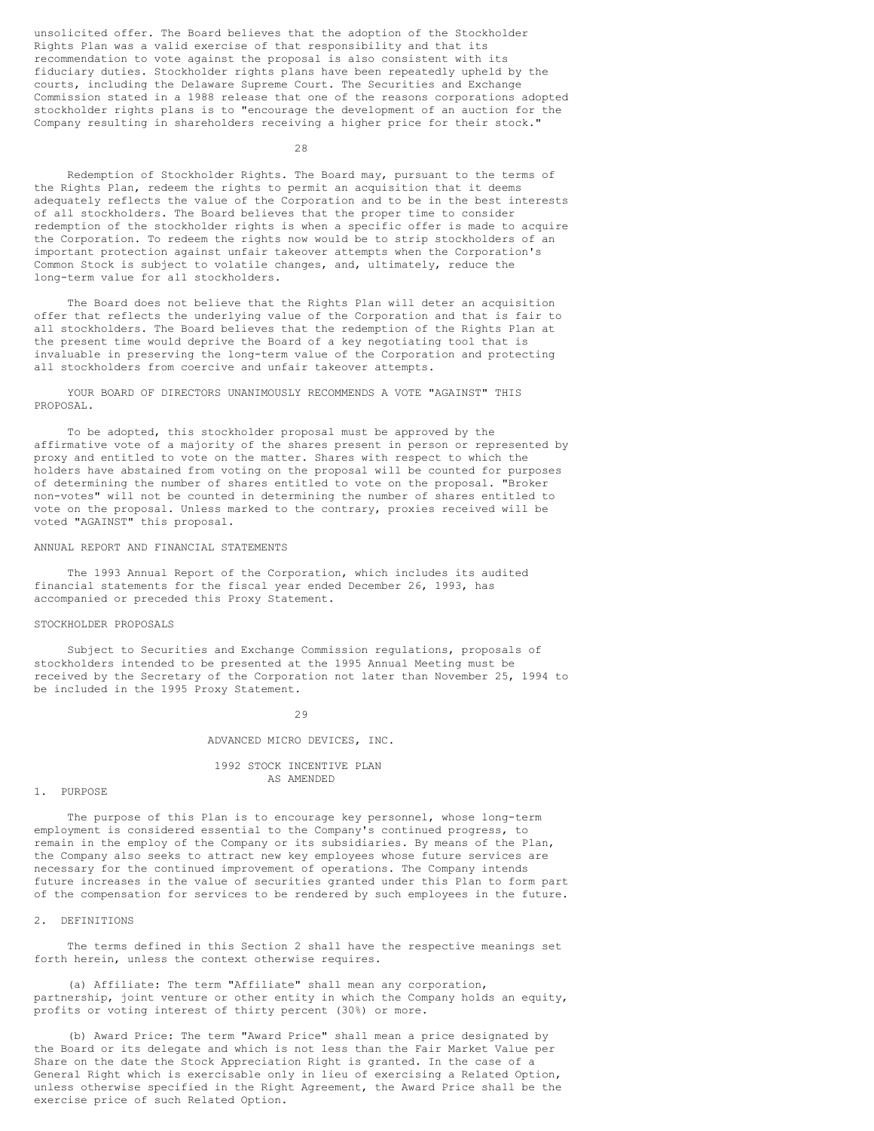unsolicited offer. The Board believes that the adoption of the Stockholder Rights Plan was a valid exercise of that responsibility and that its recommendation to vote against the proposal is also consistent with its fiduciary duties. Stockholder rights plans have been repeatedly upheld by the courts, including the Delaware Supreme Court. The Securities and Exchange Commission stated in a 1988 release that one of the reasons corporations adopted stockholder rights plans is to "encourage the development of an auction for the Company resulting in shareholders receiving a higher price for their stock."

28

 Redemption of Stockholder Rights. The Board may, pursuant to the terms of the Rights Plan, redeem the rights to permit an acquisition that it deems adequately reflects the value of the Corporation and to be in the best interests of all stockholders. The Board believes that the proper time to consider redemption of the stockholder rights is when a specific offer is made to acquire the Corporation. To redeem the rights now would be to strip stockholders of an important protection against unfair takeover attempts when the Corporation's Common Stock is subject to volatile changes, and, ultimately, reduce the long-term value for all stockholders.

 The Board does not believe that the Rights Plan will deter an acquisition offer that reflects the underlying value of the Corporation and that is fair to all stockholders. The Board believes that the redemption of the Rights Plan at the present time would deprive the Board of a key negotiating tool that is invaluable in preserving the long-term value of the Corporation and protecting all stockholders from coercive and unfair takeover attempts.

 YOUR BOARD OF DIRECTORS UNANIMOUSLY RECOMMENDS A VOTE "AGAINST" THIS PROPOSAL.

 To be adopted, this stockholder proposal must be approved by the affirmative vote of a majority of the shares present in person or represented by proxy and entitled to vote on the matter. Shares with respect to which the holders have abstained from voting on the proposal will be counted for purposes of determining the number of shares entitled to vote on the proposal. "Broker non-votes" will not be counted in determining the number of shares entitled to vote on the proposal. Unless marked to the contrary, proxies received will be voted "AGAINST" this proposal.

# ANNUAL REPORT AND FINANCIAL STATEMENTS

 The 1993 Annual Report of the Corporation, which includes its audited financial statements for the fiscal year ended December 26, 1993, has accompanied or preceded this Proxy Statement.

#### STOCKHOLDER PROPOSALS

 Subject to Securities and Exchange Commission regulations, proposals of stockholders intended to be presented at the 1995 Annual Meeting must be received by the Secretary of the Corporation not later than November 25, 1994 to be included in the 1995 Proxy Statement.

29

### ADVANCED MICRO DEVICES, INC.

 1992 STOCK INCENTIVE PLAN AS AMENDED

# 1. PURPOSE

 The purpose of this Plan is to encourage key personnel, whose long-term employment is considered essential to the Company's continued progress, to remain in the employ of the Company or its subsidiaries. By means of the Plan, the Company also seeks to attract new key employees whose future services are necessary for the continued improvement of operations. The Company intends future increases in the value of securities granted under this Plan to form part of the compensation for services to be rendered by such employees in the future.

# 2. DEFINITIONS

 The terms defined in this Section 2 shall have the respective meanings set forth herein, unless the context otherwise requires.

 (a) Affiliate: The term "Affiliate" shall mean any corporation, partnership, joint venture or other entity in which the Company holds an equity, profits or voting interest of thirty percent (30%) or more.

 (b) Award Price: The term "Award Price" shall mean a price designated by the Board or its delegate and which is not less than the Fair Market Value per Share on the date the Stock Appreciation Right is granted. In the case of a General Right which is exercisable only in lieu of exercising a Related Option, unless otherwise specified in the Right Agreement, the Award Price shall be the exercise price of such Related Option.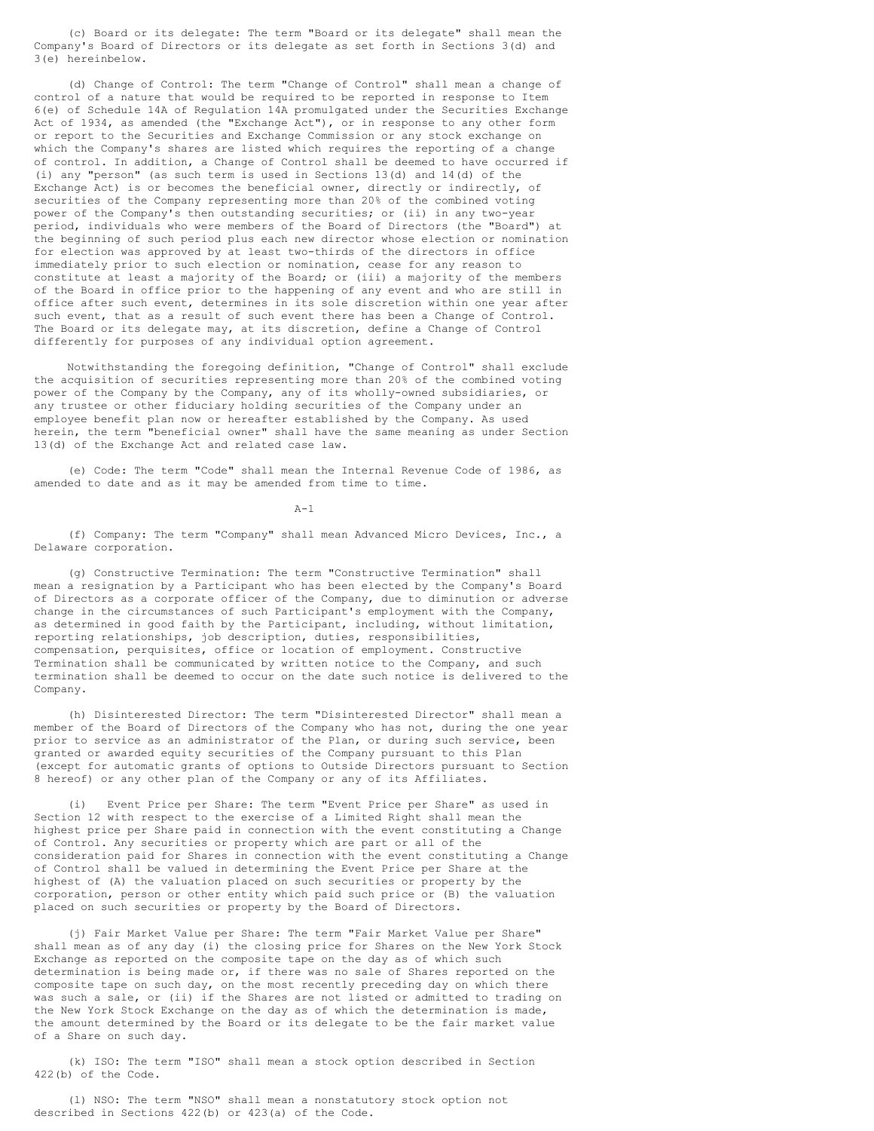(c) Board or its delegate: The term "Board or its delegate" shall mean the Company's Board of Directors or its delegate as set forth in Sections 3(d) and 3(e) hereinbelow.

 (d) Change of Control: The term "Change of Control" shall mean a change of control of a nature that would be required to be reported in response to Item 6(e) of Schedule 14A of Regulation 14A promulgated under the Securities Exchange Act of 1934, as amended (the "Exchange Act"), or in response to any other form or report to the Securities and Exchange Commission or any stock exchange on which the Company's shares are listed which requires the reporting of a change of control. In addition, a Change of Control shall be deemed to have occurred if (i) any "person" (as such term is used in Sections 13(d) and 14(d) of the Exchange Act) is or becomes the beneficial owner, directly or indirectly, of securities of the Company representing more than 20% of the combined voting power of the Company's then outstanding securities; or (ii) in any two-year period, individuals who were members of the Board of Directors (the "Board") at the beginning of such period plus each new director whose election or nomination for election was approved by at least two-thirds of the directors in office immediately prior to such election or nomination, cease for any reason to constitute at least a majority of the Board; or (iii) a majority of the members of the Board in office prior to the happening of any event and who are still in office after such event, determines in its sole discretion within one year after such event, that as a result of such event there has been a Change of Control. The Board or its delegate may, at its discretion, define a Change of Control differently for purposes of any individual option agreement.

 Notwithstanding the foregoing definition, "Change of Control" shall exclude the acquisition of securities representing more than 20% of the combined voting power of the Company by the Company, any of its wholly-owned subsidiaries, or any trustee or other fiduciary holding securities of the Company under an employee benefit plan now or hereafter established by the Company. As used herein, the term "beneficial owner" shall have the same meaning as under Section 13(d) of the Exchange Act and related case law.

 (e) Code: The term "Code" shall mean the Internal Revenue Code of 1986, as amended to date and as it may be amended from time to time.

 $A-1$ 

 (f) Company: The term "Company" shall mean Advanced Micro Devices, Inc., a Delaware corporation.

 (g) Constructive Termination: The term "Constructive Termination" shall mean a resignation by a Participant who has been elected by the Company's Board of Directors as a corporate officer of the Company, due to diminution or adverse change in the circumstances of such Participant's employment with the Company, as determined in good faith by the Participant, including, without limitation, reporting relationships, job description, duties, responsibilities, compensation, perquisites, office or location of employment. Constructive Termination shall be communicated by written notice to the Company, and such termination shall be deemed to occur on the date such notice is delivered to the Company.

 (h) Disinterested Director: The term "Disinterested Director" shall mean a member of the Board of Directors of the Company who has not, during the one year prior to service as an administrator of the Plan, or during such service, been granted or awarded equity securities of the Company pursuant to this Plan (except for automatic grants of options to Outside Directors pursuant to Section 8 hereof) or any other plan of the Company or any of its Affiliates.

 (i) Event Price per Share: The term "Event Price per Share" as used in Section 12 with respect to the exercise of a Limited Right shall mean the highest price per Share paid in connection with the event constituting a Change of Control. Any securities or property which are part or all of the consideration paid for Shares in connection with the event constituting a Change of Control shall be valued in determining the Event Price per Share at the highest of (A) the valuation placed on such securities or property by the corporation, person or other entity which paid such price or (B) the valuation placed on such securities or property by the Board of Directors.

 (j) Fair Market Value per Share: The term "Fair Market Value per Share" shall mean as of any day (i) the closing price for Shares on the New York Stock Exchange as reported on the composite tape on the day as of which such determination is being made or, if there was no sale of Shares reported on the composite tape on such day, on the most recently preceding day on which there was such a sale, or (ii) if the Shares are not listed or admitted to trading on the New York Stock Exchange on the day as of which the determination is made, the amount determined by the Board or its delegate to be the fair market value of a Share on such day.

 (k) ISO: The term "ISO" shall mean a stock option described in Section 422(b) of the Code.

 (l) NSO: The term "NSO" shall mean a nonstatutory stock option not described in Sections 422(b) or 423(a) of the Code.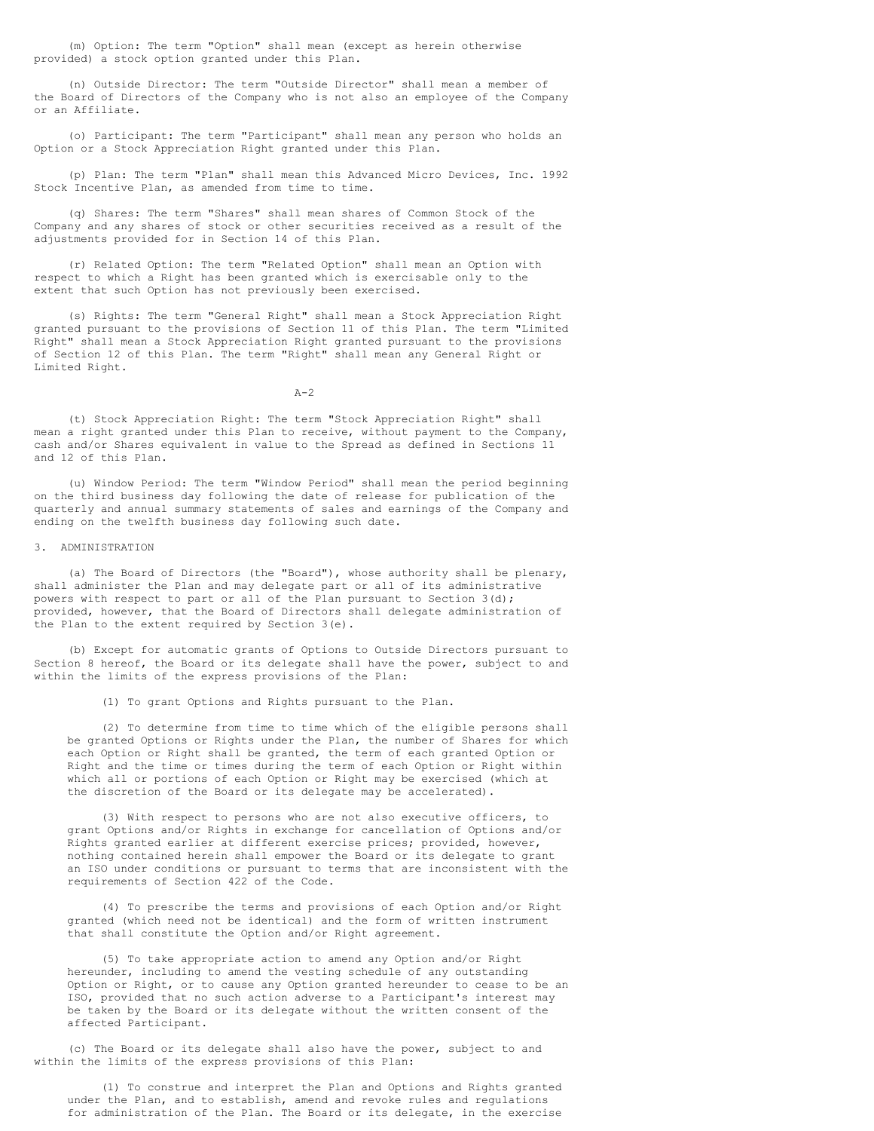(m) Option: The term "Option" shall mean (except as herein otherwise provided) a stock option granted under this Plan.

 (n) Outside Director: The term "Outside Director" shall mean a member of the Board of Directors of the Company who is not also an employee of the Company or an Affiliate.

 (o) Participant: The term "Participant" shall mean any person who holds an Option or a Stock Appreciation Right granted under this Plan.

 (p) Plan: The term "Plan" shall mean this Advanced Micro Devices, Inc. 1992 Stock Incentive Plan, as amended from time to time.

 (q) Shares: The term "Shares" shall mean shares of Common Stock of the Company and any shares of stock or other securities received as a result of the adjustments provided for in Section 14 of this Plan.

 (r) Related Option: The term "Related Option" shall mean an Option with respect to which a Right has been granted which is exercisable only to the extent that such Option has not previously been exercised.

 (s) Rights: The term "General Right" shall mean a Stock Appreciation Right granted pursuant to the provisions of Section 11 of this Plan. The term "Limited Right" shall mean a Stock Appreciation Right granted pursuant to the provisions of Section 12 of this Plan. The term "Right" shall mean any General Right or Limited Right.

 $A-2$ 

 (t) Stock Appreciation Right: The term "Stock Appreciation Right" shall mean a right granted under this Plan to receive, without payment to the Company, cash and/or Shares equivalent in value to the Spread as defined in Sections 11 and 12 of this Plan.

 (u) Window Period: The term "Window Period" shall mean the period beginning on the third business day following the date of release for publication of the quarterly and annual summary statements of sales and earnings of the Company and ending on the twelfth business day following such date.

#### 3. ADMINISTRATION

 (a) The Board of Directors (the "Board"), whose authority shall be plenary, shall administer the Plan and may delegate part or all of its administrative powers with respect to part or all of the Plan pursuant to Section 3(d); provided, however, that the Board of Directors shall delegate administration of the Plan to the extent required by Section 3(e).

 (b) Except for automatic grants of Options to Outside Directors pursuant to Section 8 hereof, the Board or its delegate shall have the power, subject to and within the limits of the express provisions of the Plan:

(1) To grant Options and Rights pursuant to the Plan.

 (2) To determine from time to time which of the eligible persons shall be granted Options or Rights under the Plan, the number of Shares for which each Option or Right shall be granted, the term of each granted Option or Right and the time or times during the term of each Option or Right within which all or portions of each Option or Right may be exercised (which at the discretion of the Board or its delegate may be accelerated).

 (3) With respect to persons who are not also executive officers, to grant Options and/or Rights in exchange for cancellation of Options and/or Rights granted earlier at different exercise prices; provided, however, nothing contained herein shall empower the Board or its delegate to grant an ISO under conditions or pursuant to terms that are inconsistent with the requirements of Section 422 of the Code.

 (4) To prescribe the terms and provisions of each Option and/or Right granted (which need not be identical) and the form of written instrument that shall constitute the Option and/or Right agreement.

 (5) To take appropriate action to amend any Option and/or Right hereunder, including to amend the vesting schedule of any outstanding Option or Right, or to cause any Option granted hereunder to cease to be an ISO, provided that no such action adverse to a Participant's interest may be taken by the Board or its delegate without the written consent of the affected Participant.

 (c) The Board or its delegate shall also have the power, subject to and within the limits of the express provisions of this Plan:

 (1) To construe and interpret the Plan and Options and Rights granted under the Plan, and to establish, amend and revoke rules and regulations for administration of the Plan. The Board or its delegate, in the exercise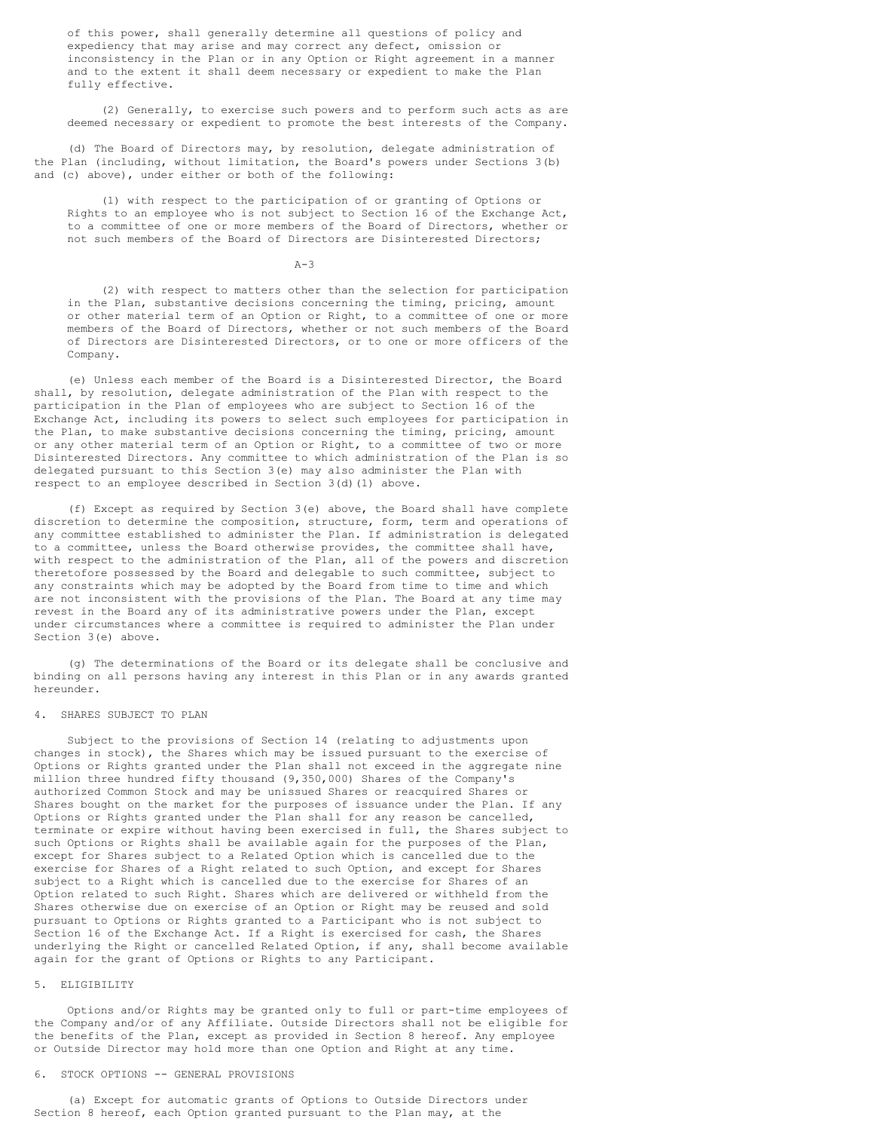of this power, shall generally determine all questions of policy and expediency that may arise and may correct any defect, omission or inconsistency in the Plan or in any Option or Right agreement in a manner and to the extent it shall deem necessary or expedient to make the Plan fully effective.

 (2) Generally, to exercise such powers and to perform such acts as are deemed necessary or expedient to promote the best interests of the Company.

 (d) The Board of Directors may, by resolution, delegate administration of the Plan (including, without limitation, the Board's powers under Sections 3(b) and (c) above), under either or both of the following:

 (1) with respect to the participation of or granting of Options or Rights to an employee who is not subject to Section 16 of the Exchange Act, to a committee of one or more members of the Board of Directors, whether or not such members of the Board of Directors are Disinterested Directors;

#### $A-3$

 (2) with respect to matters other than the selection for participation in the Plan, substantive decisions concerning the timing, pricing, amount or other material term of an Option or Right, to a committee of one or more members of the Board of Directors, whether or not such members of the Board of Directors are Disinterested Directors, or to one or more officers of the Company.

 (e) Unless each member of the Board is a Disinterested Director, the Board shall, by resolution, delegate administration of the Plan with respect to the participation in the Plan of employees who are subject to Section 16 of the Exchange Act, including its powers to select such employees for participation in the Plan, to make substantive decisions concerning the timing, pricing, amount or any other material term of an Option or Right, to a committee of two or more Disinterested Directors. Any committee to which administration of the Plan is so delegated pursuant to this Section 3(e) may also administer the Plan with respect to an employee described in Section 3(d)(1) above.

 (f) Except as required by Section 3(e) above, the Board shall have complete discretion to determine the composition, structure, form, term and operations of any committee established to administer the Plan. If administration is delegated to a committee, unless the Board otherwise provides, the committee shall have, with respect to the administration of the Plan, all of the powers and discretion theretofore possessed by the Board and delegable to such committee, subject to any constraints which may be adopted by the Board from time to time and which are not inconsistent with the provisions of the Plan. The Board at any time may revest in the Board any of its administrative powers under the Plan, except under circumstances where a committee is required to administer the Plan under Section 3(e) above.

 (g) The determinations of the Board or its delegate shall be conclusive and binding on all persons having any interest in this Plan or in any awards granted hereunder.

# 4. SHARES SUBJECT TO PLAN

 Subject to the provisions of Section 14 (relating to adjustments upon changes in stock), the Shares which may be issued pursuant to the exercise of Options or Rights granted under the Plan shall not exceed in the aggregate nine million three hundred fifty thousand (9,350,000) Shares of the Company's authorized Common Stock and may be unissued Shares or reacquired Shares or Shares bought on the market for the purposes of issuance under the Plan. If any Options or Rights granted under the Plan shall for any reason be cancelled, terminate or expire without having been exercised in full, the Shares subject to such Options or Rights shall be available again for the purposes of the Plan, except for Shares subject to a Related Option which is cancelled due to the exercise for Shares of a Right related to such Option, and except for Shares subject to a Right which is cancelled due to the exercise for Shares of an Option related to such Right. Shares which are delivered or withheld from the Shares otherwise due on exercise of an Option or Right may be reused and sold pursuant to Options or Rights granted to a Participant who is not subject to Section 16 of the Exchange Act. If a Right is exercised for cash, the Shares underlying the Right or cancelled Related Option, if any, shall become available again for the grant of Options or Rights to any Participant.

#### 5. ELIGIBILITY

 Options and/or Rights may be granted only to full or part-time employees of the Company and/or of any Affiliate. Outside Directors shall not be eligible for the benefits of the Plan, except as provided in Section 8 hereof. Any employee or Outside Director may hold more than one Option and Right at any time.

# 6. STOCK OPTIONS -- GENERAL PROVISIONS

 (a) Except for automatic grants of Options to Outside Directors under Section 8 hereof, each Option granted pursuant to the Plan may, at the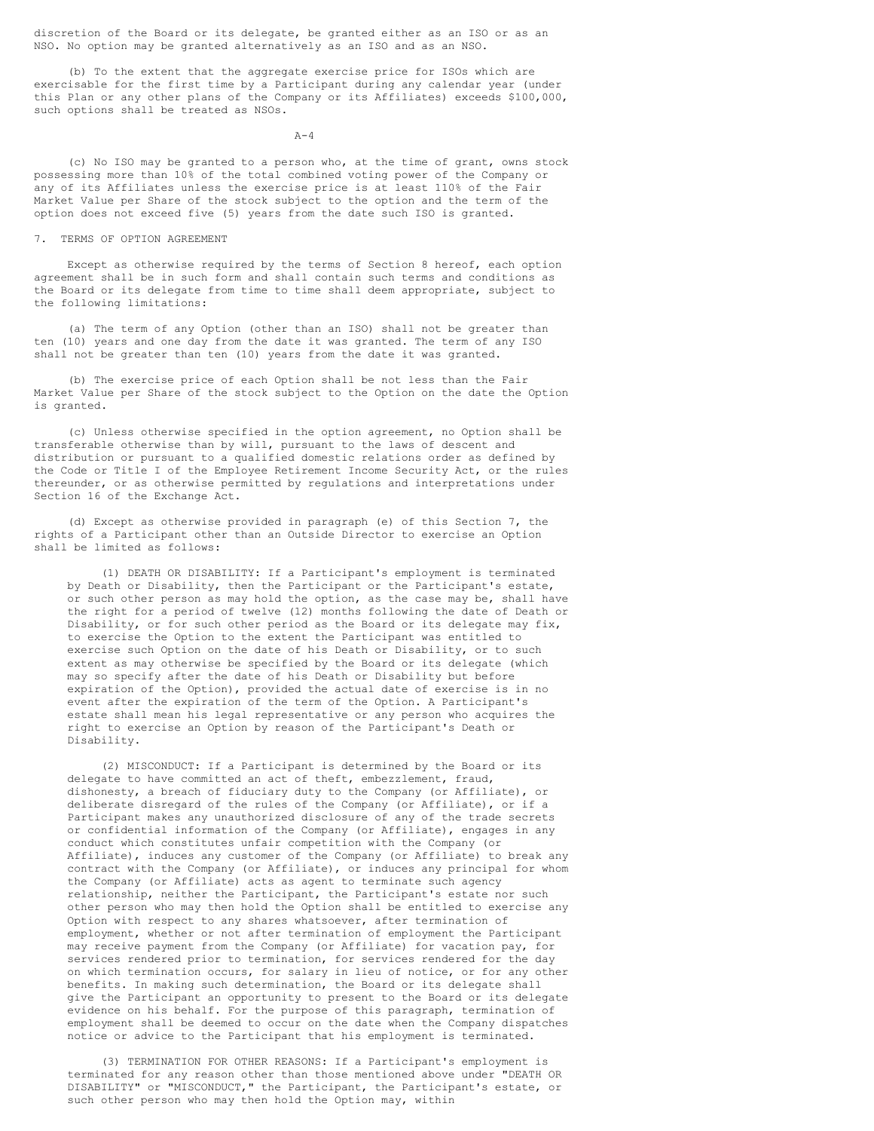discretion of the Board or its delegate, be granted either as an ISO or as an NSO. No option may be granted alternatively as an ISO and as an NSO.

 (b) To the extent that the aggregate exercise price for ISOs which are exercisable for the first time by a Participant during any calendar year (under this Plan or any other plans of the Company or its Affiliates) exceeds \$100,000, such options shall be treated as NSOs.

 $A-4$ 

 (c) No ISO may be granted to a person who, at the time of grant, owns stock possessing more than 10% of the total combined voting power of the Company or any of its Affiliates unless the exercise price is at least 110% of the Fair Market Value per Share of the stock subject to the option and the term of the option does not exceed five (5) years from the date such ISO is granted.

# 7. TERMS OF OPTION AGREEMENT

 Except as otherwise required by the terms of Section 8 hereof, each option agreement shall be in such form and shall contain such terms and conditions as the Board or its delegate from time to time shall deem appropriate, subject to the following limitations:

 (a) The term of any Option (other than an ISO) shall not be greater than ten (10) years and one day from the date it was granted. The term of any ISO shall not be greater than ten (10) years from the date it was granted.

 (b) The exercise price of each Option shall be not less than the Fair Market Value per Share of the stock subject to the Option on the date the Option is granted.

 (c) Unless otherwise specified in the option agreement, no Option shall be transferable otherwise than by will, pursuant to the laws of descent and distribution or pursuant to a qualified domestic relations order as defined by the Code or Title I of the Employee Retirement Income Security Act, or the rules thereunder, or as otherwise permitted by regulations and interpretations under Section 16 of the Exchange Act.

 (d) Except as otherwise provided in paragraph (e) of this Section 7, the rights of a Participant other than an Outside Director to exercise an Option shall be limited as follows:

 (1) DEATH OR DISABILITY: If a Participant's employment is terminated by Death or Disability, then the Participant or the Participant's estate, or such other person as may hold the option, as the case may be, shall have the right for a period of twelve (12) months following the date of Death or Disability, or for such other period as the Board or its delegate may fix, to exercise the Option to the extent the Participant was entitled to exercise such Option on the date of his Death or Disability, or to such extent as may otherwise be specified by the Board or its delegate (which may so specify after the date of his Death or Disability but before expiration of the Option), provided the actual date of exercise is in no event after the expiration of the term of the Option. A Participant's estate shall mean his legal representative or any person who acquires the right to exercise an Option by reason of the Participant's Death or Disability.

 (2) MISCONDUCT: If a Participant is determined by the Board or its delegate to have committed an act of theft, embezzlement, fraud, dishonesty, a breach of fiduciary duty to the Company (or Affiliate), or deliberate disregard of the rules of the Company (or Affiliate), or if a Participant makes any unauthorized disclosure of any of the trade secrets or confidential information of the Company (or Affiliate), engages in any conduct which constitutes unfair competition with the Company (or Affiliate), induces any customer of the Company (or Affiliate) to break any contract with the Company (or Affiliate), or induces any principal for whom the Company (or Affiliate) acts as agent to terminate such agency relationship, neither the Participant, the Participant's estate nor such other person who may then hold the Option shall be entitled to exercise any Option with respect to any shares whatsoever, after termination of employment, whether or not after termination of employment the Participant may receive payment from the Company (or Affiliate) for vacation pay, for services rendered prior to termination, for services rendered for the day on which termination occurs, for salary in lieu of notice, or for any other benefits. In making such determination, the Board or its delegate shall give the Participant an opportunity to present to the Board or its delegate evidence on his behalf. For the purpose of this paragraph, termination of employment shall be deemed to occur on the date when the Company dispatches notice or advice to the Participant that his employment is terminated.

 (3) TERMINATION FOR OTHER REASONS: If a Participant's employment is terminated for any reason other than those mentioned above under "DEATH OR DISABILITY" or "MISCONDUCT," the Participant, the Participant's estate, or such other person who may then hold the Option may, within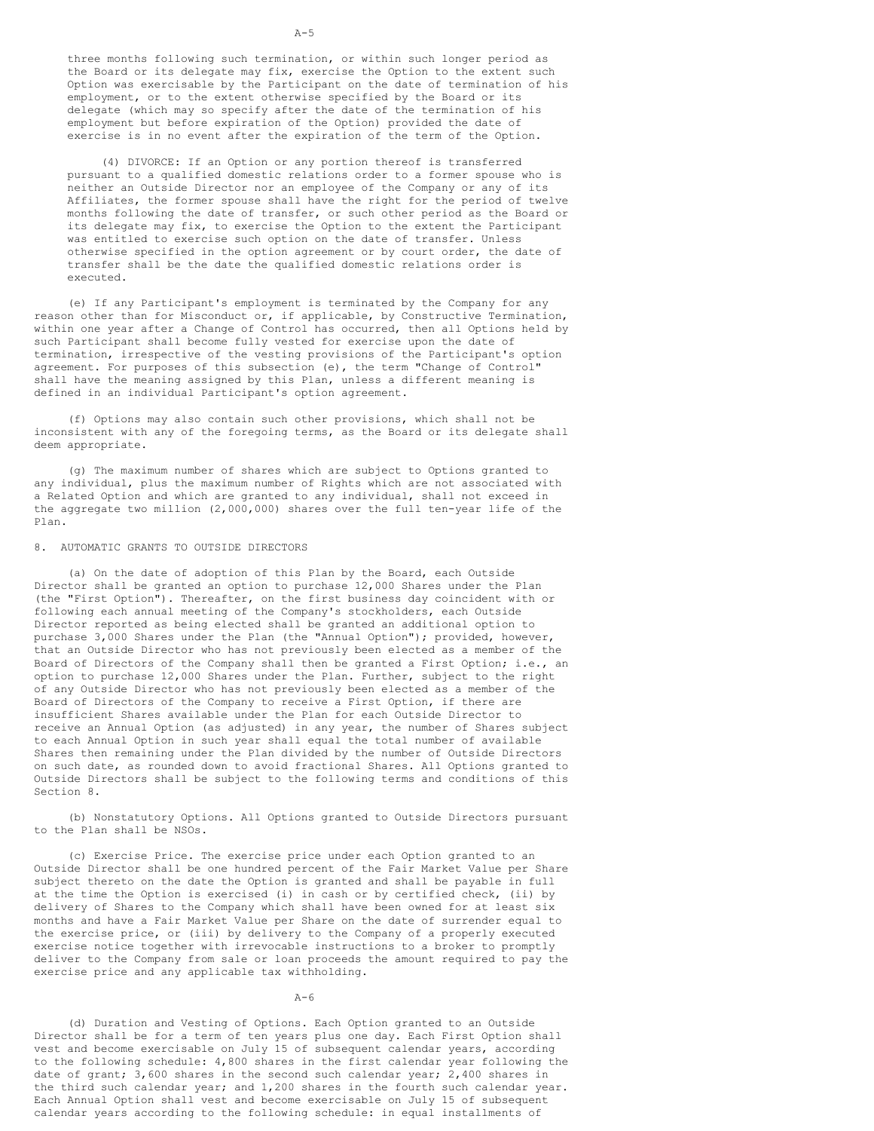three months following such termination, or within such longer period as the Board or its delegate may fix, exercise the Option to the extent such Option was exercisable by the Participant on the date of termination of his employment, or to the extent otherwise specified by the Board or its delegate (which may so specify after the date of the termination of his employment but before expiration of the Option) provided the date of exercise is in no event after the expiration of the term of the Option.

 (4) DIVORCE: If an Option or any portion thereof is transferred pursuant to a qualified domestic relations order to a former spouse who is neither an Outside Director nor an employee of the Company or any of its Affiliates, the former spouse shall have the right for the period of twelve months following the date of transfer, or such other period as the Board or its delegate may fix, to exercise the Option to the extent the Participant was entitled to exercise such option on the date of transfer. Unless otherwise specified in the option agreement or by court order, the date of transfer shall be the date the qualified domestic relations order is executed.

 (e) If any Participant's employment is terminated by the Company for any reason other than for Misconduct or, if applicable, by Constructive Termination, within one year after a Change of Control has occurred, then all Options held by such Participant shall become fully vested for exercise upon the date of termination, irrespective of the vesting provisions of the Participant's option agreement. For purposes of this subsection (e), the term "Change of Control" shall have the meaning assigned by this Plan, unless a different meaning is defined in an individual Participant's option agreement.

 (f) Options may also contain such other provisions, which shall not be inconsistent with any of the foregoing terms, as the Board or its delegate shall deem appropriate.

 (g) The maximum number of shares which are subject to Options granted to any individual, plus the maximum number of Rights which are not associated with a Related Option and which are granted to any individual, shall not exceed in the aggregate two million (2,000,000) shares over the full ten-year life of the Plan.

# 8. AUTOMATIC GRANTS TO OUTSIDE DIRECTORS

 (a) On the date of adoption of this Plan by the Board, each Outside Director shall be granted an option to purchase 12,000 Shares under the Plan (the "First Option"). Thereafter, on the first business day coincident with or following each annual meeting of the Company's stockholders, each Outside Director reported as being elected shall be granted an additional option to purchase 3,000 Shares under the Plan (the "Annual Option"); provided, however, that an Outside Director who has not previously been elected as a member of the Board of Directors of the Company shall then be granted a First Option; i.e., an option to purchase 12,000 Shares under the Plan. Further, subject to the right of any Outside Director who has not previously been elected as a member of the Board of Directors of the Company to receive a First Option, if there are insufficient Shares available under the Plan for each Outside Director to receive an Annual Option (as adjusted) in any year, the number of Shares subject to each Annual Option in such year shall equal the total number of available Shares then remaining under the Plan divided by the number of Outside Directors on such date, as rounded down to avoid fractional Shares. All Options granted to Outside Directors shall be subject to the following terms and conditions of this Section 8.

 (b) Nonstatutory Options. All Options granted to Outside Directors pursuant to the Plan shall be NSOs.

 (c) Exercise Price. The exercise price under each Option granted to an Outside Director shall be one hundred percent of the Fair Market Value per Share subject thereto on the date the Option is granted and shall be payable in full at the time the Option is exercised (i) in cash or by certified check, (ii) by delivery of Shares to the Company which shall have been owned for at least six months and have a Fair Market Value per Share on the date of surrender equal to the exercise price, or (iii) by delivery to the Company of a properly executed exercise notice together with irrevocable instructions to a broker to promptly deliver to the Company from sale or loan proceeds the amount required to pay the exercise price and any applicable tax withholding.

#### $A-6$

 (d) Duration and Vesting of Options. Each Option granted to an Outside Director shall be for a term of ten years plus one day. Each First Option shall vest and become exercisable on July 15 of subsequent calendar years, according to the following schedule: 4,800 shares in the first calendar year following the date of grant;  $3,600$  shares in the second such calendar year;  $2,400$  shares in the third such calendar year; and 1,200 shares in the fourth such calendar year. Each Annual Option shall vest and become exercisable on July 15 of subsequent calendar years according to the following schedule: in equal installments of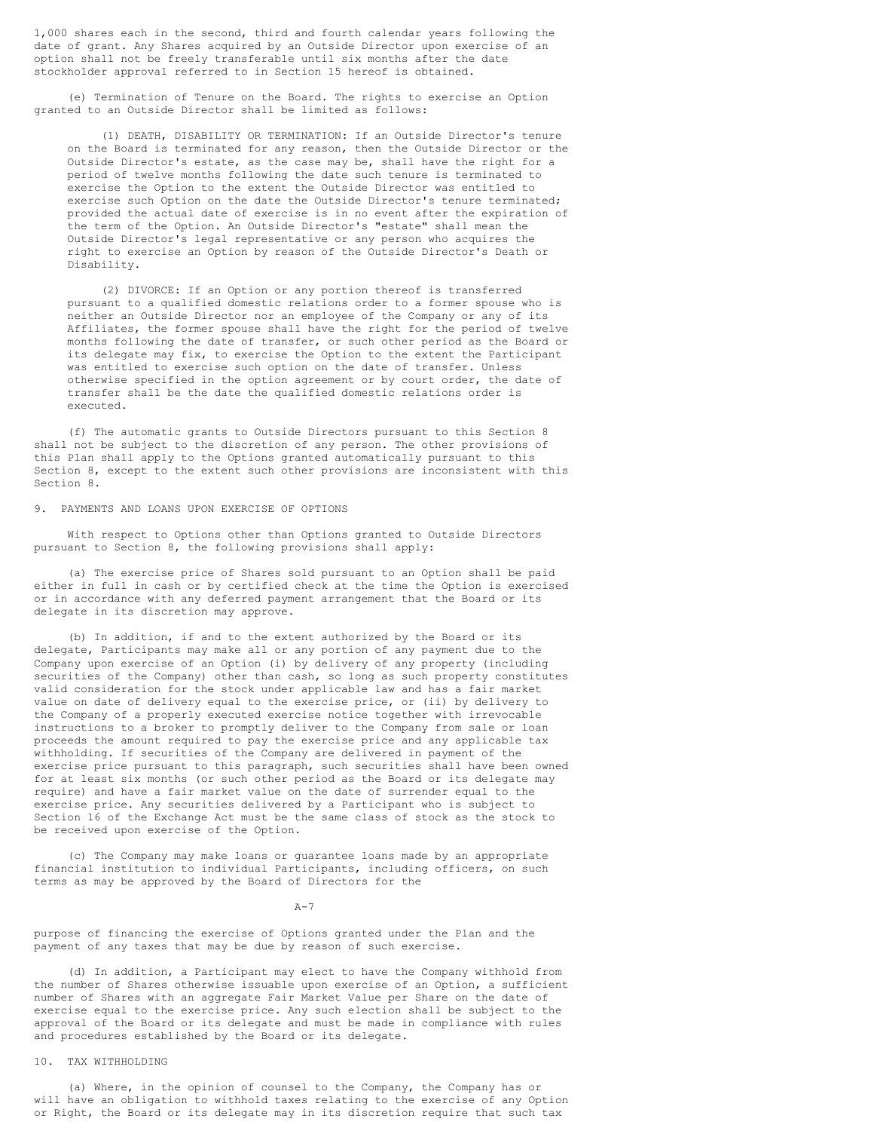1,000 shares each in the second, third and fourth calendar years following the date of grant. Any Shares acquired by an Outside Director upon exercise of an option shall not be freely transferable until six months after the date stockholder approval referred to in Section 15 hereof is obtained.

 (e) Termination of Tenure on the Board. The rights to exercise an Option granted to an Outside Director shall be limited as follows:

 (1) DEATH, DISABILITY OR TERMINATION: If an Outside Director's tenure on the Board is terminated for any reason, then the Outside Director or the Outside Director's estate, as the case may be, shall have the right for a period of twelve months following the date such tenure is terminated to exercise the Option to the extent the Outside Director was entitled to exercise such Option on the date the Outside Director's tenure terminated; provided the actual date of exercise is in no event after the expiration of the term of the Option. An Outside Director's "estate" shall mean the Outside Director's legal representative or any person who acquires the right to exercise an Option by reason of the Outside Director's Death or Disability.

 (2) DIVORCE: If an Option or any portion thereof is transferred pursuant to a qualified domestic relations order to a former spouse who is neither an Outside Director nor an employee of the Company or any of its Affiliates, the former spouse shall have the right for the period of twelve months following the date of transfer, or such other period as the Board or its delegate may fix, to exercise the Option to the extent the Participant was entitled to exercise such option on the date of transfer. Unless otherwise specified in the option agreement or by court order, the date of transfer shall be the date the qualified domestic relations order is executed.

 (f) The automatic grants to Outside Directors pursuant to this Section 8 shall not be subject to the discretion of any person. The other provisions of this Plan shall apply to the Options granted automatically pursuant to this Section 8, except to the extent such other provisions are inconsistent with this Section 8.

### 9. PAYMENTS AND LOANS UPON EXERCISE OF OPTIONS

 With respect to Options other than Options granted to Outside Directors pursuant to Section 8, the following provisions shall apply:

 (a) The exercise price of Shares sold pursuant to an Option shall be paid either in full in cash or by certified check at the time the Option is exercised or in accordance with any deferred payment arrangement that the Board or its delegate in its discretion may approve.

 (b) In addition, if and to the extent authorized by the Board or its delegate, Participants may make all or any portion of any payment due to the Company upon exercise of an Option (i) by delivery of any property (including securities of the Company) other than cash, so long as such property constitutes valid consideration for the stock under applicable law and has a fair market value on date of delivery equal to the exercise price, or (ii) by delivery to the Company of a properly executed exercise notice together with irrevocable instructions to a broker to promptly deliver to the Company from sale or loan proceeds the amount required to pay the exercise price and any applicable tax withholding. If securities of the Company are delivered in payment of the exercise price pursuant to this paragraph, such securities shall have been owned for at least six months (or such other period as the Board or its delegate may require) and have a fair market value on the date of surrender equal to the exercise price. Any securities delivered by a Participant who is subject to Section 16 of the Exchange Act must be the same class of stock as the stock to be received upon exercise of the Option.

 (c) The Company may make loans or guarantee loans made by an appropriate financial institution to individual Participants, including officers, on such terms as may be approved by the Board of Directors for the

 $A-7$ 

purpose of financing the exercise of Options granted under the Plan and the payment of any taxes that may be due by reason of such exercise.

 (d) In addition, a Participant may elect to have the Company withhold from the number of Shares otherwise issuable upon exercise of an Option, a sufficient number of Shares with an aggregate Fair Market Value per Share on the date of exercise equal to the exercise price. Any such election shall be subject to the approval of the Board or its delegate and must be made in compliance with rules and procedures established by the Board or its delegate.

# 10. TAX WITHHOLDING

 (a) Where, in the opinion of counsel to the Company, the Company has or will have an obligation to withhold taxes relating to the exercise of any Option or Right, the Board or its delegate may in its discretion require that such tax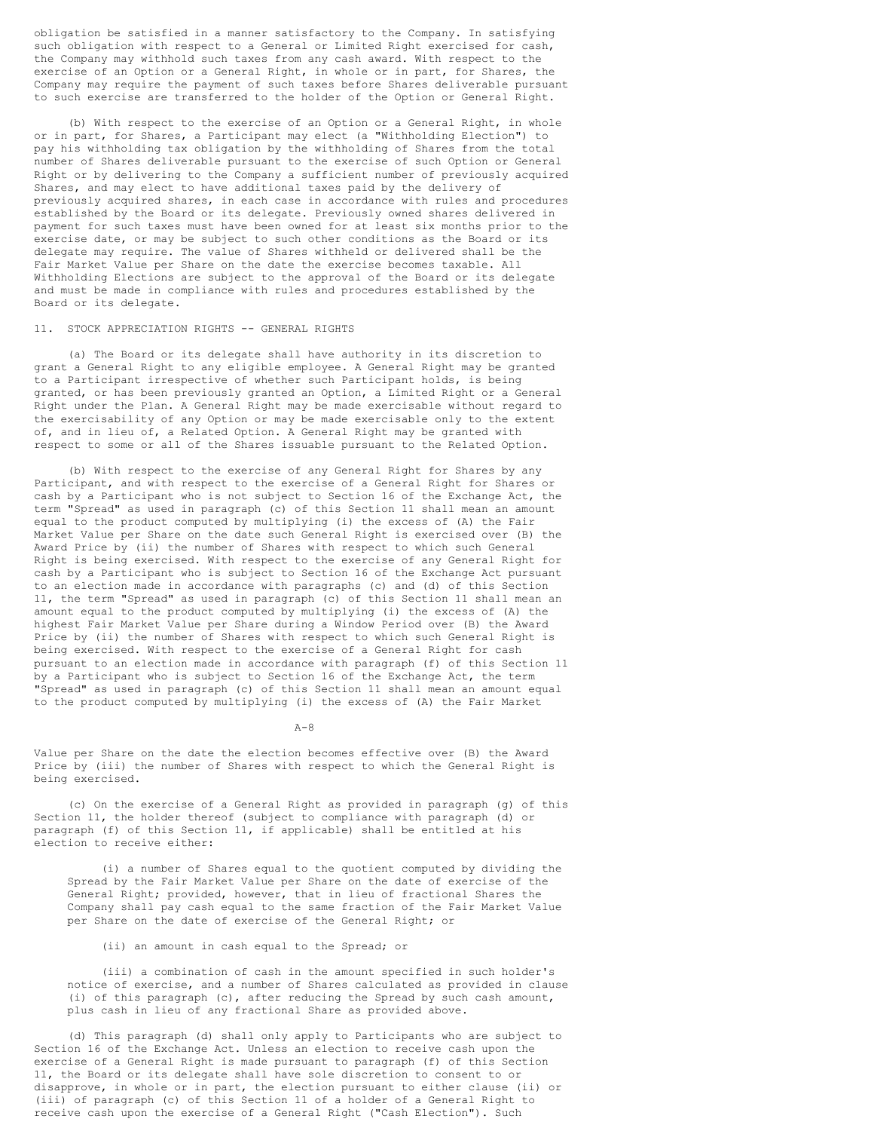obligation be satisfied in a manner satisfactory to the Company. In satisfying such obligation with respect to a General or Limited Right exercised for cash, the Company may withhold such taxes from any cash award. With respect to the exercise of an Option or a General Right, in whole or in part, for Shares, the Company may require the payment of such taxes before Shares deliverable pursuant to such exercise are transferred to the holder of the Option or General Right.

 (b) With respect to the exercise of an Option or a General Right, in whole or in part, for Shares, a Participant may elect (a "Withholding Election") to pay his withholding tax obligation by the withholding of Shares from the total number of Shares deliverable pursuant to the exercise of such Option or General Right or by delivering to the Company a sufficient number of previously acquired Shares, and may elect to have additional taxes paid by the delivery of previously acquired shares, in each case in accordance with rules and procedures established by the Board or its delegate. Previously owned shares delivered in payment for such taxes must have been owned for at least six months prior to the exercise date, or may be subject to such other conditions as the Board or its delegate may require. The value of Shares withheld or delivered shall be the Fair Market Value per Share on the date the exercise becomes taxable. All Withholding Elections are subject to the approval of the Board or its delegate and must be made in compliance with rules and procedures established by the Board or its delegate.

# 11. STOCK APPRECIATION RIGHTS -- GENERAL RIGHTS

 (a) The Board or its delegate shall have authority in its discretion to grant a General Right to any eligible employee. A General Right may be granted to a Participant irrespective of whether such Participant holds, is being granted, or has been previously granted an Option, a Limited Right or a General Right under the Plan. A General Right may be made exercisable without regard to the exercisability of any Option or may be made exercisable only to the extent of, and in lieu of, a Related Option. A General Right may be granted with respect to some or all of the Shares issuable pursuant to the Related Option.

 (b) With respect to the exercise of any General Right for Shares by any Participant, and with respect to the exercise of a General Right for Shares or cash by a Participant who is not subject to Section 16 of the Exchange Act, the term "Spread" as used in paragraph (c) of this Section 11 shall mean an amount equal to the product computed by multiplying (i) the excess of (A) the Fair Market Value per Share on the date such General Right is exercised over (B) the Award Price by (ii) the number of Shares with respect to which such General Right is being exercised. With respect to the exercise of any General Right for cash by a Participant who is subject to Section 16 of the Exchange Act pursuant to an election made in accordance with paragraphs (c) and (d) of this Section 11, the term "Spread" as used in paragraph (c) of this Section 11 shall mean an amount equal to the product computed by multiplying (i) the excess of (A) the highest Fair Market Value per Share during a Window Period over (B) the Award Price by (ii) the number of Shares with respect to which such General Right is being exercised. With respect to the exercise of a General Right for cash pursuant to an election made in accordance with paragraph (f) of this Section 11 by a Participant who is subject to Section 16 of the Exchange Act, the term "Spread" as used in paragraph (c) of this Section 11 shall mean an amount equal to the product computed by multiplying (i) the excess of (A) the Fair Market

 $A-8$ 

Value per Share on the date the election becomes effective over (B) the Award Price by (iii) the number of Shares with respect to which the General Right is being exercised.

 (c) On the exercise of a General Right as provided in paragraph (g) of this Section 11, the holder thereof (subject to compliance with paragraph (d) or paragraph (f) of this Section 11, if applicable) shall be entitled at his election to receive either:

 (i) a number of Shares equal to the quotient computed by dividing the Spread by the Fair Market Value per Share on the date of exercise of the General Right; provided, however, that in lieu of fractional Shares the Company shall pay cash equal to the same fraction of the Fair Market Value per Share on the date of exercise of the General Right; or

# (ii) an amount in cash equal to the Spread; or

 (iii) a combination of cash in the amount specified in such holder's notice of exercise, and a number of Shares calculated as provided in clause (i) of this paragraph (c), after reducing the Spread by such cash amount, plus cash in lieu of any fractional Share as provided above.

 (d) This paragraph (d) shall only apply to Participants who are subject to Section 16 of the Exchange Act. Unless an election to receive cash upon the exercise of a General Right is made pursuant to paragraph (f) of this Section 11, the Board or its delegate shall have sole discretion to consent to or disapprove, in whole or in part, the election pursuant to either clause (ii) or (iii) of paragraph (c) of this Section 11 of a holder of a General Right to receive cash upon the exercise of a General Right ("Cash Election"). Such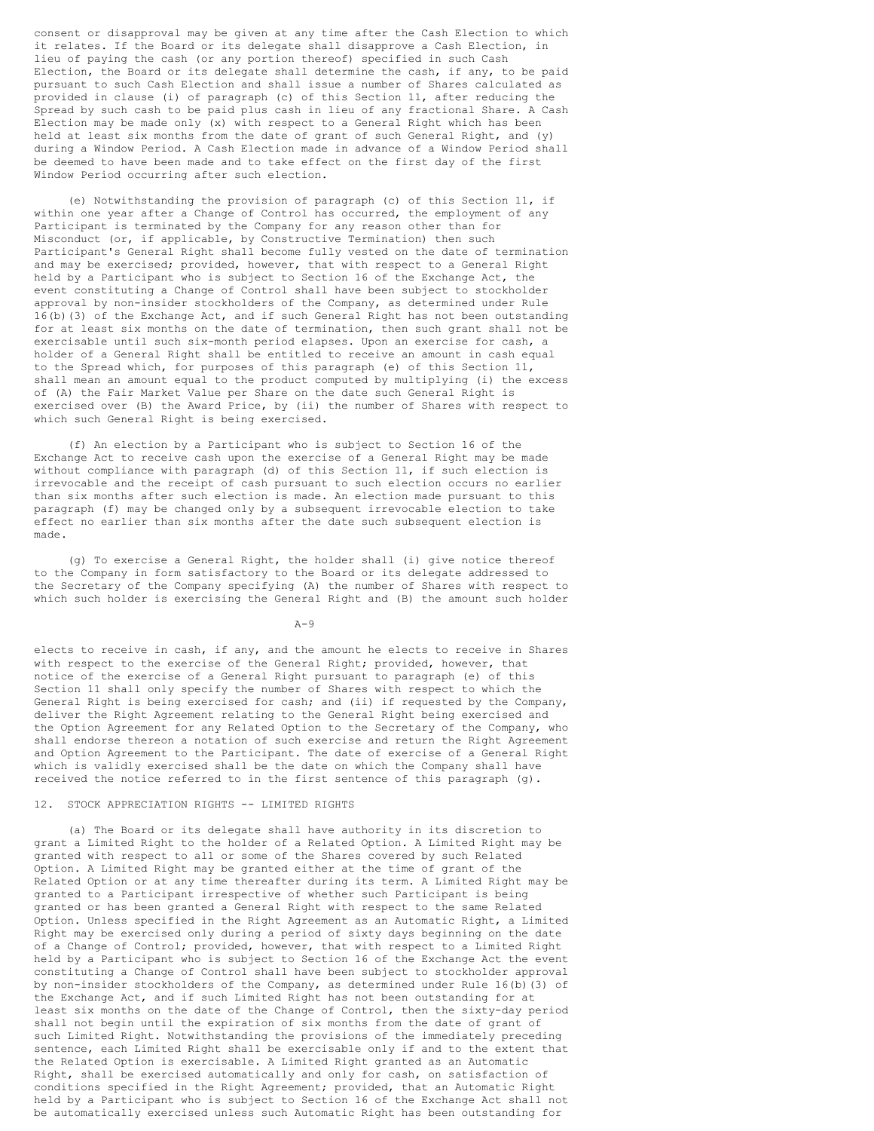consent or disapproval may be given at any time after the Cash Election to which it relates. If the Board or its delegate shall disapprove a Cash Election, in lieu of paying the cash (or any portion thereof) specified in such Cash Election, the Board or its delegate shall determine the cash, if any, to be paid pursuant to such Cash Election and shall issue a number of Shares calculated as provided in clause (i) of paragraph (c) of this Section 11, after reducing the Spread by such cash to be paid plus cash in lieu of any fractional Share. A Cash Election may be made only (x) with respect to a General Right which has been held at least six months from the date of grant of such General Right, and (y) during a Window Period. A Cash Election made in advance of a Window Period shall be deemed to have been made and to take effect on the first day of the first Window Period occurring after such election.

 (e) Notwithstanding the provision of paragraph (c) of this Section 11, if within one year after a Change of Control has occurred, the employment of any Participant is terminated by the Company for any reason other than for Misconduct (or, if applicable, by Constructive Termination) then such Participant's General Right shall become fully vested on the date of termination and may be exercised; provided, however, that with respect to a General Right held by a Participant who is subject to Section 16 of the Exchange Act, the event constituting a Change of Control shall have been subject to stockholder approval by non-insider stockholders of the Company, as determined under Rule 16(b)(3) of the Exchange Act, and if such General Right has not been outstanding for at least six months on the date of termination, then such grant shall not be exercisable until such six-month period elapses. Upon an exercise for cash, a holder of a General Right shall be entitled to receive an amount in cash equal to the Spread which, for purposes of this paragraph (e) of this Section 11, shall mean an amount equal to the product computed by multiplying (i) the excess of (A) the Fair Market Value per Share on the date such General Right is exercised over (B) the Award Price, by (ii) the number of Shares with respect to which such General Right is being exercised.

 (f) An election by a Participant who is subject to Section 16 of the Exchange Act to receive cash upon the exercise of a General Right may be made without compliance with paragraph (d) of this Section 11, if such election is irrevocable and the receipt of cash pursuant to such election occurs no earlier than six months after such election is made. An election made pursuant to this paragraph (f) may be changed only by a subsequent irrevocable election to take effect no earlier than six months after the date such subsequent election is made.

 (g) To exercise a General Right, the holder shall (i) give notice thereof to the Company in form satisfactory to the Board or its delegate addressed to the Secretary of the Company specifying (A) the number of Shares with respect to which such holder is exercising the General Right and (B) the amount such holder

 $A-9$ 

elects to receive in cash, if any, and the amount he elects to receive in Shares with respect to the exercise of the General Right; provided, however, that notice of the exercise of a General Right pursuant to paragraph (e) of this Section 11 shall only specify the number of Shares with respect to which the General Right is being exercised for cash; and (ii) if requested by the Company, deliver the Right Agreement relating to the General Right being exercised and the Option Agreement for any Related Option to the Secretary of the Company, who shall endorse thereon a notation of such exercise and return the Right Agreement and Option Agreement to the Participant. The date of exercise of a General Right which is validly exercised shall be the date on which the Company shall have received the notice referred to in the first sentence of this paragraph (g).

# 12. STOCK APPRECIATION RIGHTS -- LIMITED RIGHTS

 (a) The Board or its delegate shall have authority in its discretion to grant a Limited Right to the holder of a Related Option. A Limited Right may be granted with respect to all or some of the Shares covered by such Related Option. A Limited Right may be granted either at the time of grant of the Related Option or at any time thereafter during its term. A Limited Right may be granted to a Participant irrespective of whether such Participant is being granted or has been granted a General Right with respect to the same Related Option. Unless specified in the Right Agreement as an Automatic Right, a Limited Right may be exercised only during a period of sixty days beginning on the date of a Change of Control; provided, however, that with respect to a Limited Right held by a Participant who is subject to Section 16 of the Exchange Act the event constituting a Change of Control shall have been subject to stockholder approval by non-insider stockholders of the Company, as determined under Rule 16(b)(3) of the Exchange Act, and if such Limited Right has not been outstanding for at least six months on the date of the Change of Control, then the sixty-day period shall not begin until the expiration of six months from the date of grant of such Limited Right. Notwithstanding the provisions of the immediately preceding sentence, each Limited Right shall be exercisable only if and to the extent that the Related Option is exercisable. A Limited Right granted as an Automatic Right, shall be exercised automatically and only for cash, on satisfaction of conditions specified in the Right Agreement; provided, that an Automatic Right held by a Participant who is subject to Section 16 of the Exchange Act shall not be automatically exercised unless such Automatic Right has been outstanding for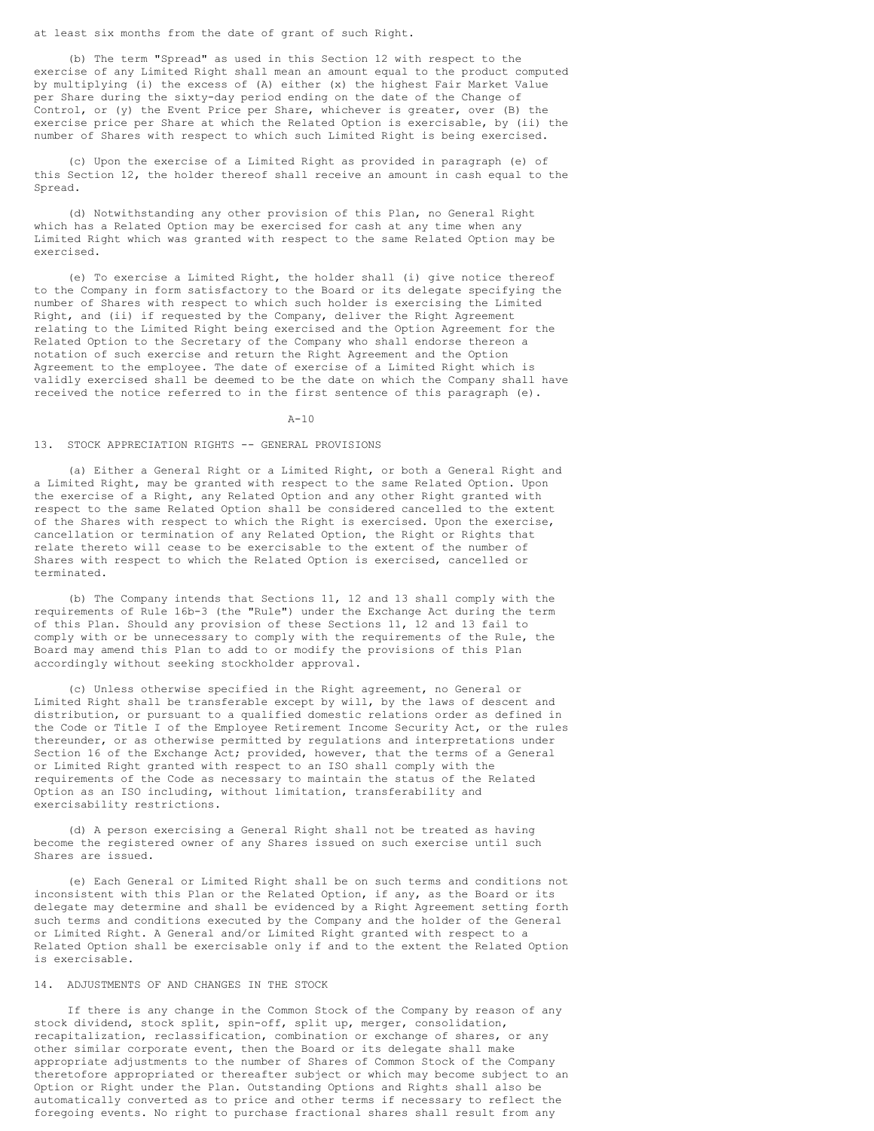at least six months from the date of grant of such Right.

 (b) The term "Spread" as used in this Section 12 with respect to the exercise of any Limited Right shall mean an amount equal to the product computed by multiplying (i) the excess of (A) either (x) the highest Fair Market Value per Share during the sixty-day period ending on the date of the Change of Control, or (y) the Event Price per Share, whichever is greater, over (B) the exercise price per Share at which the Related Option is exercisable, by (ii) the number of Shares with respect to which such Limited Right is being exercised.

 (c) Upon the exercise of a Limited Right as provided in paragraph (e) of this Section 12, the holder thereof shall receive an amount in cash equal to the Spread.

 (d) Notwithstanding any other provision of this Plan, no General Right which has a Related Option may be exercised for cash at any time when any Limited Right which was granted with respect to the same Related Option may be exercised.

 (e) To exercise a Limited Right, the holder shall (i) give notice thereof to the Company in form satisfactory to the Board or its delegate specifying the number of Shares with respect to which such holder is exercising the Limited Right, and (ii) if requested by the Company, deliver the Right Agreement relating to the Limited Right being exercised and the Option Agreement for the Related Option to the Secretary of the Company who shall endorse thereon a notation of such exercise and return the Right Agreement and the Option Agreement to the employee. The date of exercise of a Limited Right which is validly exercised shall be deemed to be the date on which the Company shall have received the notice referred to in the first sentence of this paragraph (e).

A-10

#### 13. STOCK APPRECIATION RIGHTS -- GENERAL PROVISIONS

 (a) Either a General Right or a Limited Right, or both a General Right and a Limited Right, may be granted with respect to the same Related Option. Upon the exercise of a Right, any Related Option and any other Right granted with respect to the same Related Option shall be considered cancelled to the extent of the Shares with respect to which the Right is exercised. Upon the exercise, cancellation or termination of any Related Option, the Right or Rights that relate thereto will cease to be exercisable to the extent of the number of Shares with respect to which the Related Option is exercised, cancelled or terminated.

 (b) The Company intends that Sections 11, 12 and 13 shall comply with the requirements of Rule 16b-3 (the "Rule") under the Exchange Act during the term of this Plan. Should any provision of these Sections 11, 12 and 13 fail to comply with or be unnecessary to comply with the requirements of the Rule, the Board may amend this Plan to add to or modify the provisions of this Plan accordingly without seeking stockholder approval.

 (c) Unless otherwise specified in the Right agreement, no General or Limited Right shall be transferable except by will, by the laws of descent and distribution, or pursuant to a qualified domestic relations order as defined in the Code or Title I of the Employee Retirement Income Security Act, or the rules thereunder, or as otherwise permitted by regulations and interpretations under Section 16 of the Exchange Act; provided, however, that the terms of a General or Limited Right granted with respect to an ISO shall comply with the requirements of the Code as necessary to maintain the status of the Related Option as an ISO including, without limitation, transferability and exercisability restrictions.

 (d) A person exercising a General Right shall not be treated as having become the registered owner of any Shares issued on such exercise until such Shares are issued.

 (e) Each General or Limited Right shall be on such terms and conditions not inconsistent with this Plan or the Related Option, if any, as the Board or its delegate may determine and shall be evidenced by a Right Agreement setting forth such terms and conditions executed by the Company and the holder of the General or Limited Right. A General and/or Limited Right granted with respect to a Related Option shall be exercisable only if and to the extent the Related Option is exercisable.

# 14. ADJUSTMENTS OF AND CHANGES IN THE STOCK

 If there is any change in the Common Stock of the Company by reason of any stock dividend, stock split, spin-off, split up, merger, consolidation, recapitalization, reclassification, combination or exchange of shares, or any other similar corporate event, then the Board or its delegate shall make appropriate adjustments to the number of Shares of Common Stock of the Company theretofore appropriated or thereafter subject or which may become subject to an Option or Right under the Plan. Outstanding Options and Rights shall also be automatically converted as to price and other terms if necessary to reflect the foregoing events. No right to purchase fractional shares shall result from any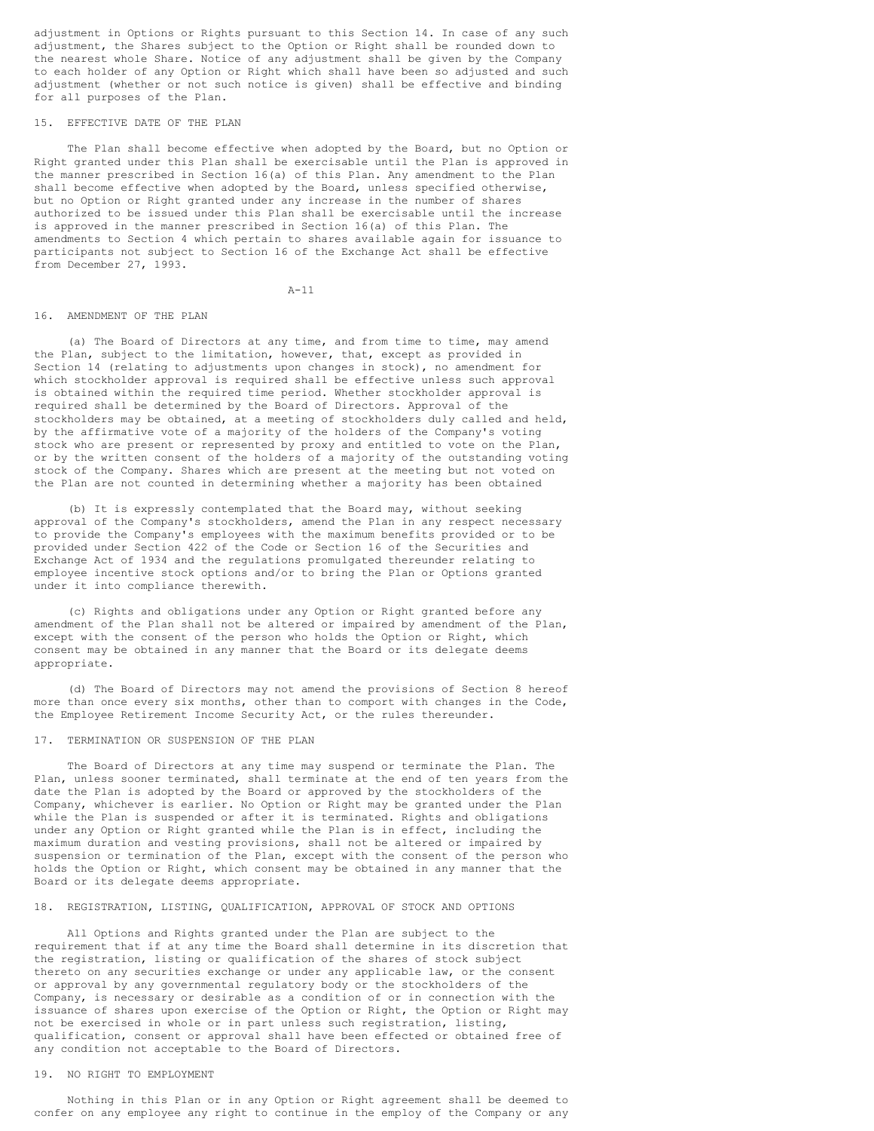adjustment in Options or Rights pursuant to this Section 14. In case of any such adjustment, the Shares subject to the Option or Right shall be rounded down to the nearest whole Share. Notice of any adjustment shall be given by the Company to each holder of any Option or Right which shall have been so adjusted and such adjustment (whether or not such notice is given) shall be effective and binding for all purposes of the Plan.

#### 15. EFFECTIVE DATE OF THE PLAN

 The Plan shall become effective when adopted by the Board, but no Option or Right granted under this Plan shall be exercisable until the Plan is approved in the manner prescribed in Section 16(a) of this Plan. Any amendment to the Plan shall become effective when adopted by the Board, unless specified otherwise, but no Option or Right granted under any increase in the number of shares authorized to be issued under this Plan shall be exercisable until the increase is approved in the manner prescribed in Section 16(a) of this Plan. The amendments to Section 4 which pertain to shares available again for issuance to participants not subject to Section 16 of the Exchange Act shall be effective from December 27, 1993.

A-11

# 16. AMENDMENT OF THE PLAN

 (a) The Board of Directors at any time, and from time to time, may amend the Plan, subject to the limitation, however, that, except as provided in Section 14 (relating to adjustments upon changes in stock), no amendment for which stockholder approval is required shall be effective unless such approval is obtained within the required time period. Whether stockholder approval is required shall be determined by the Board of Directors. Approval of the stockholders may be obtained, at a meeting of stockholders duly called and held, by the affirmative vote of a majority of the holders of the Company's voting stock who are present or represented by proxy and entitled to vote on the Plan, or by the written consent of the holders of a majority of the outstanding voting stock of the Company. Shares which are present at the meeting but not voted on the Plan are not counted in determining whether a majority has been obtained

 (b) It is expressly contemplated that the Board may, without seeking approval of the Company's stockholders, amend the Plan in any respect necessary to provide the Company's employees with the maximum benefits provided or to be provided under Section 422 of the Code or Section 16 of the Securities and Exchange Act of 1934 and the regulations promulgated thereunder relating to employee incentive stock options and/or to bring the Plan or Options granted under it into compliance therewith.

 (c) Rights and obligations under any Option or Right granted before any amendment of the Plan shall not be altered or impaired by amendment of the Plan, except with the consent of the person who holds the Option or Right, which consent may be obtained in any manner that the Board or its delegate deems appropriate.

 (d) The Board of Directors may not amend the provisions of Section 8 hereof more than once every six months, other than to comport with changes in the Code, the Employee Retirement Income Security Act, or the rules thereunder.

# 17. TERMINATION OR SUSPENSION OF THE PLAN

 The Board of Directors at any time may suspend or terminate the Plan. The Plan, unless sooner terminated, shall terminate at the end of ten years from the date the Plan is adopted by the Board or approved by the stockholders of the Company, whichever is earlier. No Option or Right may be granted under the Plan while the Plan is suspended or after it is terminated. Rights and obligations under any Option or Right granted while the Plan is in effect, including the maximum duration and vesting provisions, shall not be altered or impaired by suspension or termination of the Plan, except with the consent of the person who holds the Option or Right, which consent may be obtained in any manner that the Board or its delegate deems appropriate.

#### 18. REGISTRATION, LISTING, QUALIFICATION, APPROVAL OF STOCK AND OPTIONS

 All Options and Rights granted under the Plan are subject to the requirement that if at any time the Board shall determine in its discretion that the registration, listing or qualification of the shares of stock subject thereto on any securities exchange or under any applicable law, or the consent or approval by any governmental regulatory body or the stockholders of the Company, is necessary or desirable as a condition of or in connection with the issuance of shares upon exercise of the Option or Right, the Option or Right may not be exercised in whole or in part unless such registration, listing, qualification, consent or approval shall have been effected or obtained free of any condition not acceptable to the Board of Directors.

# 19. NO RIGHT TO EMPLOYMENT

 Nothing in this Plan or in any Option or Right agreement shall be deemed to confer on any employee any right to continue in the employ of the Company or any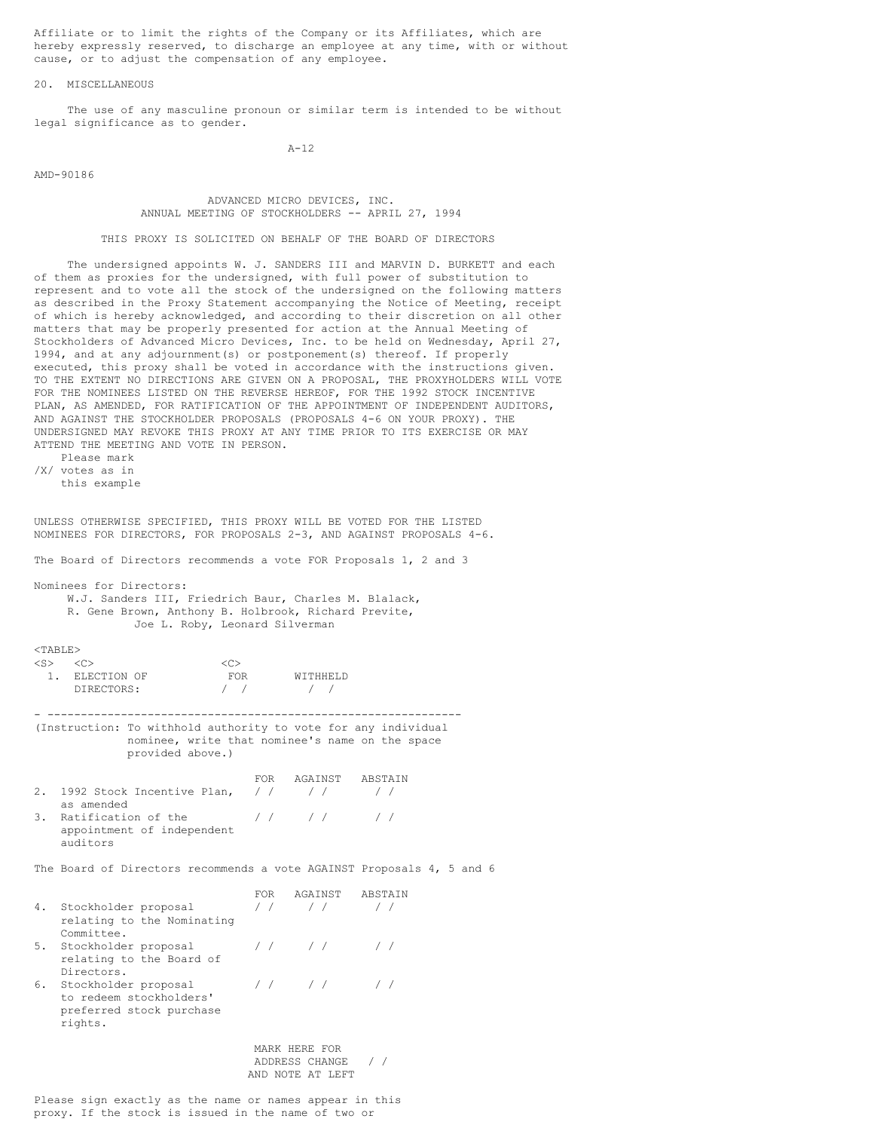Affiliate or to limit the rights of the Company or its Affiliates, which are hereby expressly reserved, to discharge an employee at any time, with or without cause, or to adjust the compensation of any employee.

### 20. MISCELLANEOUS

 The use of any masculine pronoun or similar term is intended to be without legal significance as to gender.

 $A-12$ 

AMD-90186

 ADVANCED MICRO DEVICES, INC. ANNUAL MEETING OF STOCKHOLDERS -- APRIL 27, 1994

THIS PROXY IS SOLICITED ON BEHALF OF THE BOARD OF DIRECTORS

 The undersigned appoints W. J. SANDERS III and MARVIN D. BURKETT and each of them as proxies for the undersigned, with full power of substitution to represent and to vote all the stock of the undersigned on the following matters as described in the Proxy Statement accompanying the Notice of Meeting, receipt of which is hereby acknowledged, and according to their discretion on all other matters that may be properly presented for action at the Annual Meeting of Stockholders of Advanced Micro Devices, Inc. to be held on Wednesday, April 27, 1994, and at any adjournment(s) or postponement(s) thereof. If properly executed, this proxy shall be voted in accordance with the instructions given. TO THE EXTENT NO DIRECTIONS ARE GIVEN ON A PROPOSAL, THE PROXYHOLDERS WILL VOTE FOR THE NOMINEES LISTED ON THE REVERSE HEREOF, FOR THE 1992 STOCK INCENTIVE PLAN, AS AMENDED, FOR RATIFICATION OF THE APPOINTMENT OF INDEPENDENT AUDITORS, AND AGAINST THE STOCKHOLDER PROPOSALS (PROPOSALS 4-6 ON YOUR PROXY). THE UNDERSIGNED MAY REVOKE THIS PROXY AT ANY TIME PRIOR TO ITS EXERCISE OR MAY ATTEND THE MEETING AND VOTE IN PERSON.

 Please mark /X/ votes as in this example

UNLESS OTHERWISE SPECIFIED, THIS PROXY WILL BE VOTED FOR THE LISTED NOMINEES FOR DIRECTORS, FOR PROPOSALS 2-3, AND AGAINST PROPOSALS 4-6.

The Board of Directors recommends a vote FOR Proposals 1, 2 and 3

Nominees for Directors:

 W.J. Sanders III, Friedrich Baur, Charles M. Blalack, R. Gene Brown, Anthony B. Holbrook, Richard Previte, Joe L. Roby, Leonard Silverman

# $<sub>TABLE</sub>$ </sub>

| $\langle S \rangle$ |                |                   |                 |
|---------------------|----------------|-------------------|-----------------|
|                     | 1. ELECTION OF | FOR               | <b>MITHHEID</b> |
|                     | DIRECTORS:     | $\prime$ $\prime$ | $\sqrt{1}$      |

- -------------------------------------------------------------- (Instruction: To withhold authority to vote for any individual nominee, write that nominee's name on the space provided above.)

|  |                                          | FOR | AGAINST ABSTAIN                                         |  |
|--|------------------------------------------|-----|---------------------------------------------------------|--|
|  | 2. 1992 Stock Incentive Plan, $//$ // // |     |                                                         |  |
|  | as amended                               |     |                                                         |  |
|  | 3. Ratification of the                   |     | $\left  \begin{array}{cccc} \hline \end{array} \right $ |  |
|  | appointment of independent               |     |                                                         |  |
|  | and it                                   |     |                                                         |  |

The Board of Directors recommends a vote AGAINST Proposals 4, 5 and 6

|    |                                                                                        | FOR                                                 | AGAINST       | ABSTAIN |
|----|----------------------------------------------------------------------------------------|-----------------------------------------------------|---------------|---------|
| 4. | Stockholder proposal<br>relating to the Nominating<br>Committee.                       |                                                     |               |         |
| 5. | Stockholder proposal<br>relating to the Board of<br>Directors.                         |                                                     | $\frac{1}{2}$ |         |
| 6. | Stockholder proposal<br>to redeem stockholders'<br>preferred stock purchase<br>rights. |                                                     |               |         |
|    |                                                                                        | MARK HERE FOR<br>ADDRESS CHANGE<br>AND NOTE AT LEFT |               |         |